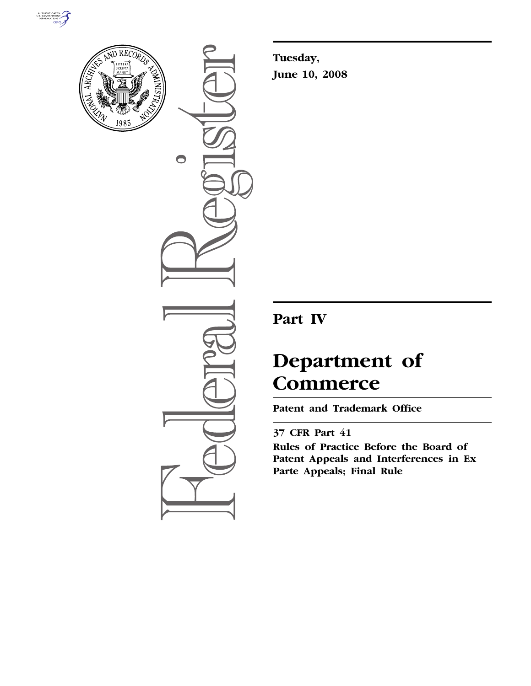



 $\bigcirc$ 

**Tuesday, June 10, 2008** 

## **Part IV**

# **Department of Commerce**

**Patent and Trademark Office** 

### **37 CFR Part 41**

**Rules of Practice Before the Board of Patent Appeals and Interferences in Ex Parte Appeals; Final Rule**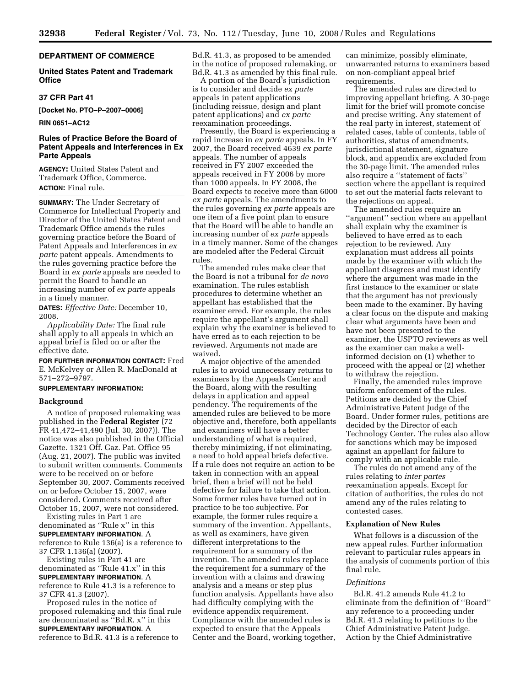#### **DEPARTMENT OF COMMERCE**

#### **United States Patent and Trademark Office**

#### **37 CFR Part 41**

**[Docket No. PTO–P–2007–0006]** 

**RIN 0651–AC12** 

#### **Rules of Practice Before the Board of Patent Appeals and Interferences in Ex Parte Appeals**

**AGENCY:** United States Patent and Trademark Office, Commerce. **ACTION:** Final rule.

**SUMMARY:** The Under Secretary of Commerce for Intellectual Property and Director of the United States Patent and Trademark Office amends the rules governing practice before the Board of Patent Appeals and Interferences in *ex parte* patent appeals. Amendments to the rules governing practice before the Board in *ex parte* appeals are needed to permit the Board to handle an increasing number of *ex parte* appeals in a timely manner.

**DATES:** *Effective Date:* December 10, 2008.

*Applicability Date:* The final rule shall apply to all appeals in which an appeal brief is filed on or after the effective date.

**FOR FURTHER INFORMATION CONTACT:** Fred E. McKelvey or Allen R. MacDonald at 571–272–9797.

#### **SUPPLEMENTARY INFORMATION:**

#### **Background**

A notice of proposed rulemaking was published in the **Federal Register** (72 FR 41,472–41,490 (Jul. 30, 2007)). The notice was also published in the Official Gazette. 1321 Off. Gaz. Pat. Office 95 (Aug. 21, 2007). The public was invited to submit written comments. Comments were to be received on or before September 30, 2007. Comments received on or before October 15, 2007, were considered. Comments received after October 15, 2007, were not considered.

Existing rules in Part 1 are denominated as ''Rule x'' in this **SUPPLEMENTARY INFORMATION**. A reference to Rule 136(a) is a reference to 37 CFR 1.136(a) (2007).

Existing rules in Part 41 are denominated as ''Rule 41.x'' in this **SUPPLEMENTARY INFORMATION**. A reference to Rule 41.3 is a reference to 37 CFR 41.3 (2007).

Proposed rules in the notice of proposed rulemaking and this final rule are denominated as ''Bd.R. x'' in this **SUPPLEMENTARY INFORMATION**. A reference to Bd.R. 41.3 is a reference to

Bd.R. 41.3, as proposed to be amended in the notice of proposed rulemaking, or Bd.R. 41.3 as amended by this final rule.

A portion of the Board's jurisdiction is to consider and decide *ex parte*  appeals in patent applications (including reissue, design and plant patent applications) and *ex parte*  reexamination proceedings.

Presently, the Board is experiencing a rapid increase in *ex parte* appeals. In FY 2007, the Board received 4639 *ex parte*  appeals. The number of appeals received in FY 2007 exceeded the appeals received in FY 2006 by more than 1000 appeals. In FY 2008, the Board expects to receive more than 6000 *ex parte* appeals. The amendments to the rules governing *ex parte* appeals are one item of a five point plan to ensure that the Board will be able to handle an increasing number of *ex parte* appeals in a timely manner. Some of the changes are modeled after the Federal Circuit rules.

The amended rules make clear that the Board is not a tribunal for *de novo*  examination. The rules establish procedures to determine whether an appellant has established that the examiner erred. For example, the rules require the appellant's argument shall explain why the examiner is believed to have erred as to each rejection to be reviewed. Arguments not made are waived.

A major objective of the amended rules is to avoid unnecessary returns to examiners by the Appeals Center and the Board, along with the resulting delays in application and appeal pendency. The requirements of the amended rules are believed to be more objective and, therefore, both appellants and examiners will have a better understanding of what is required, thereby minimizing, if not eliminating, a need to hold appeal briefs defective. If a rule does not require an action to be taken in connection with an appeal brief, then a brief will not be held defective for failure to take that action. Some former rules have turned out in practice to be too subjective. For example, the former rules require a summary of the invention. Appellants, as well as examiners, have given different interpretations to the requirement for a summary of the invention. The amended rules replace the requirement for a summary of the invention with a claims and drawing analysis and a means or step plus function analysis. Appellants have also had difficulty complying with the evidence appendix requirement. Compliance with the amended rules is expected to ensure that the Appeals Center and the Board, working together,

can minimize, possibly eliminate, unwarranted returns to examiners based on non-compliant appeal brief requirements.

The amended rules are directed to improving appellant briefing. A 30-page limit for the brief will promote concise and precise writing. Any statement of the real party in interest, statement of related cases, table of contents, table of authorities, status of amendments, jurisdictional statement, signature block, and appendix are excluded from the 30-page limit. The amended rules also require a ''statement of facts'' section where the appellant is required to set out the material facts relevant to the rejections on appeal.

The amended rules require an ''argument'' section where an appellant shall explain why the examiner is believed to have erred as to each rejection to be reviewed. Any explanation must address all points made by the examiner with which the appellant disagrees and must identify where the argument was made in the first instance to the examiner or state that the argument has not previously been made to the examiner. By having a clear focus on the dispute and making clear what arguments have been and have not been presented to the examiner, the USPTO reviewers as well as the examiner can make a wellinformed decision on (1) whether to proceed with the appeal or (2) whether to withdraw the rejection.

Finally, the amended rules improve uniform enforcement of the rules. Petitions are decided by the Chief Administrative Patent Judge of the Board. Under former rules, petitions are decided by the Director of each Technology Center. The rules also allow for sanctions which may be imposed against an appellant for failure to comply with an applicable rule.

The rules do not amend any of the rules relating to *inter partes*  reexamination appeals. Except for citation of authorities, the rules do not amend any of the rules relating to contested cases.

#### **Explanation of New Rules**

What follows is a discussion of the new appeal rules. Further information relevant to particular rules appears in the analysis of comments portion of this final rule.

#### *Definitions*

Bd.R. 41.2 amends Rule 41.2 to eliminate from the definition of ''Board'' any reference to a proceeding under Bd.R. 41.3 relating to petitions to the Chief Administrative Patent Judge. Action by the Chief Administrative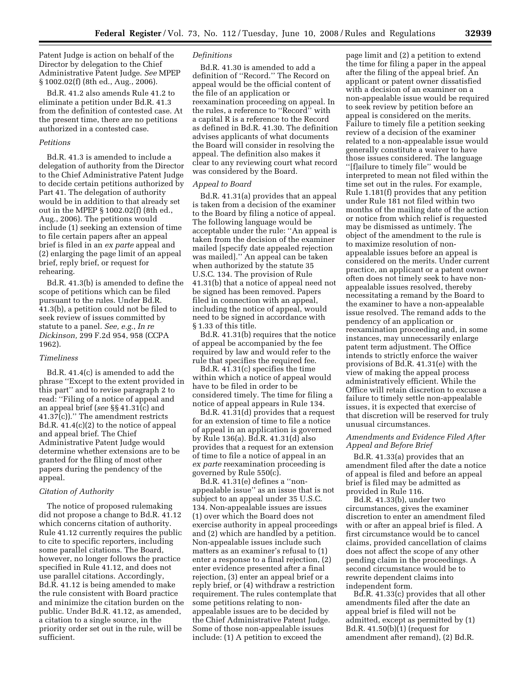Patent Judge is action on behalf of the Director by delegation to the Chief Administrative Patent Judge. *See* MPEP § 1002.02(f) (8th ed., Aug., 2006).

Bd.R. 41.2 also amends Rule 41.2 to eliminate a petition under Bd.R. 41.3 from the definition of contested case. At the present time, there are no petitions authorized in a contested case.

#### *Petitions*

Bd.R. 41.3 is amended to include a delegation of authority from the Director to the Chief Administrative Patent Judge to decide certain petitions authorized by Part 41. The delegation of authority would be in addition to that already set out in the MPEP § 1002.02(f) (8th ed., Aug., 2006). The petitions would include (1) seeking an extension of time to file certain papers after an appeal brief is filed in an *ex parte* appeal and (2) enlarging the page limit of an appeal brief, reply brief, or request for rehearing.

Bd.R. 41.3(b) is amended to define the scope of petitions which can be filed pursuant to the rules. Under Bd.R. 41.3(b), a petition could not be filed to seek review of issues committed by statute to a panel. *See, e.g.*, *In re Dickinson,* 299 F.2d 954, 958 (CCPA 1962).

#### *Timeliness*

Bd.R. 41.4(c) is amended to add the phrase ''Except to the extent provided in this part'' and to revise paragraph 2 to read: ''Filing of a notice of appeal and an appeal brief (*see* §§ 41.31(c) and 41.37(c)).'' The amendment restricts Bd.R. 41.4(c)(2) to the notice of appeal and appeal brief. The Chief Administrative Patent Judge would determine whether extensions are to be granted for the filing of most other papers during the pendency of the appeal.

#### *Citation of Authority*

The notice of proposed rulemaking did not propose a change to Bd.R. 41.12 which concerns citation of authority. Rule 41.12 currently requires the public to cite to specific reporters, including some parallel citations. The Board, however, no longer follows the practice specified in Rule 41.12, and does not use parallel citations. Accordingly, Bd.R. 41.12 is being amended to make the rule consistent with Board practice and minimize the citation burden on the public. Under Bd.R. 41.12, as amended, a citation to a single source, in the priority order set out in the rule, will be sufficient.

#### *Definitions*

Bd.R. 41.30 is amended to add a definition of ''Record.'' The Record on appeal would be the official content of the file of an application or reexamination proceeding on appeal. In the rules, a reference to ''Record'' with a capital R is a reference to the Record as defined in Bd.R. 41.30. The definition advises applicants of what documents the Board will consider in resolving the appeal. The definition also makes it clear to any reviewing court what record was considered by the Board.

#### *Appeal to Board*

Bd.R. 41.31(a) provides that an appeal is taken from a decision of the examiner to the Board by filing a notice of appeal. The following language would be acceptable under the rule: ''An appeal is taken from the decision of the examiner mailed [specify date appealed rejection was mailed].'' An appeal can be taken when authorized by the statute 35 U.S.C. 134. The provision of Rule 41.31(b) that a notice of appeal need not be signed has been removed. Papers filed in connection with an appeal, including the notice of appeal, would need to be signed in accordance with § 1.33 of this title.

Bd.R. 41.31(b) requires that the notice of appeal be accompanied by the fee required by law and would refer to the rule that specifies the required fee.

Bd.R. 41.31(c) specifies the time within which a notice of appeal would have to be filed in order to be considered timely. The time for filing a notice of appeal appears in Rule 134.

Bd.R. 41.31(d) provides that a request for an extension of time to file a notice of appeal in an application is governed by Rule 136(a). Bd.R. 41.31(d) also provides that a request for an extension of time to file a notice of appeal in an *ex parte* reexamination proceeding is governed by Rule 550(c).

Bd.R. 41.31(e) defines a ''nonappealable issue'' as an issue that is not subject to an appeal under 35 U.S.C. 134. Non-appealable issues are issues (1) over which the Board does not exercise authority in appeal proceedings and (2) which are handled by a petition. Non-appealable issues include such matters as an examiner's refusal to (1) enter a response to a final rejection, (2) enter evidence presented after a final rejection, (3) enter an appeal brief or a reply brief, or (4) withdraw a restriction requirement. The rules contemplate that some petitions relating to nonappealable issues are to be decided by the Chief Administrative Patent Judge. Some of those non-appealable issues include: (1) A petition to exceed the

page limit and (2) a petition to extend the time for filing a paper in the appeal after the filing of the appeal brief. An applicant or patent owner dissatisfied with a decision of an examiner on a non-appealable issue would be required to seek review by petition before an appeal is considered on the merits. Failure to timely file a petition seeking review of a decision of the examiner related to a non-appealable issue would generally constitute a waiver to have those issues considered. The language ''[f]ailure to timely file'' would be interpreted to mean not filed within the time set out in the rules. For example, Rule 1.181(f) provides that any petition under Rule 181 not filed within two months of the mailing date of the action or notice from which relief is requested may be dismissed as untimely. The object of the amendment to the rule is to maximize resolution of nonappealable issues before an appeal is considered on the merits. Under current practice, an applicant or a patent owner often does not timely seek to have nonappealable issues resolved, thereby necessitating a remand by the Board to the examiner to have a non-appealable issue resolved. The remand adds to the pendency of an application or reexamination proceeding and, in some instances, may unnecessarily enlarge patent term adjustment. The Office intends to strictly enforce the waiver provisions of Bd.R. 41.31(e) with the view of making the appeal process administratively efficient. While the Office will retain discretion to excuse a failure to timely settle non-appealable issues, it is expected that exercise of that discretion will be reserved for truly unusual circumstances.

#### *Amendments and Evidence Filed After Appeal and Before Brief*

Bd.R. 41.33(a) provides that an amendment filed after the date a notice of appeal is filed and before an appeal brief is filed may be admitted as provided in Rule 116.

Bd.R. 41.33(b), under two circumstances, gives the examiner discretion to enter an amendment filed with or after an appeal brief is filed. A first circumstance would be to cancel claims, provided cancellation of claims does not affect the scope of any other pending claim in the proceedings. A second circumstance would be to rewrite dependent claims into independent form.

Bd.R. 41.33(c) provides that all other amendments filed after the date an appeal brief is filed will not be admitted, except as permitted by (1) Bd.R. 41.50(b)(1) (request for amendment after remand), (2) Bd.R.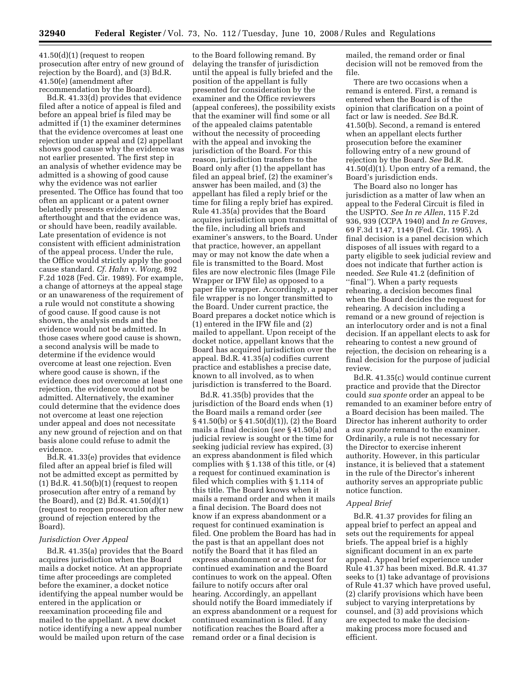41.50(d)(1) (request to reopen prosecution after entry of new ground of rejection by the Board), and (3) Bd.R. 41.50(e) (amendment after recommendation by the Board).

Bd.R. 41.33(d) provides that evidence filed after a notice of appeal is filed and before an appeal brief is filed may be admitted if (1) the examiner determines that the evidence overcomes at least one rejection under appeal and (2) appellant shows good cause why the evidence was not earlier presented. The first step in an analysis of whether evidence may be admitted is a showing of good cause why the evidence was not earlier presented. The Office has found that too often an applicant or a patent owner belatedly presents evidence as an afterthought and that the evidence was, or should have been, readily available. Late presentation of evidence is not consistent with efficient administration of the appeal process. Under the rule, the Office would strictly apply the good cause standard. *Cf. Hahn* v. *Wong*, 892 F.2d 1028 (Fed. Cir. 1989). For example, a change of attorneys at the appeal stage or an unawareness of the requirement of a rule would not constitute a showing of good cause. If good cause is not shown, the analysis ends and the evidence would not be admitted. In those cases where good cause is shown, a second analysis will be made to determine if the evidence would overcome at least one rejection. Even where good cause is shown, if the evidence does not overcome at least one rejection, the evidence would not be admitted. Alternatively, the examiner could determine that the evidence does not overcome at least one rejection under appeal and does not necessitate any new ground of rejection and on that basis alone could refuse to admit the evidence.

Bd.R. 41.33(e) provides that evidence filed after an appeal brief is filed will not be admitted except as permitted by (1) Bd.R. 41.50(b)(1) (request to reopen prosecution after entry of a remand by the Board), and (2) Bd.R. 41.50(d)(1) (request to reopen prosecution after new ground of rejection entered by the Board).

#### *Jurisdiction Over Appeal*

Bd.R. 41.35(a) provides that the Board acquires jurisdiction when the Board mails a docket notice. At an appropriate time after proceedings are completed before the examiner, a docket notice identifying the appeal number would be entered in the application or reexamination proceeding file and mailed to the appellant. A new docket notice identifying a new appeal number would be mailed upon return of the case

to the Board following remand. By delaying the transfer of jurisdiction until the appeal is fully briefed and the position of the appellant is fully presented for consideration by the examiner and the Office reviewers (appeal conferees), the possibility exists that the examiner will find some or all of the appealed claims patentable without the necessity of proceeding with the appeal and invoking the jurisdiction of the Board. For this reason, jurisdiction transfers to the Board only after (1) the appellant has filed an appeal brief, (2) the examiner's answer has been mailed, and (3) the appellant has filed a reply brief or the time for filing a reply brief has expired. Rule 41.35(a) provides that the Board acquires jurisdiction upon transmittal of the file, including all briefs and examiner's answers, to the Board. Under that practice, however, an appellant may or may not know the date when a file is transmitted to the Board. Most files are now electronic files (Image File Wrapper or IFW file) as opposed to a paper file wrapper. Accordingly, a paper file wrapper is no longer transmitted to the Board. Under current practice, the Board prepares a docket notice which is (1) entered in the IFW file and (2) mailed to appellant. Upon receipt of the docket notice, appellant knows that the Board has acquired jurisdiction over the appeal. Bd.R. 41.35(a) codifies current practice and establishes a precise date, known to all involved, as to when jurisdiction is transferred to the Board.

Bd.R. 41.35(b) provides that the jurisdiction of the Board ends when (1) the Board mails a remand order (*see*  § 41.50(b) or § 41.50(d)(1)), (2) the Board mails a final decision (*see* § 41.50(a) and judicial review is sought or the time for seeking judicial review has expired, (3) an express abandonment is filed which complies with § 1.138 of this title, or (4) a request for continued examination is filed which complies with § 1.114 of this title. The Board knows when it mails a remand order and when it mails a final decision. The Board does not know if an express abandonment or a request for continued examination is filed. One problem the Board has had in the past is that an appellant does not notify the Board that it has filed an express abandonment or a request for continued examination and the Board continues to work on the appeal. Often failure to notify occurs after oral hearing. Accordingly, an appellant should notify the Board immediately if an express abandonment or a request for continued examination is filed. If any notification reaches the Board after a remand order or a final decision is

mailed, the remand order or final decision will not be removed from the file.

There are two occasions when a remand is entered. First, a remand is entered when the Board is of the opinion that clarification on a point of fact or law is needed. *See* Bd.R. 41.50(b). Second, a remand is entered when an appellant elects further prosecution before the examiner following entry of a new ground of rejection by the Board. *See* Bd.R. 41.50(d)(1). Upon entry of a remand, the Board's jurisdiction ends.

The Board also no longer has jurisdiction as a matter of law when an appeal to the Federal Circuit is filed in the USPTO. *See In re Allen*, 115 F.2d 936, 939 (CCPA 1940) and *In re Graves*, 69 F.3d 1147, 1149 (Fed. Cir. 1995). A final decision is a panel decision which disposes of all issues with regard to a party eligible to seek judicial review and does not indicate that further action is needed. *See* Rule 41.2 (definition of ''final''). When a party requests rehearing, a decision becomes final when the Board decides the request for rehearing. A decision including a remand or a new ground of rejection is an interlocutory order and is not a final decision. If an appellant elects to ask for rehearing to contest a new ground of rejection, the decision on rehearing is a final decision for the purpose of judicial review.

Bd.R. 41.35(c) would continue current practice and provide that the Director could *sua sponte* order an appeal to be remanded to an examiner before entry of a Board decision has been mailed. The Director has inherent authority to order a *sua sponte* remand to the examiner. Ordinarily, a rule is not necessary for the Director to exercise inherent authority. However, in this particular instance, it is believed that a statement in the rule of the Director's inherent authority serves an appropriate public notice function.

#### *Appeal Brief*

Bd.R. 41.37 provides for filing an appeal brief to perfect an appeal and sets out the requirements for appeal briefs. The appeal brief is a highly significant document in an ex parte appeal. Appeal brief experience under Rule 41.37 has been mixed. Bd.R. 41.37 seeks to (1) take advantage of provisions of Rule 41.37 which have proved useful, (2) clarify provisions which have been subject to varying interpretations by counsel, and (3) add provisions which are expected to make the decisionmaking process more focused and efficient.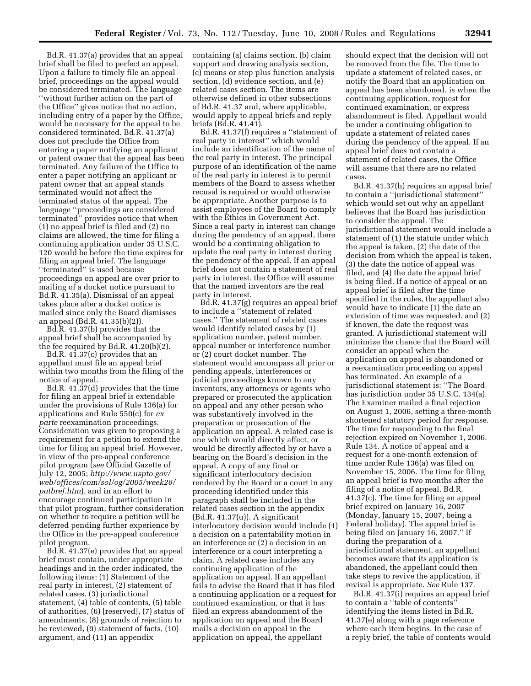Bd.R. 41.37(a) provides that an appeal brief shall be filed to perfect an appeal. Upon a failure to timely file an appeal brief, proceedings on the appeal would be considered terminated. The language ''without further action on the part of the Office'' gives notice that no action, including entry of a paper by the Office, would be necessary for the appeal to be considered terminated. Bd.R. 41.37(a) does not preclude the Office from entering a paper notifying an applicant or patent owner that the appeal has been terminated. Any failure of the Office to enter a paper notifying an applicant or patent owner that an appeal stands terminated would not affect the terminated status of the appeal. The language ''proceedings are considered terminated'' provides notice that when (1) no appeal brief is filed and (2) no claims are allowed, the time for filing a continuing application under 35 U.S.C. 120 would be before the time expires for filing an appeal brief. The language ''terminated'' is used because proceedings on appeal are over prior to mailing of a docket notice pursuant to Bd.R. 41.35(a). Dismissal of an appeal takes place after a docket notice is mailed since only the Board dismisses an appeal (Bd.R. 41.35(b)(2)).

Bd.R. 41.37(b) provides that the appeal brief shall be accompanied by the fee required by Bd.R. 41.20(b)(2).

Bd.R. 41.37(c) provides that an appellant must file an appeal brief within two months from the filing of the notice of appeal.

Bd.R. 41.37(d) provides that the time for filing an appeal brief is extendable under the provisions of Rule 136(a) for applications and Rule 550(c) for *ex parte* reexamination proceedings. Consideration was given to proposing a requirement for a petition to extend the time for filing an appeal brief. However, in view of the pre-appeal conference pilot program (*see* Official Gazette of July 12, 2005; *http://www.uspto.gov/ web/offices/com/sol/og/2005/week28/ patbref.htm*), and in an effort to encourage continued participation in that pilot program, further consideration on whether to require a petition will be deferred pending further experience by the Office in the pre-appeal conference pilot program.

Bd.R. 41.37(e) provides that an appeal brief must contain, under appropriate headings and in the order indicated, the following items: (1) Statement of the real party in interest, (2) statement of related cases, (3) jurisdictional statement, (4) table of contents, (5) table of authorities, (6) [reserved], (7) status of amendments, (8) grounds of rejection to be reviewed, (9) statement of facts, (10) argument, and (11) an appendix

containing (a) claims section, (b) claim support and drawing analysis section, (c) means or step plus function analysis section, (d) evidence section, and (e) related cases section. The items are otherwise defined in other subsections of Bd.R. 41.37 and, where applicable, would apply to appeal briefs and reply briefs (Bd.R. 41.41).

Bd.R. 41.37(f) requires a ''statement of real party in interest'' which would include an identification of the name of the real party in interest. The principal purpose of an identification of the name of the real party in interest is to permit members of the Board to assess whether recusal is required or would otherwise be appropriate. Another purpose is to assist employees of the Board to comply with the Ethics in Government Act. Since a real party in interest can change during the pendency of an appeal, there would be a continuing obligation to update the real party in interest during the pendency of the appeal. If an appeal brief does not contain a statement of real party in interest, the Office will assume that the named inventors are the real party in interest.

Bd.R. 41.37(g) requires an appeal brief to include a ''statement of related cases.'' The statement of related cases would identify related cases by (1) application number, patent number, appeal number or interference number or (2) court docket number. The statement would encompass all prior or pending appeals, interferences or judicial proceedings known to any inventors, any attorneys or agents who prepared or prosecuted the application on appeal and any other person who was substantively involved in the preparation or prosecution of the application on appeal. A related case is one which would directly affect, or would be directly affected by or have a bearing on the Board's decision in the appeal. A copy of any final or significant interlocutory decision rendered by the Board or a court in any proceeding identified under this paragraph shall be included in the related cases section in the appendix (Bd.R. 41.37(u)). A significant interlocutory decision would include (1) a decision on a patentability motion in an interference or (2) a decision in an interference or a court interpreting a claim. A related case includes any continuing application of the application on appeal. If an appellant fails to advise the Board that it has filed a continuing application or a request for continued examination, or that it has filed an express abandonment of the application on appeal and the Board mails a decision on appeal in the application on appeal, the appellant

should expect that the decision will not be removed from the file. The time to update a statement of related cases, or notify the Board that an application on appeal has been abandoned, is when the continuing application, request for continued examination, or express abandonment is filed. Appellant would be under a continuing obligation to update a statement of related cases during the pendency of the appeal. If an appeal brief does not contain a statement of related cases, the Office will assume that there are no related cases.

Bd.R. 41.37(h) requires an appeal brief to contain a ''jurisdictional statement'' which would set out why an appellant believes that the Board has jurisdiction to consider the appeal. The jurisdictional statement would include a statement of (1) the statute under which the appeal is taken, (2) the date of the decision from which the appeal is taken, (3) the date the notice of appeal was filed, and (4) the date the appeal brief is being filed. If a notice of appeal or an appeal brief is filed after the time specified in the rules, the appellant also would have to indicate (1) the date an extension of time was requested, and (2) if known, the date the request was granted. A jurisdictional statement will minimize the chance that the Board will consider an appeal when the application on appeal is abandoned or a reexamination proceeding on appeal has terminated. An example of a jurisdictional statement is: ''The Board has jurisdiction under 35 U.S.C. 134(a). The Examiner mailed a final rejection on August 1, 2006, setting a three-month shortened statutory period for response. The time for responding to the final rejection expired on November 1, 2006. Rule 134. A notice of appeal and a request for a one-month extension of time under Rule 136(a) was filed on November 15, 2006. The time for filing an appeal brief is two months after the filing of a notice of appeal. Bd.R. 41.37(c). The time for filing an appeal brief expired on January 16, 2007 (Monday, January 15, 2007, being a Federal holiday). The appeal brief is being filed on January 16, 2007.'' If during the preparation of a jurisdictional statement, an appellant becomes aware that its application is abandoned, the appellant could then take steps to revive the application, if revival is appropriate. *See* Rule 137.

Bd.R. 41.37(i) requires an appeal brief to contain a ''table of contents'' identifying the items listed in Bd.R. 41.37(e) along with a page reference where each item begins. In the case of a reply brief, the table of contents would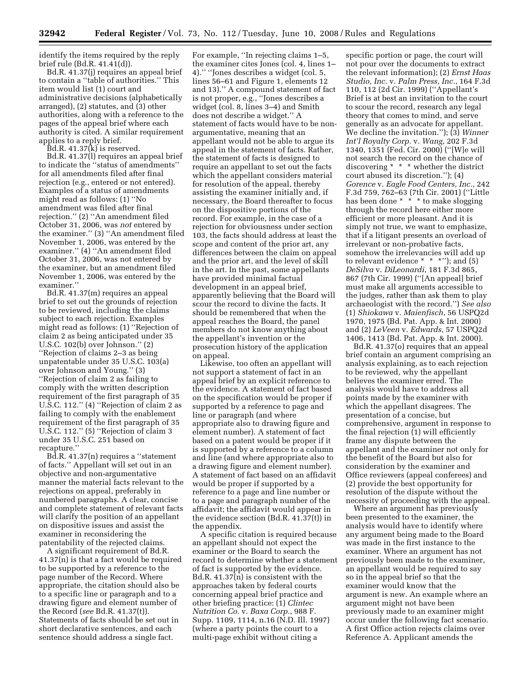identify the items required by the reply brief rule (Bd.R. 41.41(d)).

Bd.R. 41.37(j) requires an appeal brief to contain a ''table of authorities.'' This item would list (1) court and administrative decisions (alphabetically arranged), (2) statutes, and (3) other authorities, along with a reference to the pages of the appeal brief where each authority is cited. A similar requirement applies to a reply brief.

Bd.R. 41.37(k) is reserved.

Bd.R. 41.37(l) requires an appeal brief to indicate the ''status of amendments'' for all amendments filed after final rejection (e.g., entered or not entered). Examples of a status of amendments might read as follows: (1) ''No amendment was filed after final rejection.'' (2) ''An amendment filed October 31, 2006, was *not* entered by the examiner.'' (3) ''An amendment filed November 1, 2006, was entered by the examiner.'' (4) ''An amendment filed October 31, 2006, was not entered by the examiner, but an amendment filed November 1, 2006, was entered by the examiner.''

Bd.R. 41.37(m) requires an appeal brief to set out the grounds of rejection to be reviewed, including the claims subject to each rejection. Examples might read as follows: (1) ''Rejection of claim 2 as being anticipated under 35 U.S.C. 102(b) over Johnson.'' (2) ''Rejection of claims 2–3 as being unpatentable under 35 U.S.C. 103(a) over Johnson and Young.'' (3) ''Rejection of claim 2 as failing to comply with the written description requirement of the first paragraph of 35 U.S.C. 112.'' (4) ''Rejection of claim 2 as failing to comply with the enablement requirement of the first paragraph of 35 U.S.C. 112.'' (5) ''Rejection of claim 3 under 35 U.S.C. 251 based on recapture.''

Bd.R. 41.37(n) requires a ''statement of facts.'' Appellant will set out in an objective and non-argumentative manner the material facts relevant to the rejections on appeal, preferably in numbered paragraphs. A clear, concise and complete statement of relevant facts will clarify the position of an appellant on dispositive issues and assist the examiner in reconsidering the patentability of the rejected claims.

A significant requirement of Bd.R. 41.37(n) is that a fact would be required to be supported by a reference to the page number of the Record. Where appropriate, the citation should also be to a specific line or paragraph and to a drawing figure and element number of the Record (*see* Bd.R. 41.37(t)). Statements of facts should be set out in short declarative sentences, and each sentence should address a single fact.

For example, ''In rejecting claims 1–5, the examiner cites Jones (col. 4, lines 1– 4).'' ''Jones describes a widget (col. 5, lines 56–61 and Figure 1, elements 12 and 13).'' A compound statement of fact is not proper, e.g., ''Jones describes a widget (col. 8, lines 3–4) and Smith does not describe a widget.'' A statement of facts would have to be nonargumentative, meaning that an appellant would not be able to argue its appeal in the statement of facts. Rather, the statement of facts is designed to require an appellant to set out the facts which the appellant considers material for resolution of the appeal, thereby assisting the examiner initially and, if necessary, the Board thereafter to focus on the dispositive portions of the record. For example, in the case of a rejection for obviousness under section 103, the facts should address at least the scope and content of the prior art, any differences between the claim on appeal and the prior art, and the level of skill in the art. In the past, some appellants have provided minimal factual development in an appeal brief, apparently believing that the Board will scour the record to divine the facts. It should be remembered that when the appeal reaches the Board, the panel members do not know anything about the appellant's invention or the prosecution history of the application on appeal.

Likewise, too often an appellant will not support a statement of fact in an appeal brief by an explicit reference to the evidence. A statement of fact based on the specification would be proper if supported by a reference to page and line or paragraph (and where appropriate also to drawing figure and element number). A statement of fact based on a patent would be proper if it is supported by a reference to a column and line (and where appropriate also to a drawing figure and element number). A statement of fact based on an affidavit would be proper if supported by a reference to a page and line number or to a page and paragraph number of the affidavit; the affidavit would appear in the evidence section (Bd.R. 41.37(t)) in the appendix.

A specific citation is required because an appellant should not expect the examiner or the Board to search the record to determine whether a statement of fact is supported by the evidence. Bd.R. 41.37(n) is consistent with the approaches taken by federal courts concerning appeal brief practice and other briefing practice: (1) *Clintec Nutrition Co.* v. *Baxa Corp.*, 988 F. Supp. 1109, 1114, n.16 (N.D. Ill. 1997) (where a party points the court to a multi-page exhibit without citing a

specific portion or page, the court will not pour over the documents to extract the relevant information); (2) *Ernst Haas Studio, Inc.* v. *Palm Press, Inc.*, 164 F.3d 110, 112 (2d Cir. 1999) (''Appellant's Brief is at best an invitation to the court to scour the record, research any legal theory that comes to mind, and serve generally as an advocate for appellant. We decline the invitation.''); (3) *Winner Int'l Royalty Corp.* v. *Wang*, 202 F.3d 1340, 1351 (Fed. Cir. 2000) (''[W]e will not search the record on the chance of discovering \* \* \* whether the district court abused its discretion.''); (4) *Gorence* v. *Eagle Food Centers, Inc.*, 242 F.3d 759, 762–63 (7th Cir. 2001) (''Little has been done \* \* \* to make slogging through the record here either more efficient or more pleasant. And it is simply not true, we want to emphasize, that if a litigant presents an overload of irrelevant or non-probative facts, somehow the irrelevancies will add up to relevant evidence  $* * *$ "); and  $(5)$ *DeSilva* v. *DiLeonardi*, 181 F.3d 865, 867 (7th Cir. 1999) (''[An appeal] brief must make all arguments accessible to the judges, rather than ask them to play archaeologist with the record.'') *See also*  (1) *Shiokawa* v. *Maienfisch*, 56 USPQ2d 1970, 1975 (Bd. Pat. App. & Int. 2000) and (2) *LeVeen* v. *Edwards*, 57 USPQ2d 1406, 1413 (Bd. Pat. App. & Int. 2000).

Bd.R. 41.37(o) requires that an appeal brief contain an argument comprising an analysis explaining, as to each rejection to be reviewed, why the appellant believes the examiner erred. The analysis would have to address all points made by the examiner with which the appellant disagrees. The presentation of a concise, but comprehensive, argument in response to the final rejection (1) will efficiently frame any dispute between the appellant and the examiner not only for the benefit of the Board but also for consideration by the examiner and Office reviewers (appeal conferees) and (2) provide the best opportunity for resolution of the dispute without the necessity of proceeding with the appeal.

Where an argument has previously been presented to the examiner, the analysis would have to identify where any argument being made to the Board was made in the first instance to the examiner. Where an argument has not previously been made to the examiner, an appellant would be required to say so in the appeal brief so that the examiner would know that the argument is new. An example where an argument might not have been previously made to an examiner might occur under the following fact scenario. A first Office action rejects claims over Reference A. Applicant amends the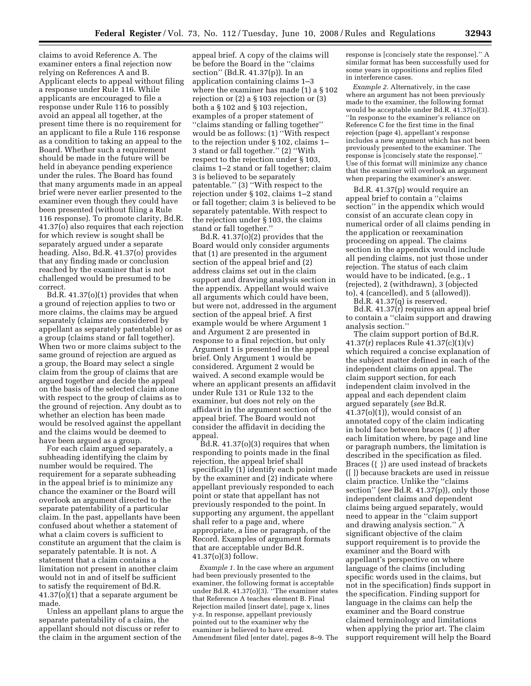claims to avoid Reference A. The examiner enters a final rejection now relying on References A and B. Applicant elects to appeal without filing a response under Rule 116. While applicants are encouraged to file a response under Rule 116 to possibly avoid an appeal all together, at the present time there is no requirement for an applicant to file a Rule 116 response as a condition to taking an appeal to the Board. Whether such a requirement should be made in the future will be held in abeyance pending experience under the rules. The Board has found that many arguments made in an appeal brief were never earlier presented to the examiner even though they could have been presented (without filing a Rule 116 response). To promote clarity, Bd.R. 41.37(o) also requires that each rejection for which review is sought shall be separately argued under a separate heading. Also, Bd.R. 41.37(o) provides that any finding made or conclusion reached by the examiner that is not challenged would be presumed to be correct.

Bd.R. 41.37(o)(1) provides that when a ground of rejection applies to two or more claims, the claims may be argued separately (claims are considered by appellant as separately patentable) or as a group (claims stand or fall together). When two or more claims subject to the same ground of rejection are argued as a group, the Board may select a single claim from the group of claims that are argued together and decide the appeal on the basis of the selected claim alone with respect to the group of claims as to the ground of rejection. Any doubt as to whether an election has been made would be resolved against the appellant and the claims would be deemed to have been argued as a group.

For each claim argued separately, a subheading identifying the claim by number would be required. The requirement for a separate subheading in the appeal brief is to minimize any chance the examiner or the Board will overlook an argument directed to the separate patentability of a particular claim. In the past, appellants have been confused about whether a statement of what a claim covers is sufficient to constitute an argument that the claim is separately patentable. It is not. A statement that a claim contains a limitation not present in another claim would not in and of itself be sufficient to satisfy the requirement of Bd.R. 41.37(o)(1) that a separate argument be made.

Unless an appellant plans to argue the separate patentability of a claim, the appellant should not discuss or refer to the claim in the argument section of the

appeal brief. A copy of the claims will be before the Board in the ''claims section'' (Bd.R. 41.37(p)). In an application containing claims 1–3 where the examiner has made (1) a § 102 rejection or (2) a § 103 rejection or (3) both a § 102 and § 103 rejection, examples of a proper statement of ''claims standing or falling together'' would be as follows: (1) ''With respect to the rejection under § 102, claims 1– 3 stand or fall together.'' (2) ''With respect to the rejection under § 103, claims 1–2 stand or fall together; claim 3 is believed to be separately patentable.'' (3) ''With respect to the rejection under § 102, claims 1–2 stand or fall together; claim 3 is believed to be separately patentable. With respect to the rejection under § 103, the claims stand or fall together.''

Bd.R.  $41.37\overline{o}$  $(2)$  provides that the Board would only consider arguments that (1) are presented in the argument section of the appeal brief and (2) address claims set out in the claim support and drawing analysis section in the appendix. Appellant would waive all arguments which could have been, but were not, addressed in the argument section of the appeal brief. A first example would be where Argument 1 and Argument 2 are presented in response to a final rejection, but only Argument 1 is presented in the appeal brief. Only Argument 1 would be considered. Argument 2 would be waived. A second example would be where an applicant presents an affidavit under Rule 131 or Rule 132 to the examiner, but does not rely on the affidavit in the argument section of the appeal brief. The Board would not consider the affidavit in deciding the appeal.

 $Bd.R. 41.37(0)(3)$  requires that when responding to points made in the final rejection, the appeal brief shall specifically (1) identify each point made by the examiner and (2) indicate where appellant previously responded to each point or state that appellant has not previously responded to the point. In supporting any argument, the appellant shall refer to a page and, where appropriate, a line or paragraph, of the Record. Examples of argument formats that are acceptable under Bd.R. 41.37(o)(3) follow.

*Example 1.* In the case where an argument had been previously presented to the examiner, the following format is acceptable under Bd.R. 41.37(o)(3). ''The examiner states that Reference A teaches element B. Final Rejection mailed [insert date], page x, lines y-z. In response, appellant previously pointed out to the examiner why the examiner is believed to have erred. Amendment filed [enter date], pages 8–9. The response is [concisely state the response].'' A similar format has been successfully used for some years in oppositions and replies filed in interference cases.

*Example 2.* Alternatively, in the case where an argument has not been previously made to the examiner, the following format would be acceptable under Bd.R. 41.37(o)(3). ''In response to the examiner's reliance on Reference C for the first time in the final rejection (page 4), appellant's response includes a new argument which has not been previously presented to the examiner. The response is [concisely state the response].'' Use of this format will minimize any chance that the examiner will overlook an argument when preparing the examiner's answer.

Bd.R. 41.37(p) would require an appeal brief to contain a ''claims section'' in the appendix which would consist of an accurate clean copy in numerical order of all claims pending in the application or reexamination proceeding on appeal. The claims section in the appendix would include all pending claims, not just those under rejection. The status of each claim would have to be indicated, (e.g., 1 (rejected), 2 (withdrawn), 3 (objected to), 4 (cancelled), and 5 (allowed)).

Bd.R. 41.37(q) is reserved.

Bd.R. 41.37(r) requires an appeal brief to contain a ''claim support and drawing analysis section.''

The claim support portion of Bd.R. 41.37(r) replaces Rule 41.37(c)(1)(v) which required a concise explanation of the subject matter defined in each of the independent claims on appeal. The claim support section, for each independent claim involved in the appeal and each dependent claim argued separately (*see* Bd.R.  $41.37<sub>(o)(1)</sub>$ , would consist of an annotated copy of the claim indicating in bold face between braces ({ }) after each limitation where, by page and line or paragraph numbers, the limitation is described in the specification as filed. Braces ({ }) are used instead of brackets ([ ]) because brackets are used in reissue claim practice. Unlike the ''claims section'' (*see* Bd.R. 41.37(p)), only those independent claims and dependent claims being argued separately, would need to appear in the ''claim support and drawing analysis section.'' A significant objective of the claim support requirement is to provide the examiner and the Board with appellant's perspective on where language of the claims (including specific words used in the claims, but not in the specification) finds support in the specification. Finding support for language in the claims can help the examiner and the Board construe claimed terminology and limitations when applying the prior art. The claim support requirement will help the Board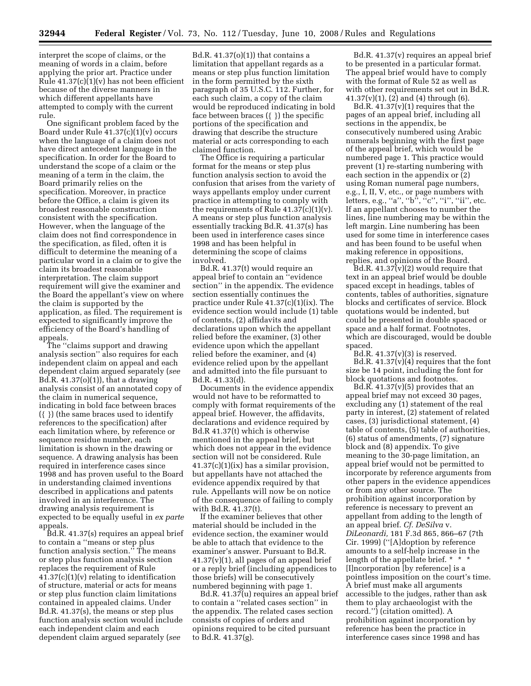interpret the scope of claims, or the meaning of words in a claim, before applying the prior art. Practice under Rule 41.37(c)(1)(v) has not been efficient because of the diverse manners in which different appellants have attempted to comply with the current rule.

One significant problem faced by the Board under Rule 41.37(c)(1)(v) occurs when the language of a claim does not have direct antecedent language in the specification. In order for the Board to understand the scope of a claim or the meaning of a term in the claim, the Board primarily relies on the specification. Moreover, in practice before the Office, a claim is given its broadest reasonable construction consistent with the specification. However, when the language of the claim does not find correspondence in the specification, as filed, often it is difficult to determine the meaning of a particular word in a claim or to give the claim its broadest reasonable interpretation. The claim support requirement will give the examiner and the Board the appellant's view on where the claim is supported by the application, as filed. The requirement is expected to significantly improve the efficiency of the Board's handling of appeals.

The ''claims support and drawing analysis section'' also requires for each independent claim on appeal and each dependent claim argued separately (*see*  Bd.R. 41.37(o)(1)), that a drawing analysis consist of an annotated copy of the claim in numerical sequence, indicating in bold face between braces ({ }) (the same braces used to identify references to the specification) after each limitation where, by reference or sequence residue number, each limitation is shown in the drawing or sequence. A drawing analysis has been required in interference cases since 1998 and has proven useful to the Board in understanding claimed inventions described in applications and patents involved in an interference. The drawing analysis requirement is expected to be equally useful in *ex parte*  appeals.

Bd.R. 41.37(s) requires an appeal brief to contain a ''means or step plus function analysis section.'' The means or step plus function analysis section replaces the requirement of Rule 41.37(c)(1)(v) relating to identification of structure, material or acts for means or step plus function claim limitations contained in appealed claims. Under Bd.R. 41.37(s), the means or step plus function analysis section would include each independent claim and each dependent claim argued separately (*see* 

Bd.R.  $41.37(o)(1)$ ) that contains a limitation that appellant regards as a means or step plus function limitation in the form permitted by the sixth paragraph of 35 U.S.C. 112. Further, for each such claim, a copy of the claim would be reproduced indicating in bold face between braces ({ }) the specific portions of the specification and drawing that describe the structure material or acts corresponding to each claimed function.

The Office is requiring a particular format for the means or step plus function analysis section to avoid the confusion that arises from the variety of ways appellants employ under current practice in attempting to comply with the requirements of Rule  $41.37(c)(1)(v)$ . A means or step plus function analysis essentially tracking Bd.R. 41.37(s) has been used in interference cases since 1998 and has been helpful in determining the scope of claims involved.

Bd.R. 41.37(t) would require an appeal brief to contain an ''evidence section'' in the appendix. The evidence section essentially continues the practice under Rule 41.37(c)(1)(ix). The evidence section would include (1) table of contents, (2) affidavits and declarations upon which the appellant relied before the examiner, (3) other evidence upon which the appellant relied before the examiner, and (4) evidence relied upon by the appellant and admitted into the file pursuant to Bd.R. 41.33(d).

Documents in the evidence appendix would not have to be reformatted to comply with format requirements of the appeal brief. However, the affidavits, declarations and evidence required by Bd.R 41.37(t) which is otherwise mentioned in the appeal brief, but which does not appear in the evidence section will not be considered. Rule 41.37(c)(1)(ix) has a similar provision, but appellants have not attached the evidence appendix required by that rule. Appellants will now be on notice of the consequence of failing to comply with Bd.R. 41.37(t).

If the examiner believes that other material should be included in the evidence section, the examiner would be able to attach that evidence to the examiner's answer. Pursuant to Bd.R.  $41.37(v)(1)$ , all pages of an appeal brief or a reply brief (including appendices to those briefs) will be consecutively numbered beginning with page 1.

Bd.R. 41.37(u) requires an appeal brief to contain a ''related cases section'' in the appendix. The related cases section consists of copies of orders and opinions required to be cited pursuant to Bd.R. 41.37(g).

Bd.R. 41.37(v) requires an appeal brief to be presented in a particular format. The appeal brief would have to comply with the format of Rule 52 as well as with other requirements set out in Bd.R.  $41.37(v)(1)$ ,  $(2)$  and  $(4)$  through  $(6)$ .

Bd.R.  $41.37(v)(1)$  requires that the pages of an appeal brief, including all sections in the appendix, be consecutively numbered using Arabic numerals beginning with the first page of the appeal brief, which would be numbered page 1. This practice would prevent (1) re-starting numbering with each section in the appendix or (2) using Roman numeral page numbers, e.g., I, II, V, etc., or page numbers with letters, e.g., "a", "b", "c", "i", "ii", etc. If an appellant chooses to number the lines, line numbering may be within the left margin. Line numbering has been used for some time in interference cases and has been found to be useful when making reference in oppositions, replies, and opinions of the Board.

Bd.R.  $41.37(v)(2)$  would require that text in an appeal brief would be double spaced except in headings, tables of contents, tables of authorities, signature blocks and certificates of service. Block quotations would be indented, but could be presented in double spaced or space and a half format. Footnotes, which are discouraged, would be double spaced.

Bd.R.  $41.37(v)(3)$  is reserved. Bd.R. 41.37(v)(4) requires that the font size be 14 point, including the font for block quotations and footnotes.

Bd.R.  $41.37(v)(5)$  provides that an appeal brief may not exceed 30 pages, excluding any (1) statement of the real party in interest, (2) statement of related cases, (3) jurisdictional statement, (4) table of contents, (5) table of authorities, (6) status of amendments, (7) signature block and (8) appendix. To give meaning to the 30-page limitation, an appeal brief would not be permitted to incorporate by reference arguments from other papers in the evidence appendices or from any other source. The prohibition against incorporation by reference is necessary to prevent an appellant from adding to the length of an appeal brief. *Cf. DeSilva* v. *DiLeonardi,* 181 F.3d 865, 866–67 (7th Cir. 1999) (''[A]doption by reference amounts to a self-help increase in the length of the appellate brief. \* \* \* [I]ncorporation [by reference] is a pointless imposition on the court's time. A brief must make all arguments accessible to the judges, rather than ask them to play archaeologist with the record.'') (citation omitted). A prohibition against incorporation by reference has been the practice in interference cases since 1998 and has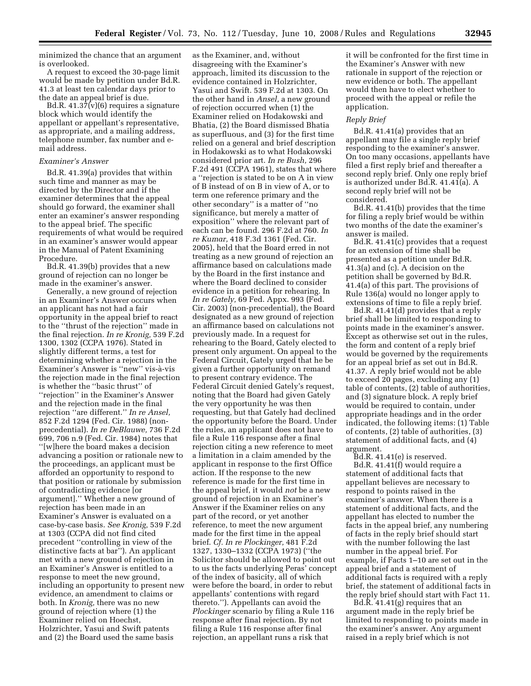minimized the chance that an argument is overlooked.

A request to exceed the 30-page limit would be made by petition under Bd.R. 41.3 at least ten calendar days prior to the date an appeal brief is due.

Bd.R. 41.37(v)(6) requires a signature block which would identify the appellant or appellant's representative, as appropriate, and a mailing address, telephone number, fax number and email address.

#### *Examiner's Answer*

Bd.R. 41.39(a) provides that within such time and manner as may be directed by the Director and if the examiner determines that the appeal should go forward, the examiner shall enter an examiner's answer responding to the appeal brief. The specific requirements of what would be required in an examiner's answer would appear in the Manual of Patent Examining Procedure.

Bd.R. 41.39(b) provides that a new ground of rejection can no longer be made in the examiner's answer.

Generally, a new ground of rejection in an Examiner's Answer occurs when an applicant has not had a fair opportunity in the appeal brief to react to the ''thrust of the rejection'' made in the final rejection. *In re Kronig,* 539 F.2d 1300, 1302 (CCPA 1976). Stated in slightly different terms, a test for determining whether a rejection in the Examiner's Answer is "new" vis-à-vis the rejection made in the final rejection is whether the ''basic thrust'' of ''rejection'' in the Examiner's Answer and the rejection made in the final rejection ''are different.'' *In re Ansel,*  852 F.2d 1294 (Fed. Cir. 1988) (nonprecedential). *In re DeBlauwe,* 736 F.2d 699, 706 n.9 (Fed. Cir. 1984) notes that ''[w]here the board makes a decision advancing a position or rationale new to the proceedings, an applicant must be afforded an opportunity to respond to that position or rationale by submission of contradicting evidence [or argument].'' Whether a new ground of rejection has been made in an Examiner's Answer is evaluated on a case-by-case basis. *See Kronig,* 539 F.2d at 1303 (CCPA did not find cited precedent ''controlling in view of the distinctive facts at bar''). An applicant met with a new ground of rejection in an Examiner's Answer is entitled to a response to meet the new ground, including an opportunity to present new evidence, an amendment to claims or both. In *Kronig,* there was no new ground of rejection where (1) the Examiner relied on Hoechst, Holzrichter, Yasui and Swift patents and (2) the Board used the same basis

as the Examiner, and, without disagreeing with the Examiner's approach, limited its discussion to the evidence contained in Holzrichter, Yasui and Swift. 539 F.2d at 1303. On the other hand in *Ansel,* a new ground of rejection occurred when (1) the Examiner relied on Hodakowski and Bhatia, (2) the Board dismissed Bhatia as superfluous, and (3) for the first time relied on a general and brief description in Hodakowski as to what Hodakowski considered prior art. *In re Bush,* 296 F.2d 491 (CCPA 1961), states that where a ''rejection is stated to be on A in view of B instead of on B in view of A, or to term one reference primary and the other secondary'' is a matter of ''no significance, but merely a matter of exposition'' where the relevant part of each can be found. 296 F.2d at 760. *In re Kumar,* 418 F.3d 1361 (Fed. Cir. 2005), held that the Board erred in not treating as a new ground of rejection an affirmance based on calculations made by the Board in the first instance and where the Board declined to consider evidence in a petition for rehearing. In *In re Gately,* 69 Fed. Appx. 993 (Fed. Cir. 2003) (non-precedential), the Board designated as a new ground of rejection an affirmance based on calculations not previously made. In a request for rehearing to the Board, Gately elected to present only argument. On appeal to the Federal Circuit, Gately urged that he be given a further opportunity on remand to present contrary evidence. The Federal Circuit denied Gately's request, noting that the Board had given Gately the very opportunity he was then requesting, but that Gately had declined the opportunity before the Board. Under the rules, an applicant does not have to file a Rule 116 response after a final rejection citing a new reference to meet a limitation in a claim amended by the applicant in response to the first Office action. If the response to the new reference is made for the first time in the appeal brief, it would *not* be a new ground of rejection in an Examiner's Answer if the Examiner relies on any part of the record, or yet another reference, to meet the new argument made for the first time in the appeal brief. *Cf. In re Plockinger,* 481 F.2d 1327, 1330–1332 (CCPA 1973) (''the Solicitor should be allowed to point out to us the facts underlying Peras' concept of the index of basicity, all of which were before the board, in order to rebut appellants' contentions with regard thereto.''). Appellants can avoid the *Plockinger* scenario by filing a Rule 116 response after final rejection. By not filing a Rule 116 response after final rejection, an appellant runs a risk that

it will be confronted for the first time in the Examiner's Answer with new rationale in support of the rejection or new evidence or both. The appellant would then have to elect whether to proceed with the appeal or refile the application.

#### *Reply Brief*

Bd.R. 41.41(a) provides that an appellant may file a single reply brief responding to the examiner's answer. On too many occasions, appellants have filed a first reply brief and thereafter a second reply brief. Only one reply brief is authorized under Bd.R. 41.41(a). A second reply brief will not be considered.

Bd.R. 41.41(b) provides that the time for filing a reply brief would be within two months of the date the examiner's answer is mailed.

Bd.R. 41.41(c) provides that a request for an extension of time shall be presented as a petition under Bd.R. 41.3(a) and (c). A decision on the petition shall be governed by Bd.R. 41.4(a) of this part. The provisions of Rule 136(a) would no longer apply to extensions of time to file a reply brief.

Bd.R. 41.41(d) provides that a reply brief shall be limited to responding to points made in the examiner's answer. Except as otherwise set out in the rules, the form and content of a reply brief would be governed by the requirements for an appeal brief as set out in Bd.R. 41.37. A reply brief would not be able to exceed 20 pages, excluding any (1) table of contents, (2) table of authorities, and (3) signature block. A reply brief would be required to contain, under appropriate headings and in the order indicated, the following items: (1) Table of contents, (2) table of authorities, (3) statement of additional facts, and (4) argument.

Bd.R. 41.41(e) is reserved.

Bd.R. 41.41(f) would require a statement of additional facts that appellant believes are necessary to respond to points raised in the examiner's answer. When there is a statement of additional facts, and the appellant has elected to number the facts in the appeal brief, any numbering of facts in the reply brief should start with the number following the last number in the appeal brief. For example, if Facts 1–10 are set out in the appeal brief and a statement of additional facts is required with a reply brief, the statement of additional facts in the reply brief should start with Fact 11.

Bd.R. 41.41(g) requires that an argument made in the reply brief be limited to responding to points made in the examiner's answer. Any argument raised in a reply brief which is not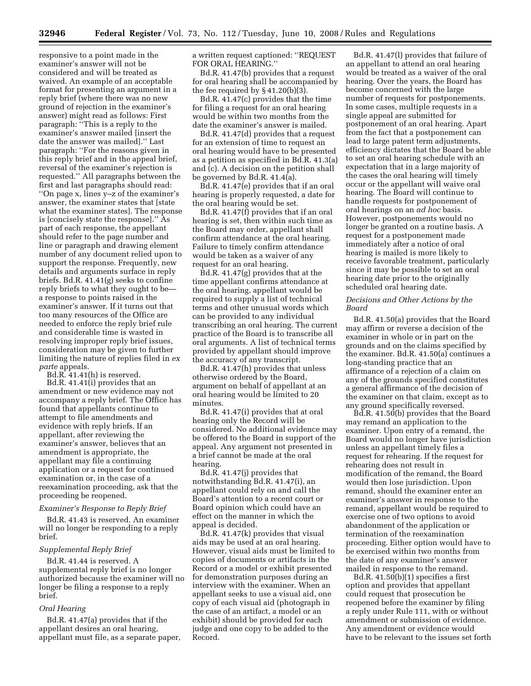responsive to a point made in the examiner's answer will not be considered and will be treated as waived. An example of an acceptable format for presenting an argument in a reply brief (where there was no new ground of rejection in the examiner's answer) might read as follows: First paragraph: ''This is a reply to the examiner's answer mailed [insert the date the answer was mailed].'' Last paragraph: ''For the reasons given in this reply brief and in the appeal brief, reversal of the examiner's rejection is requested.'' All paragraphs between the first and last paragraphs should read: ''On page x, lines y–z of the examiner's answer, the examiner states that [state what the examiner states]. The response is [concisely state the response].'' As part of each response, the appellant should refer to the page number and line or paragraph and drawing element number of any document relied upon to support the response. Frequently, new details and arguments surface in reply briefs. Bd.R. 41.41(g) seeks to confine reply briefs to what they ought to be a response to points raised in the examiner's answer. If it turns out that too many resources of the Office are needed to enforce the reply brief rule and considerable time is wasted in resolving improper reply brief issues, consideration may be given to further limiting the nature of replies filed in *ex parte* appeals.

Bd.R. 41.41(h) is reserved.

Bd.R. 41.41(i) provides that an amendment or new evidence may not accompany a reply brief. The Office has found that appellants continue to attempt to file amendments and evidence with reply briefs. If an appellant, after reviewing the examiner's answer, believes that an amendment is appropriate, the appellant may file a continuing application or a request for continued examination or, in the case of a reexamination proceeding, ask that the proceeding be reopened.

#### *Examiner's Response to Reply Brief*

Bd.R. 41.43 is reserved. An examiner will no longer be responding to a reply brief.

#### *Supplemental Reply Brief*

Bd.R. 41.44 is reserved. A supplemental reply brief is no longer authorized because the examiner will no longer be filing a response to a reply brief.

#### *Oral Hearing*

Bd.R. 41.47(a) provides that if the appellant desires an oral hearing, appellant must file, as a separate paper, a written request captioned: ''REQUEST FOR ORAL HEARING.''

Bd.R. 41.47(b) provides that a request for oral hearing shall be accompanied by the fee required by § 41.20(b)(3).

Bd.R. 41.47(c) provides that the time for filing a request for an oral hearing would be within two months from the date the examiner's answer is mailed.

Bd.R. 41.47(d) provides that a request for an extension of time to request an oral hearing would have to be presented as a petition as specified in Bd.R. 41.3(a) and (c). A decision on the petition shall be governed by Bd.R. 41.4(a).

Bd.R. 41.47(e) provides that if an oral hearing is properly requested, a date for the oral hearing would be set.

Bd.R. 41.47(f) provides that if an oral hearing is set, then within such time as the Board may order, appellant shall confirm attendance at the oral hearing. Failure to timely confirm attendance would be taken as a waiver of any request for an oral hearing.

Bd.R. 41.47(g) provides that at the time appellant confirms attendance at the oral hearing, appellant would be required to supply a list of technical terms and other unusual words which can be provided to any individual transcribing an oral hearing. The current practice of the Board is to transcribe all oral arguments. A list of technical terms provided by appellant should improve the accuracy of any transcript.

Bd.R. 41.47(h) provides that unless otherwise ordered by the Board, argument on behalf of appellant at an oral hearing would be limited to 20 minutes.

Bd.R. 41.47(i) provides that at oral hearing only the Record will be considered. No additional evidence may be offered to the Board in support of the appeal. Any argument not presented in a brief cannot be made at the oral hearing.

Bd.R. 41.47(j) provides that notwithstanding Bd.R. 41.47(i), an appellant could rely on and call the Board's attention to a recent court or Board opinion which could have an effect on the manner in which the appeal is decided.

Bd.R. 41.47(k) provides that visual aids may be used at an oral hearing. However, visual aids must be limited to copies of documents or artifacts in the Record or a model or exhibit presented for demonstration purposes during an interview with the examiner. When an appellant seeks to use a visual aid, one copy of each visual aid (photograph in the case of an artifact, a model or an exhibit) should be provided for each judge and one copy to be added to the Record.

Bd.R. 41.47(l) provides that failure of an appellant to attend an oral hearing would be treated as a waiver of the oral hearing. Over the years, the Board has become concerned with the large number of requests for postponements. In some cases, multiple requests in a single appeal are submitted for postponement of an oral hearing. Apart from the fact that a postponement can lead to large patent term adjustments, efficiency dictates that the Board be able to set an oral hearing schedule with an expectation that in a large majority of the cases the oral hearing will timely occur or the appellant will waive oral hearing. The Board will continue to handle requests for postponement of oral hearings on an *ad hoc* basis. However, postponements would no longer be granted on a routine basis. A request for a postponement made immediately after a notice of oral hearing is mailed is more likely to receive favorable treatment, particularly since it may be possible to set an oral hearing date prior to the originally scheduled oral hearing date.

#### *Decisions and Other Actions by the Board*

Bd.R. 41.50(a) provides that the Board may affirm or reverse a decision of the examiner in whole or in part on the grounds and on the claims specified by the examiner. Bd.R. 41.50(a) continues a long-standing practice that an affirmance of a rejection of a claim on any of the grounds specified constitutes a general affirmance of the decision of the examiner on that claim, except as to any ground specifically reversed.

Bd.R. 41.50(b) provides that the Board may remand an application to the examiner. Upon entry of a remand, the Board would no longer have jurisdiction unless an appellant timely files a request for rehearing. If the request for rehearing does not result in modification of the remand, the Board would then lose jurisdiction. Upon remand, should the examiner enter an examiner's answer in response to the remand, appellant would be required to exercise one of two options to avoid abandonment of the application or termination of the reexamination proceeding. Either option would have to be exercised within two months from the date of any examiner's answer mailed in response to the remand.

Bd.R. 41.50(b)(1) specifies a first option and provides that appellant could request that prosecution be reopened before the examiner by filing a reply under Rule 111, with or without amendment or submission of evidence. Any amendment or evidence would have to be relevant to the issues set forth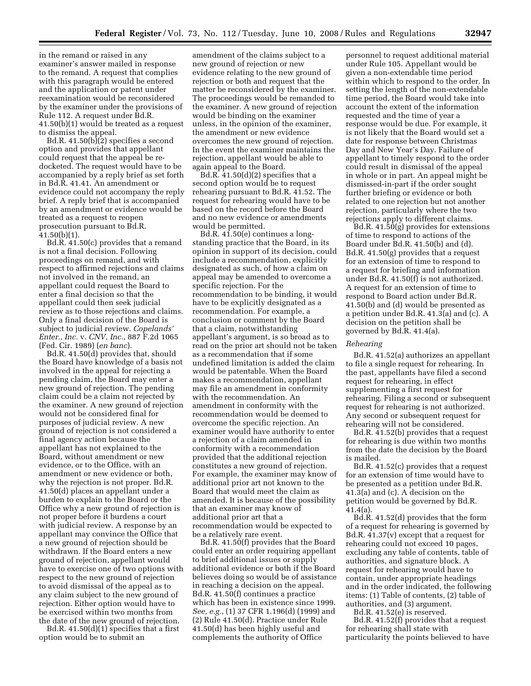in the remand or raised in any examiner's answer mailed in response to the remand. A request that complies with this paragraph would be entered and the application or patent under reexamination would be reconsidered by the examiner under the provisions of Rule 112. A request under Bd.R. 41.50(b)(1) would be treated as a request to dismiss the appeal.

Bd.R. 41.50(b)(2) specifies a second option and provides that appellant could request that the appeal be redocketed. The request would have to be accompanied by a reply brief as set forth in Bd.R. 41.41. An amendment or evidence could not accompany the reply brief. A reply brief that is accompanied by an amendment or evidence would be treated as a request to reopen prosecution pursuant to Bd.R. 41.50(b)(1).

Bd.R. 41.50(c) provides that a remand is not a final decision. Following proceedings on remand, and with respect to affirmed rejections and claims not involved in the remand, an appellant could request the Board to enter a final decision so that the appellant could then seek judicial review as to those rejections and claims. Only a final decision of the Board is subject to judicial review. *Copelands' Enter., Inc.* v. *CNV, Inc.,* 887 F.2d 1065 (Fed. Cir. 1989) (*en banc*).

Bd.R. 41.50(d) provides that, should the Board have knowledge of a basis not involved in the appeal for rejecting a pending claim, the Board may enter a new ground of rejection. The pending claim could be a claim not rejected by the examiner. A new ground of rejection would not be considered final for purposes of judicial review. A new ground of rejection is not considered a final agency action because the appellant has not explained to the Board, without amendment or new evidence, or to the Office, with an amendment or new evidence or both, why the rejection is not proper. Bd.R. 41.50(d) places an appellant under a burden to explain to the Board or the Office why a new ground of rejection is not proper before it burdens a court with judicial review. A response by an appellant may convince the Office that a new ground of rejection should be withdrawn. If the Board enters a new ground of rejection, appellant would have to exercise one of two options with respect to the new ground of rejection to avoid dismissal of the appeal as to any claim subject to the new ground of rejection. Either option would have to be exercised within two months from the date of the new ground of rejection.

Bd.R. 41.50(d)(1) specifies that a first option would be to submit an

amendment of the claims subject to a new ground of rejection or new evidence relating to the new ground of rejection or both and request that the matter be reconsidered by the examiner. The proceedings would be remanded to the examiner. A new ground of rejection would be binding on the examiner unless, in the opinion of the examiner, the amendment or new evidence overcomes the new ground of rejection. In the event the examiner maintains the rejection, appellant would be able to again appeal to the Board.

Bd.R. 41.50(d)(2) specifies that a second option would be to request rehearing pursuant to Bd.R. 41.52. The request for rehearing would have to be based on the record before the Board and no new evidence or amendments would be permitted.

Bd.R. 41.50(e) continues a longstanding practice that the Board, in its opinion in support of its decision, could include a recommendation, explicitly designated as such, of how a claim on appeal may be amended to overcome a specific rejection. For the recommendation to be binding, it would have to be explicitly designated as a recommendation. For example, a conclusion or comment by the Board that a claim, notwithstanding appellant's argument, is so broad as to read on the prior art should not be taken as a recommendation that if some undefined limitation is added the claim would be patentable. When the Board makes a recommendation, appellant may file an amendment in conformity with the recommendation. An amendment in conformity with the recommendation would be deemed to overcome the specific rejection. An examiner would have authority to enter a rejection of a claim amended in conformity with a recommendation provided that the additional rejection constitutes a new ground of rejection. For example, the examiner may know of additional prior art not known to the Board that would meet the claim as amended. It is because of the possibility that an examiner may know of additional prior art that a recommendation would be expected to be a relatively rare event.

Bd.R. 41.50(f) provides that the Board could enter an order requiring appellant to brief additional issues or supply additional evidence or both if the Board believes doing so would be of assistance in reaching a decision on the appeal. Bd.R. 41.50(f) continues a practice which has been in existence since 1999. *See, e.g.*, (1) 37 CFR 1.196(d) (1999) and (2) Rule 41.50(d). Practice under Rule 41.50(d) has been highly useful and complements the authority of Office

personnel to request additional material under Rule 105. Appellant would be given a non-extendable time period within which to respond to the order. In setting the length of the non-extendable time period, the Board would take into account the extent of the information requested and the time of year a response would be due. For example, it is not likely that the Board would set a date for response between Christmas Day and New Year's Day. Failure of appellant to timely respond to the order could result in dismissal of the appeal in whole or in part. An appeal might be dismissed-in-part if the order sought further briefing or evidence or both related to one rejection but not another rejection, particularly where the two rejections apply to different claims.

Bd.R.  $41.\overline{50}$ (g) provides for extensions of time to respond to actions of the Board under Bd.R. 41.50(b) and (d). Bd.R. 41.50(g) provides that a request for an extension of time to respond to a request for briefing and information under Bd.R. 41.50(f) is not authorized. A request for an extension of time to respond to Board action under Bd.R. 41.50(b) and (d) would be presented as a petition under Bd.R. 41.3(a) and (c). A decision on the petition shall be governed by Bd.R. 41.4(a).

#### *Rehearing*

Bd.R. 41.52(a) authorizes an appellant to file a single request for rehearing. In the past, appellants have filed a second request for rehearing, in effect supplementing a first request for rehearing. Filing a second or subsequent request for rehearing is not authorized. Any second or subsequent request for rehearing will not be considered.

Bd.R. 41.52(b) provides that a request for rehearing is due within two months from the date the decision by the Board is mailed.

Bd.R. 41.52(c) provides that a request for an extension of time would have to be presented as a petition under Bd.R. 41.3(a) and (c). A decision on the petition would be governed by Bd.R. 41.4(a).

Bd.R. 41.52(d) provides that the form of a request for rehearing is governed by Bd.R. 41.37(v) except that a request for rehearing could not exceed 10 pages, excluding any table of contents, table of authorities, and signature block. A request for rehearing would have to contain, under appropriate headings and in the order indicated, the following items: (1) Table of contents, (2) table of authorities, and (3) argument.

Bd.R. 41.52(e) is reserved. Bd.R. 41.52(f) provides that a request for rehearing shall state with particularity the points believed to have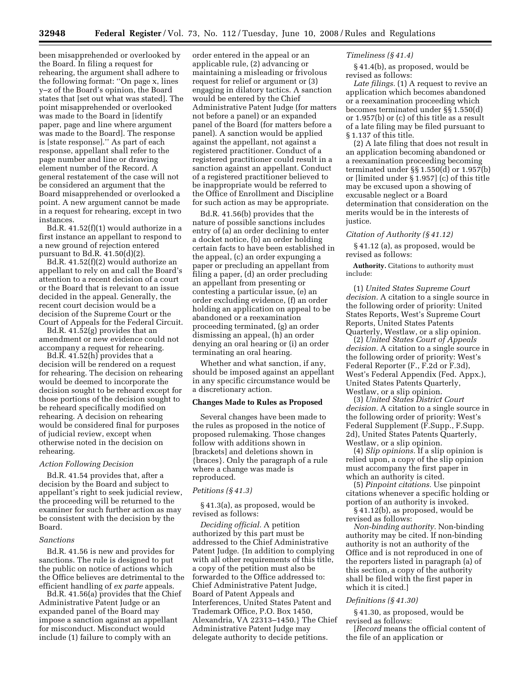**32948 Federal Register** / Vol. 73, No. 112 / Tuesday, June 10, 2008 / Rules and Regulations

been misapprehended or overlooked by the Board. In filing a request for rehearing, the argument shall adhere to the following format: ''On page x, lines y–z of the Board's opinion, the Board states that [set out what was stated]. The point misapprehended or overlooked was made to the Board in [identify paper, page and line where argument was made to the Board]. The response is [state response].'' As part of each response, appellant shall refer to the page number and line or drawing element number of the Record. A general restatement of the case will not be considered an argument that the Board misapprehended or overlooked a point. A new argument cannot be made in a request for rehearing, except in two instances.

Bd.R. 41.52(f)(1) would authorize in a first instance an appellant to respond to a new ground of rejection entered pursuant to Bd.R. 41.50(d)(2).

Bd.R. 41.52(f)(2) would authorize an appellant to rely on and call the Board's attention to a recent decision of a court or the Board that is relevant to an issue decided in the appeal. Generally, the recent court decision would be a decision of the Supreme Court or the Court of Appeals for the Federal Circuit.

Bd.R. 41.52(g) provides that an amendment or new evidence could not accompany a request for rehearing.

Bd.R. 41.52(h) provides that a decision will be rendered on a request for rehearing. The decision on rehearing would be deemed to incorporate the decision sought to be reheard except for those portions of the decision sought to be reheard specifically modified on rehearing. A decision on rehearing would be considered final for purposes of judicial review, except when otherwise noted in the decision on rehearing.

#### *Action Following Decision*

Bd.R. 41.54 provides that, after a decision by the Board and subject to appellant's right to seek judicial review, the proceeding will be returned to the examiner for such further action as may be consistent with the decision by the Board.

#### *Sanctions*

Bd.R. 41.56 is new and provides for sanctions. The rule is designed to put the public on notice of actions which the Office believes are detrimental to the efficient handling of *ex parte* appeals.

Bd.R. 41.56(a) provides that the Chief Administrative Patent Judge or an expanded panel of the Board may impose a sanction against an appellant for misconduct. Misconduct would include (1) failure to comply with an

order entered in the appeal or an applicable rule, (2) advancing or maintaining a misleading or frivolous request for relief or argument or (3) engaging in dilatory tactics. A sanction would be entered by the Chief Administrative Patent Judge (for matters not before a panel) or an expanded panel of the Board (for matters before a panel). A sanction would be applied against the appellant, not against a registered practitioner. Conduct of a registered practitioner could result in a sanction against an appellant. Conduct of a registered practitioner believed to be inappropriate would be referred to the Office of Enrollment and Discipline for such action as may be appropriate.

Bd.R. 41.56(b) provides that the nature of possible sanctions includes entry of (a) an order declining to enter a docket notice, (b) an order holding certain facts to have been established in the appeal, (c) an order expunging a paper or precluding an appellant from filing a paper, (d) an order precluding an appellant from presenting or contesting a particular issue, (e) an order excluding evidence, (f) an order holding an application on appeal to be abandoned or a reexamination proceeding terminated, (g) an order dismissing an appeal, (h) an order denying an oral hearing or (i) an order terminating an oral hearing.

Whether and what sanction, if any, should be imposed against an appellant in any specific circumstance would be a discretionary action.

#### **Changes Made to Rules as Proposed**

Several changes have been made to the rules as proposed in the notice of proposed rulemaking. Those changes follow with additions shown in [brackets] and deletions shown in {braces}. Only the paragraph of a rule where a change was made is reproduced.

#### *Petitions (§ 41.3)*

§ 41.3(a), as proposed, would be revised as follows:

*Deciding official.* A petition authorized by this part must be addressed to the Chief Administrative Patent Judge. {In addition to complying with all other requirements of this title, a copy of the petition must also be forwarded to the Office addressed to: Chief Administrative Patent Judge, Board of Patent Appeals and Interferences, United States Patent and Trademark Office, P.O. Box 1450, Alexandria, VA 22313–1450.} The Chief Administrative Patent Judge may delegate authority to decide petitions.

#### *Timeliness (§ 41.4)*

§ 41.4(b), as proposed, would be revised as follows:

*Late filings.* (1) A request to revive an application which becomes abandoned or a reexamination proceeding which becomes terminated under §§ 1.550(d) or 1.957(b) or (c) of this title as a result of a late filing may be filed pursuant to § 1.137 of this title.

(2) A late filing that does not result in an application becoming abandoned or a reexamination proceeding becoming terminated under §§ 1.550(d) or 1.957(b) or [limited under § 1.957] (c) of this title may be excused upon a showing of excusable neglect or a Board determination that consideration on the merits would be in the interests of justice.

#### *Citation of Authority (§ 41.12)*

§ 41.12 (a), as proposed, would be revised as follows:

**Authority.** Citations to authority must include:

(1) *United States Supreme Court decision.* A citation to a single source in the following order of priority: United States Reports, West's Supreme Court Reports, United States Patents Quarterly, Westlaw, or a slip opinion.

(2) *United States Court of Appeals decision.* A citation to a single source in the following order of priority: West's Federal Reporter (F., F.2d or F.3d), West's Federal Appendix (Fed. Appx.), United States Patents Quarterly, Westlaw, or a slip opinion.

(3) *United States District Court decision.* A citation to a single source in the following order of priority: West's Federal Supplement (F.Supp., F.Supp. 2d), United States Patents Quarterly, Westlaw, or a slip opinion.

(4) *Slip opinions.* If a slip opinion is relied upon, a copy of the slip opinion must accompany the first paper in which an authority is cited.

(5) *Pinpoint citations.* Use pinpoint citations whenever a specific holding or portion of an authority is invoked.

§ 41.12(b), as proposed, would be revised as follows:

*Non-binding authority.* Non-binding authority may be cited. If non-binding authority is not an authority of the Office and is not reproduced in one of the reporters listed in paragraph (a) of this section, a copy of the authority shall be filed with the first paper in which it is cited.]

#### *Definitions (§ 41.30)*

§ 41.30, as proposed, would be revised as follows:

[*Record* means the official content of the file of an application or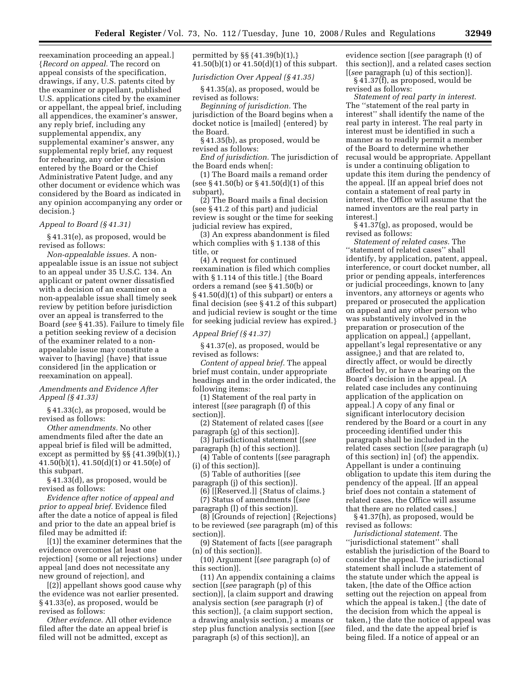reexamination proceeding an appeal.] {*Record on appeal.* The record on appeal consists of the specification, drawings, if any, U.S. patents cited by the examiner or appellant, published U.S. applications cited by the examiner or appellant, the appeal brief, including all appendices, the examiner's answer, any reply brief, including any supplemental appendix, any supplemental examiner's answer, any supplemental reply brief, any request for rehearing, any order or decision entered by the Board or the Chief Administrative Patent Judge, and any other document or evidence which was considered by the Board as indicated in any opinion accompanying any order or decision.}

#### *Appeal to Board (§ 41.31)*

§ 41.31(e), as proposed, would be revised as follows:

*Non-appealable issues.* A nonappealable issue is an issue not subject to an appeal under 35 U.S.C. 134. An applicant or patent owner dissatisfied with a decision of an examiner on a non-appealable issue shall timely seek review by petition before jurisdiction over an appeal is transferred to the Board (*see* § 41.35). Failure to timely file a petition seeking review of a decision of the examiner related to a nonappealable issue may constitute a waiver to [having] {have} that issue considered [in the application or reexamination on appeal].

#### *Amendments and Evidence After Appeal (§ 41.33)*

§ 41.33(c), as proposed, would be revised as follows:

*Other amendments.* No other amendments filed after the date an appeal brief is filed will be admitted, except as permitted by §§ {41.39(b)(1),} 41.50(b)(1), 41.50(d)(1) or 41.50(e) of this subpart.

§ 41.33(d), as proposed, would be revised as follows:

*Evidence after notice of appeal and prior to appeal brief.* Evidence filed after the date a notice of appeal is filed and prior to the date an appeal brief is filed may be admitted if:

[(1)] the examiner determines that the evidence overcomes [at least one rejection] {some or all rejections} under appeal [and does not necessitate any new ground of rejection], and

[(2)] appellant shows good cause why the evidence was not earlier presented. § 41.33(e), as proposed, would be revised as follows:

*Other evidence.* All other evidence filed after the date an appeal brief is filed will not be admitted, except as

permitted by §§ {41.39(b)(1),} 41.50(b)(1) or 41.50(d)(1) of this subpart.

*Jurisdiction Over Appeal (§ 41.35)* 

§ 41.35(a), as proposed, would be revised as follows:

*Beginning of jurisdiction.* The jurisdiction of the Board begins when a docket notice is [mailed] {entered} by the Board.

§ 41.35(b), as proposed, would be revised as follows:

*End of jurisdiction.* The jurisdiction of the Board ends when[:

(1) The Board mails a remand order (see § 41.50(b) or § 41.50(d)(1) of this subpart),

(2) The Board mails a final decision (see § 41.2 of this part) and judicial review is sought or the time for seeking judicial review has expired,

(3) An express abandonment is filed which complies with § 1.138 of this title, or

(4) A request for continued reexamination is filed which complies with § 1.114 of this title.] {the Board orders a remand (see § 41.50(b) or § 41.50(d)(1) of this subpart) or enters a final decision (see § 41.2 of this subpart) and judicial review is sought or the time for seeking judicial review has expired.}

#### *Appeal Brief (§ 41.37)*

§ 41.37(e), as proposed, would be revised as follows:

*Content of appeal brief.* The appeal brief must contain, under appropriate headings and in the order indicated, the following items:

(1) Statement of the real party in interest [(*see* paragraph (f) of this section)].

(2) Statement of related cases [(*see*  paragraph (g) of this section)].

(3) Jurisdictional statement [(*see*  paragraph (h) of this section)].

(4) Table of contents [(*see* paragraph (i) of this section)].

(5) Table of authorities [(*see*  paragraph (j) of this section)].

(6) [[Reserved.]] {Status of claims.} (7) Status of amendments [(*see* 

paragraph (l) of this section)].

(8) [Grounds of rejection] {Rejections} to be reviewed (*see* paragraph (m) of this section)].

(9) Statement of facts [(*see* paragraph (n) of this section)].

(10) Argument [(*see* paragraph (o) of this section)].

(11) An appendix containing a claims section [(*see* paragraph (p) of this section)], [a claim support and drawing analysis section (*see* paragraph (r) of this section)], {a claim support section, a drawing analysis section,} a means or step plus function analysis section [(*see*  paragraph (s) of this section)], an

evidence section [(*see* paragraph (t) of this section)], and a related cases section [(*see* paragraph (u) of this section)].

§ 41.37(f), as proposed, would be revised as follows:

*Statement of real party in interest.*  The ''statement of the real party in interest'' shall identify the name of the real party in interest. The real party in interest must be identified in such a manner as to readily permit a member of the Board to determine whether recusal would be appropriate. Appellant is under a continuing obligation to update this item during the pendency of the appeal. [If an appeal brief does not contain a statement of real party in interest, the Office will assume that the named inventors are the real party in interest.]

§ 41.37(g), as proposed, would be revised as follows:

*Statement of related cases.* The ''statement of related cases'' shall identify, by application, patent, appeal, interference, or court docket number, all prior or pending appeals, interferences or judicial proceedings, known to [any inventors, any attorneys or agents who prepared or prosecuted the application on appeal and any other person who was substantively involved in the preparation or prosecution of the application on appeal,] {appellant, appellant's legal representative or any assignee,} and that are related to, directly affect, or would be directly affected by, or have a bearing on the Board's decision in the appeal. [A related case includes any continuing application of the application on appeal.] A copy of any final or significant interlocutory decision rendered by the Board or a court in any proceeding identified under this paragraph shall be included in the related cases section [(*see* paragraph (u) of this section) in] {of} the appendix. Appellant is under a continuing obligation to update this item during the pendency of the appeal. [If an appeal brief does not contain a statement of related cases, the Office will assume that there are no related cases.]

§ 41.37(h), as proposed, would be revised as follows:

*Jurisdictional statement.* The ''jurisdictional statement'' shall establish the jurisdiction of the Board to consider the appeal. The jurisdictional statement shall include a statement of the statute under which the appeal is taken, [the date of the Office action setting out the rejection on appeal from which the appeal is taken,] {the date of the decision from which the appeal is taken,} the date the notice of appeal was filed, and the date the appeal brief is being filed. If a notice of appeal or an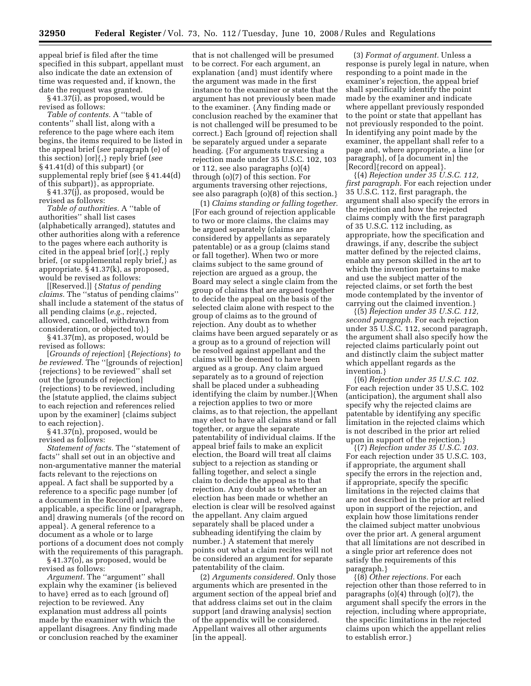appeal brief is filed after the time specified in this subpart, appellant must also indicate the date an extension of time was requested and, if known, the date the request was granted.

§ 41.37(i), as proposed, would be revised as follows:

*Table of contents.* A ''table of contents'' shall list, along with a reference to the page where each item begins, the items required to be listed in the appeal brief (*see* paragraph (e) of this section) [or]{,} reply brief (*see*   $§$  41.41(d) of this subpart) {or supplemental reply brief (see § 41.44(d) of this subpart)}, as appropriate.

§ 41.37(j), as proposed, would be revised as follows:

*Table of authorities.* A ''table of authorities'' shall list cases (alphabetically arranged), statutes and other authorities along with a reference to the pages where each authority is cited in the appeal brief [or]{,} reply brief, {or supplemental reply brief,} as appropriate. § 41.37(k), as proposed, would be revised as follows:

[[Reserved.]] {*Status of pending claims.* The ''status of pending claims'' shall include a statement of the status of all pending claims (*e.g.*, rejected, allowed, cancelled, withdrawn from consideration, or objected to).}

§ 41.37(m), as proposed, would be revised as follows:

[*Grounds of rejection*] {*Rejections*} *to be reviewed.* The ''[grounds of rejection] {rejections} to be reviewed'' shall set out the [grounds of rejection] {rejections} to be reviewed, including the [statute applied, the claims subject to each rejection and references relied upon by the examiner] {claims subject to each rejection}.

§ 41.37(n), proposed, would be revised as follows:

*Statement of facts.* The ''statement of facts'' shall set out in an objective and non-argumentative manner the material facts relevant to the rejections on appeal. A fact shall be supported by a reference to a specific page number [of a document in the Record] and, where applicable, a specific line or [paragraph, and] drawing numerals {of the record on appeal}. A general reference to a document as a whole or to large portions of a document does not comply with the requirements of this paragraph. § 41.37(o), as proposed, would be

revised as follows:

*Argument.* The ''argument'' shall explain why the examiner {is believed to have} erred as to each [ground of] rejection to be reviewed. Any explanation must address all points made by the examiner with which the appellant disagrees. Any finding made or conclusion reached by the examiner

that is not challenged will be presumed to be correct. For each argument, an explanation {and} must identify where the argument was made in the first instance to the examiner or state that the argument has not previously been made to the examiner. {Any finding made or conclusion reached by the examiner that is not challenged will be presumed to be correct.} Each [ground of] rejection shall be separately argued under a separate heading. {For arguments traversing a rejection made under 35 U.S.C. 102, 103 or 112, see also paragraphs (o)(4) through (o)(7) of this section. For arguments traversing other rejections, see also paragraph (o)(8) of this section.}

(1) *Claims standing or falling together.*  [For each ground of rejection applicable to two or more claims, the claims may be argued separately (claims are considered by appellants as separately patentable) or as a group (claims stand or fall together). When two or more claims subject to the same ground of rejection are argued as a group, the Board may select a single claim from the group of claims that are argued together to decide the appeal on the basis of the selected claim alone with respect to the group of claims as to the ground of rejection. Any doubt as to whether claims have been argued separately or as a group as to a ground of rejection will be resolved against appellant and the claims will be deemed to have been argued as a group. Any claim argued separately as to a ground of rejection shall be placed under a subheading identifying the claim by number.]{When a rejection applies to two or more claims, as to that rejection, the appellant may elect to have all claims stand or fall together, or argue the separate patentability of individual claims. If the appeal brief fails to make an explicit election, the Board will treat all claims subject to a rejection as standing or falling together, and select a single claim to decide the appeal as to that rejection. Any doubt as to whether an election has been made or whether an election is clear will be resolved against the appellant. Any claim argued separately shall be placed under a subheading identifying the claim by number.} A statement that merely points out what a claim recites will not be considered an argument for separate patentability of the claim.

(2) *Arguments considered.* Only those arguments which are presented in the argument section of the appeal brief and that address claims set out in the claim support [and drawing analysis] section of the appendix will be considered. Appellant waives all other arguments [in the appeal].

(3) *Format of argument.* Unless a response is purely legal in nature, when responding to a point made in the examiner's rejection, the appeal brief shall specifically identify the point made by the examiner and indicate where appellant previously responded to the point or state that appellant has not previously responded to the point. In identifying any point made by the examiner, the appellant shall refer to a page and, where appropriate, a line [or paragraph], of [a document in] the [Record]{record on appeal}.

{(4) *Rejection under 35 U.S.C. 112, first paragraph.* For each rejection under 35 U.S.C. 112, first paragraph, the argument shall also specify the errors in the rejection and how the rejected claims comply with the first paragraph of 35 U.S.C. 112 including, as appropriate, how the specification and drawings, if any, describe the subject matter defined by the rejected claims, enable any person skilled in the art to which the invention pertains to make and use the subject matter of the rejected claims, or set forth the best mode contemplated by the inventor of carrying out the claimed invention.}

{(5) *Rejection under 35 U.S.C. 112, second paragraph.* For each rejection under 35 U.S.C. 112, second paragraph, the argument shall also specify how the rejected claims particularly point out and distinctly claim the subject matter which appellant regards as the invention.}

{(6) *Rejection under 35 U.S.C. 102.*  For each rejection under 35 U.S.C. 102 (anticipation), the argument shall also specify why the rejected claims are patentable by identifying any specific limitation in the rejected claims which is not described in the prior art relied upon in support of the rejection.}

{(7) *Rejection under 35 U.S.C. 103.*  For each rejection under 35 U.S.C. 103, if appropriate, the argument shall specify the errors in the rejection and, if appropriate, specify the specific limitations in the rejected claims that are not described in the prior art relied upon in support of the rejection, and explain how those limitations render the claimed subject matter unobvious over the prior art. A general argument that all limitations are not described in a single prior art reference does not satisfy the requirements of this paragraph.}

{(8) *Other rejections.* For each rejection other than those referred to in paragraphs (o)(4) through (o)(7), the argument shall specify the errors in the rejection, including where appropriate, the specific limitations in the rejected claims upon which the appellant relies to establish error.}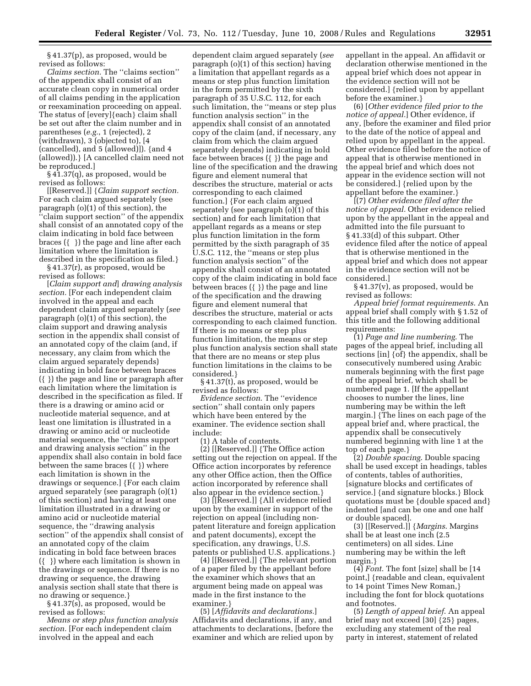§ 41.37(p), as proposed, would be revised as follows:

*Claims section.* The ''claims section'' of the appendix shall consist of an accurate clean copy in numerical order of all claims pending in the application or reexamination proceeding on appeal. The status of [every]{each} claim shall be set out after the claim number and in parentheses (*e.g.*, 1 (rejected), 2 (withdrawn), 3 (objected to), [4 (cancelled), and 5 (allowed)]). {and 4 (allowed)).} [A cancelled claim need not be reproduced.]

§ 41.37(q), as proposed, would be revised as follows:

[[Reserved.]] {*Claim support section.*  For each claim argued separately (see paragraph (o)(1) of this section), the ''claim support section'' of the appendix shall consist of an annotated copy of the claim indicating in bold face between braces ({ }) the page and line after each limitation where the limitation is described in the specification as filed.}

§ 41.37(r), as proposed, would be revised as follows:

[*Claim support and*] *drawing analysis section.* [For each independent claim involved in the appeal and each dependent claim argued separately (*see*  paragraph (o)(1) of this section), the claim support and drawing analysis section in the appendix shall consist of an annotated copy of the claim (and, if necessary, any claim from which the claim argued separately depends) indicating in bold face between braces ({ }) the page and line or paragraph after each limitation where the limitation is described in the specification as filed. If there is a drawing or amino acid or nucleotide material sequence, and at least one limitation is illustrated in a drawing or amino acid or nucleotide material sequence, the ''claims support and drawing analysis section'' in the appendix shall also contain in bold face between the same braces ({ }) where each limitation is shown in the drawings or sequence.] {For each claim argued separately (see paragraph (o)(1) of this section) and having at least one limitation illustrated in a drawing or amino acid or nucleotide material sequence, the ''drawing analysis section'' of the appendix shall consist of an annotated copy of the claim indicating in bold face between braces ({ }) where each limitation is shown in the drawings or sequence. If there is no drawing or sequence, the drawing analysis section shall state that there is no drawing or sequence.}

§ 41.37(s), as proposed, would be revised as follows:

*Means or step plus function analysis section.* [For each independent claim involved in the appeal and each

dependent claim argued separately (*see*  paragraph (o)(1) of this section) having a limitation that appellant regards as a means or step plus function limitation in the form permitted by the sixth paragraph of 35 U.S.C. 112, for each such limitation, the ''means or step plus function analysis section'' in the appendix shall consist of an annotated copy of the claim (and, if necessary, any claim from which the claim argued separately depends) indicating in bold face between braces ({ }) the page and line of the specification and the drawing figure and element numeral that describes the structure, material or acts corresponding to each claimed function.] {For each claim argued separately (see paragraph (o)(1) of this section) and for each limitation that appellant regards as a means or step plus function limitation in the form permitted by the sixth paragraph of 35 U.S.C. 112, the ''means or step plus function analysis section'' of the appendix shall consist of an annotated copy of the claim indicating in bold face between braces ({ }) the page and line of the specification and the drawing figure and element numeral that describes the structure, material or acts corresponding to each claimed function. If there is no means or step plus function limitation, the means or step plus function analysis section shall state that there are no means or step plus function limitations in the claims to be considered.}

§ 41.37(t), as proposed, would be revised as follows:

*Evidence section*. The ''evidence section'' shall contain only papers which have been entered by the examiner. The evidence section shall include:

(1) A table of contents.

(2) [[Reserved.]] {The Office action setting out the rejection on appeal. If the Office action incorporates by reference any other Office action, then the Office action incorporated by reference shall also appear in the evidence section.}

(3) [[Reserved.]] {All evidence relied upon by the examiner in support of the rejection on appeal (including nonpatent literature and foreign application and patent documents), except the specification, any drawings, U.S. patents or published U.S. applications.}

(4) [[Reserved.]] {The relevant portion of a paper filed by the appellant before the examiner which shows that an argument being made on appeal was made in the first instance to the examiner.}

(5) [*Affidavits and declarations.*] Affidavits and declarations, if any, and attachments to declarations, [before the examiner and which are relied upon by appellant in the appeal. An affidavit or declaration otherwise mentioned in the appeal brief which does not appear in the evidence section will not be considered.] {relied upon by appellant before the examiner.}

(6) [*Other evidence filed prior to the notice of appeal.*] Other evidence, if any, [before the examiner and filed prior to the date of the notice of appeal and relied upon by appellant in the appeal. Other evidence filed before the notice of appeal that is otherwise mentioned in the appeal brief and which does not appear in the evidence section will not be considered.] {relied upon by the appellant before the examiner.}

[(7) *Other evidence filed after the notice of appeal.* Other evidence relied upon by the appellant in the appeal and admitted into the file pursuant to § 41.33(d) of this subpart. Other evidence filed after the notice of appeal that is otherwise mentioned in the appeal brief and which does not appear in the evidence section will not be considered.]

§ 41.37(v), as proposed, would be revised as follows:

*Appeal brief format requirements*. An appeal brief shall comply with § 1.52 of this title and the following additional requirements:

(1) *Page and line numbering*. The pages of the appeal brief, including all sections [in] {of} the appendix, shall be consecutively numbered using Arabic numerals beginning with the first page of the appeal brief, which shall be numbered page 1. [If the appellant chooses to number the lines, line numbering may be within the left margin.] {The lines on each page of the appeal brief and, where practical, the appendix shall be consecutively numbered beginning with line 1 at the top of each page.}

(2) *Double spacing*. Double spacing shall be used except in headings, tables of contents, tables of authorities, [signature blocks and certificates of service.] {and signature blocks.} Block quotations must be {double spaced and} indented [and can be one and one half or double spaced].

(3) [[Reserved.]] {*Margins*. Margins shall be at least one inch (2.5 centimeters) on all sides. Line numbering may be within the left margin.}

(4) *Font*. The font [size] shall be [14 point,] {readable and clean, equivalent to 14 point Times New Roman,} including the font for block quotations and footnotes.

(5) *Length of appeal brief*. An appeal brief may not exceed [30] {25} pages, excluding any statement of the real party in interest, statement of related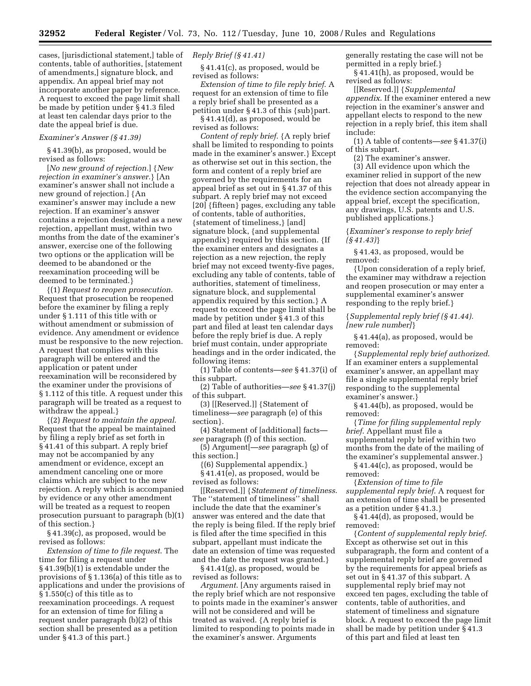cases, [jurisdictional statement,] table of contents, table of authorities, [statement of amendments,] signature block, and appendix. An appeal brief may not incorporate another paper by reference. A request to exceed the page limit shall be made by petition under § 41.3 filed at least ten calendar days prior to the date the appeal brief is due.

#### *Examiner's Answer (§ 41.39)*

§ 41.39(b), as proposed, would be revised as follows:

[*No new ground of rejection.*] {*New rejection in examiner's answer.*} [An examiner's answer shall not include a new ground of rejection.] {An examiner's answer may include a new rejection. If an examiner's answer contains a rejection designated as a new rejection, appellant must, within two months from the date of the examiner's answer, exercise one of the following two options or the application will be deemed to be abandoned or the reexamination proceeding will be deemed to be terminated.}

{(1) *Request to reopen prosecution*. Request that prosecution be reopened before the examiner by filing a reply under § 1.111 of this title with or without amendment or submission of evidence. Any amendment or evidence must be responsive to the new rejection. A request that complies with this paragraph will be entered and the application or patent under reexamination will be reconsidered by the examiner under the provisions of § 1.112 of this title. A request under this paragraph will be treated as a request to withdraw the appeal.}

{(2) *Request to maintain the appeal*. Request that the appeal be maintained by filing a reply brief as set forth in § 41.41 of this subpart. A reply brief may not be accompanied by any amendment or evidence, except an amendment canceling one or more claims which are subject to the new rejection. A reply which is accompanied by evidence or any other amendment will be treated as a request to reopen prosecution pursuant to paragraph (b)(1) of this section.}

§ 41.39(c), as proposed, would be revised as follows:

*Extension of time to file request*. The time for filing a request under § 41.39(b)(1) is extendable under the provisions of § 1.136(a) of this title as to applications and under the provisions of § 1.550(c) of this title as to reexamination proceedings. A request for an extension of time for filing a request under paragraph (b)(2) of this section shall be presented as a petition under § 41.3 of this part.}

#### *Reply Brief (§ 41.41)*

§ 41.41(c), as proposed, would be revised as follows:

*Extension of time to file reply brief*. A request for an extension of time to file a reply brief shall be presented as a petition under § 41.3 of this {sub}part.

§ 41.41(d), as proposed, would be revised as follows:

*Content of reply brief*. {A reply brief shall be limited to responding to points made in the examiner's answer.} Except as otherwise set out in this section, the form and content of a reply brief are governed by the requirements for an appeal brief as set out in § 41.37 of this subpart. A reply brief may not exceed [20] {fifteen} pages, excluding any table of contents, table of authorities, {statement of timeliness,} [and] signature block, {and supplemental appendix} required by this section. {If the examiner enters and designates a rejection as a new rejection, the reply brief may not exceed twenty-five pages, excluding any table of contents, table of authorities, statement of timeliness, signature block, and supplemental appendix required by this section.} A request to exceed the page limit shall be made by petition under § 41.3 of this part and filed at least ten calendar days before the reply brief is due. A reply brief must contain, under appropriate headings and in the order indicated, the following items:

(1) Table of contents—*see* § 41.37(i) of this subpart.

(2) Table of authorities—*see* § 41.37(j) of this subpart.

(3) [[Reserved.]] {Statement of timeliness—*see* paragraph (e) of this section}.

(4) Statement of [additional] facts *see* paragraph (f) of this section.

(5) Argument[—*see* paragraph (g) of this section.]

{(6) Supplemental appendix.} § 41.41(e), as proposed, would be revised as follows:

[[Reserved.]] {*Statement of timeliness*. The ''statement of timeliness'' shall include the date that the examiner's answer was entered and the date that the reply is being filed. If the reply brief is filed after the time specified in this subpart, appellant must indicate the date an extension of time was requested and the date the request was granted.}

§ 41.41(g), as proposed, would be revised as follows:

*Argument*. [Any arguments raised in the reply brief which are not responsive to points made in the examiner's answer will not be considered and will be treated as waived. {A reply brief is limited to responding to points made in the examiner's answer. Arguments

generally restating the case will not be permitted in a reply brief.}

§ 41.41(h), as proposed, would be revised as follows:

[[Reserved.]] {*Supplemental appendix*. If the examiner entered a new rejection in the examiner's answer and appellant elects to respond to the new rejection in a reply brief, this item shall include:

(1) A table of contents—*see* § 41.37(i) of this subpart.

(2) The examiner's answer.

(3) All evidence upon which the examiner relied in support of the new rejection that does not already appear in the evidence section accompanying the appeal brief, except the specification, any drawings, U.S. patents and U.S. published applications.}

{*Examiner's response to reply brief (§ 41.43)*}

§ 41.43, as proposed, would be removed:

{Upon consideration of a reply brief, the examiner may withdraw a rejection and reopen prosecution or may enter a supplemental examiner's answer responding to the reply brief.}

{*Supplemental reply brief (§ 41.44). [new rule number]*}

§ 41.44(a), as proposed, would be removed:

{*Supplemental reply brief authorized*. If an examiner enters a supplemental examiner's answer, an appellant may file a single supplemental reply brief responding to the supplemental examiner's answer.}

§ 41.44(b), as proposed, would be removed:

{*Time for filing supplemental reply brief*. Appellant must file a supplemental reply brief within two months from the date of the mailing of the examiner's supplemental answer.}

§ 41.44(c), as proposed, would be removed:

{*Extension of time to file supplemental reply brief*. A request for an extension of time shall be presented as a petition under § 41.3.}

§ 41.44(d), as proposed, would be removed:

{*Content of supplemental reply brief*. Except as otherwise set out in this subparagraph, the form and content of a supplemental reply brief are governed by the requirements for appeal briefs as set out in § 41.37 of this subpart. A supplemental reply brief may not exceed ten pages, excluding the table of contents, table of authorities, and statement of timeliness and signature block. A request to exceed the page limit shall be made by petition under § 41.3 of this part and filed at least ten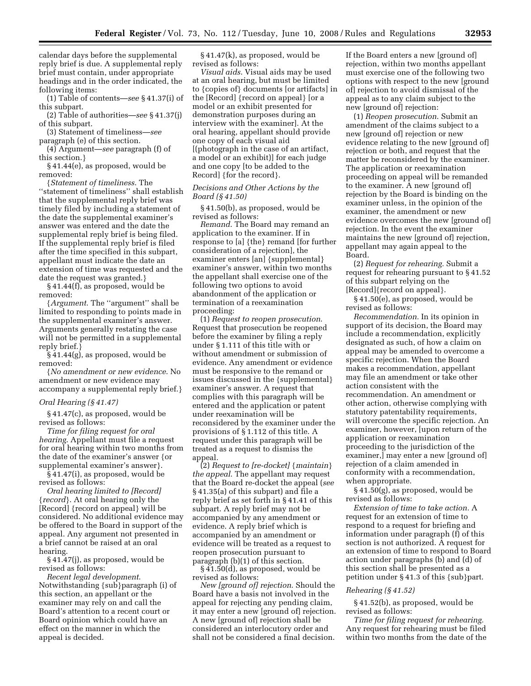calendar days before the supplemental reply brief is due. A supplemental reply brief must contain, under appropriate headings and in the order indicated, the following items:

(1) Table of contents—*see* § 41.37(i) of this subpart.

(2) Table of authorities—*see* § 41.37(j) of this subpart.

(3) Statement of timeliness—*see*  paragraph (e) of this section.

(4) Argument—*see* paragraph (f) of this section.}

§ 41.44(e), as proposed, would be removed:

{*Statement of timeliness*. The ''statement of timeliness'' shall establish that the supplemental reply brief was timely filed by including a statement of the date the supplemental examiner's answer was entered and the date the supplemental reply brief is being filed. If the supplemental reply brief is filed after the time specified in this subpart, appellant must indicate the date an extension of time was requested and the date the request was granted.}

§ 41.44(f), as proposed, would be removed:

{*Argument*. The ''argument'' shall be limited to responding to points made in the supplemental examiner's answer. Arguments generally restating the case will not be permitted in a supplemental reply brief.}

§ 41.44(g), as proposed, would be removed:

{*No amendment or new evidence*. No amendment or new evidence may accompany a supplemental reply brief.}

*Oral Hearing (§ 41.47)* 

§ 41.47(c), as proposed, would be revised as follows:

*Time for filing request for oral hearing*. Appellant must file a request for oral hearing within two months from the date of the examiner's answer {or supplemental examiner's answer}.

§ 41.47(i), as proposed, would be revised as follows:

*Oral hearing limited to [Record]*  {*record*}. At oral hearing only the [Record] {record on appeal} will be considered. No additional evidence may be offered to the Board in support of the appeal. Any argument not presented in a brief cannot be raised at an oral hearing.

§ 41.47(j), as proposed, would be revised as follows:

*Recent legal development*. Notwithstanding {sub}paragraph (i) of this section, an appellant or the examiner may rely on and call the Board's attention to a recent court or Board opinion which could have an effect on the manner in which the appeal is decided.

§ 41.47(k), as proposed, would be revised as follows:

*Visual aids*. Visual aids may be used at an oral hearing, but must be limited to {copies of} documents [or artifacts] in the [Record] {record on appeal} [or a model or an exhibit presented for demonstration purposes during an interview with the examiner]. At the oral hearing, appellant should provide one copy of each visual aid [(photograph in the case of an artifact, a model or an exhibit)] for each judge and one copy [to be added to the Record] {for the record}.

#### *Decisions and Other Actions by the Board (§ 41.50)*

§ 41.50(b), as proposed, would be revised as follows:

*Remand*. The Board may remand an application to the examiner. If in response to [a] {the} remand [for further consideration of a rejection], the examiner enters [an] {supplemental} examiner's answer, within two months the appellant shall exercise one of the following two options to avoid abandonment of the application or termination of a reexamination proceeding:

(1) *Request to reopen prosecution*. Request that prosecution be reopened before the examiner by filing a reply under § 1.111 of this title with or without amendment or submission of evidence. Any amendment or evidence must be responsive to the remand or issues discussed in the {supplemental} examiner's answer. A request that complies with this paragraph will be entered and the application or patent under reexamination will be reconsidered by the examiner under the provisions of § 1.112 of this title. A request under this paragraph will be treated as a request to dismiss the appeal.

(2) *Request to [re-docket]* {*maintain*} *the appeal*. The appellant may request that the Board re-docket the appeal (*see*  § 41.35(a) of this subpart) and file a reply brief as set forth in § 41.41 of this subpart. A reply brief may not be accompanied by any amendment or evidence. A reply brief which is accompanied by an amendment or evidence will be treated as a request to reopen prosecution pursuant to paragraph (b)(1) of this section.

§ 41.50(d), as proposed, would be revised as follows:

*New [ground of] rejection*. Should the Board have a basis not involved in the appeal for rejecting any pending claim, it may enter a new [ground of] rejection. A new [ground of] rejection shall be considered an interlocutory order and shall not be considered a final decision.

If the Board enters a new [ground of] rejection, within two months appellant must exercise one of the following two options with respect to the new [ground of] rejection to avoid dismissal of the appeal as to any claim subject to the new [ground of] rejection:

(1) *Reopen prosecution*. Submit an amendment of the claims subject to a new [ground of] rejection or new evidence relating to the new [ground of] rejection or both, and request that the matter be reconsidered by the examiner. The application or reexamination proceeding on appeal will be remanded to the examiner. A new [ground of] rejection by the Board is binding on the examiner unless, in the opinion of the examiner, the amendment or new evidence overcomes the new [ground of] rejection. In the event the examiner maintains the new [ground of] rejection, appellant may again appeal to the Board.

(2) *Request for rehearing.* Submit a request for rehearing pursuant to § 41.52 of this subpart relying on the [Record]{record on appeal}.

§ 41.50(e), as proposed, would be revised as follows:

*Recommendation.* In its opinion in support of its decision, the Board may include a recommendation, explicitly designated as such, of how a claim on appeal may be amended to overcome a specific rejection. When the Board makes a recommendation, appellant may file an amendment or take other action consistent with the recommendation. An amendment or other action, otherwise complying with statutory patentability requirements, will overcome the specific rejection. An examiner, however, [upon return of the application or reexamination proceeding to the jurisdiction of the examiner,] may enter a new [ground of] rejection of a claim amended in conformity with a recommendation, when appropriate.

§ 41.50(g), as proposed, would be revised as follows:

*Extension of time to take action.* A request for an extension of time to respond to a request for briefing and information under paragraph (f) of this section is not authorized. A request for an extension of time to respond to Board action under paragraphs (b) and (d) of this section shall be presented as a petition under § 41.3 of this {sub}part.

#### *Rehearing (§ 41.52)*

§ 41.52(b), as proposed, would be revised as follows:

*Time for filing request for rehearing.*  Any request for rehearing must be filed within two months from the date of the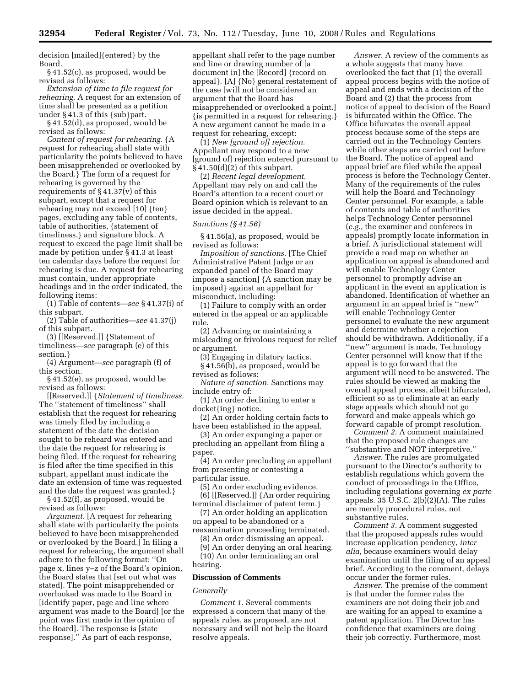decision [mailed]{entered} by the Board.

§ 41.52(c), as proposed, would be revised as follows:

*Extension of time to file request for rehearing.* A request for an extension of time shall be presented as a petition under § 41.3 of this {sub}part.

§ 41.52(d), as proposed, would be revised as follows:

*Content of request for rehearing.* {A request for rehearing shall state with particularity the points believed to have been misapprehended or overlooked by the Board.} The form of a request for rehearing is governed by the requirements of  $\S 41.37(v)$  of this subpart, except that a request for rehearing may not exceed [10] {ten} pages, excluding any table of contents, table of authorities, {statement of timeliness,} and signature block. A request to exceed the page limit shall be made by petition under § 41.3 at least ten calendar days before the request for rehearing is due. A request for rehearing must contain, under appropriate headings and in the order indicated, the following items:

(1) Table of contents—*see* § 41.37(i) of this subpart.

(2) Table of authorities—*see* 41.37(j) of this subpart.

(3) [[Reserved.]] {Statement of timeliness—*see* paragraph (e) of this section.}

(4) Argument—*see* paragraph (f) of this section.

§ 41.52(e), as proposed, would be revised as follows:

[[Reserved.]] {*Statement of timeliness.*  The ''statement of timeliness'' shall establish that the request for rehearing was timely filed by including a statement of the date the decision sought to be reheard was entered and the date the request for rehearing is being filed. If the request for rehearing is filed after the time specified in this subpart, appellant must indicate the date an extension of time was requested and the date the request was granted.}

§ 41.52(f), as proposed, would be revised as follows:

*Argument.* [A request for rehearing shall state with particularity the points believed to have been misapprehended or overlooked by the Board.] In filing a request for rehearing, the argument shall adhere to the following format: ''On page x, lines y–z of the Board's opinion, the Board states that [set out what was stated]. The point misapprehended or overlooked was made to the Board in [identify paper, page and line where argument was made to the Board] [or the point was first made in the opinion of the Board]. The response is [state response].'' As part of each response,

appellant shall refer to the page number and line or drawing number of [a document in] the [Record] {record on appeal}. [A] {No} general restatement of the case [will not be considered an argument that the Board has misapprehended or overlooked a point.] {is permitted in a request for rehearing.} A new argument cannot be made in a request for rehearing, except:

(1) *New [ground of] rejection.*  Appellant may respond to a new [ground of] rejection entered pursuant to  $\S 41.50(d)(2)$  of this subpart.

(2) *Recent legal development.*  Appellant may rely on and call the Board's attention to a recent court or Board opinion which is relevant to an issue decided in the appeal.

#### *Sanctions (§ 41.56)*

§ 41.56(a), as proposed, would be revised as follows:

*Imposition of sanctions.* [The Chief Administrative Patent Judge or an expanded panel of the Board may impose a sanction] {A sanction may be imposed} against an appellant for misconduct, including:

(1) Failure to comply with an order entered in the appeal or an applicable rule.

(2) Advancing or maintaining a misleading or frivolous request for relief or argument.

(3) Engaging in dilatory tactics. § 41.56(b), as proposed, would be

revised as follows:

*Nature of sanction.* Sanctions may include entry of:

(1) An order declining to enter a docket{ing} notice.

(2) An order holding certain facts to have been established in the appeal.

(3) An order expunging a paper or precluding an appellant from filing a paper.

(4) An order precluding an appellant from presenting or contesting a particular issue.

(5) An order excluding evidence.

(6) [[Reserved.]] {An order requiring terminal disclaimer of patent term.}

(7) An order holding an application on appeal to be abandoned or a reexamination proceeding terminated.

(8) An order dismissing an appeal.

(9) An order denying an oral hearing. (10) An order terminating an oral hearing.

#### **Discussion of Comments**

#### *Generally*

*Comment 1.* Several comments expressed a concern that many of the appeals rules, as proposed, are not necessary and will not help the Board resolve appeals.

*Answer.* A review of the comments as a whole suggests that many have overlooked the fact that (1) the overall appeal process begins with the notice of appeal and ends with a decision of the Board and (2) that the process from notice of appeal to decision of the Board is bifurcated within the Office. The Office bifurcates the overall appeal process because some of the steps are carried out in the Technology Centers while other steps are carried out before the Board. The notice of appeal and appeal brief are filed while the appeal process is before the Technology Center. Many of the requirements of the rules will help the Board and Technology Center personnel. For example, a table of contents and table of authorities helps Technology Center personnel (*e.g.*, the examiner and conferees in appeals) promptly locate information in a brief. A jurisdictional statement will provide a road map on whether an application on appeal is abandoned and will enable Technology Center personnel to promptly advise an applicant in the event an application is abandoned. Identification of whether an argument in an appeal brief is ''new'' will enable Technology Center personnel to evaluate the new argument and determine whether a rejection should be withdrawn. Additionally, if a ''new'' argument is made, Technology Center personnel will know that if the appeal is to go forward that the argument will need to be answered. The rules should be viewed as making the overall appeal process, albeit bifurcated, efficient so as to eliminate at an early stage appeals which should not go forward and make appeals which go forward capable of prompt resolution.

*Comment 2.* A comment maintained that the proposed rule changes are ''substantive and NOT interpretive.''

*Answer.* The rules are promulgated pursuant to the Director's authority to establish regulations which govern the conduct of proceedings in the Office, including regulations governing *ex parte*  appeals. 35 U.S.C. 2(b)(2)(A). The rules are merely procedural rules, not substantive rules.

*Comment 3.* A comment suggested that the proposed appeals rules would increase application pendency, *inter alia,* because examiners would delay examination until the filing of an appeal brief. According to the comment, delays occur under the former rules.

*Answer.* The premise of the comment is that under the former rules the examiners are not doing their job and are waiting for an appeal to examine a patent application. The Director has confidence that examiners are doing their job correctly. Furthermore, most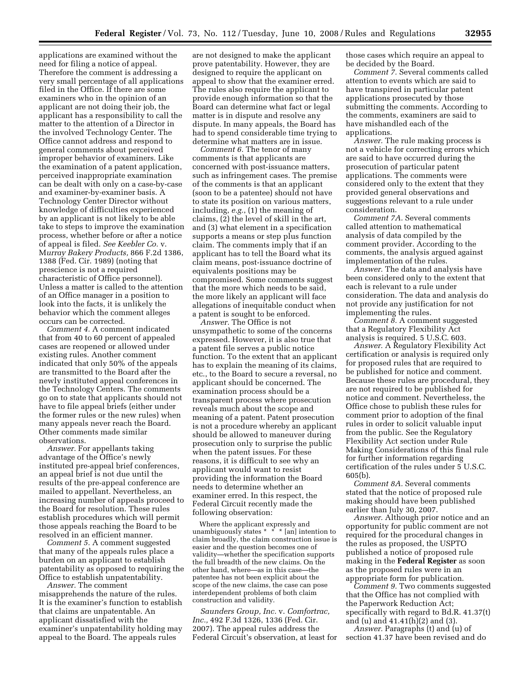applications are examined without the need for filing a notice of appeal. Therefore the comment is addressing a very small percentage of all applications filed in the Office. If there are some examiners who in the opinion of an applicant are not doing their job, the applicant has a responsibility to call the matter to the attention of a Director in the involved Technology Center. The Office cannot address and respond to general comments about perceived improper behavior of examiners. Like the examination of a patent application, perceived inappropriate examination can be dealt with only on a case-by-case and examiner-by-examiner basis. A Technology Center Director without knowledge of difficulties experienced by an applicant is not likely to be able take to steps to improve the examination process, whether before or after a notice of appeal is filed. *See Keebler Co.* v. M*urray Bakery Products,* 866 F.2d 1386, 1388 (Fed. Cir. 1989) (noting that prescience is not a required characteristic of Office personnel). Unless a matter is called to the attention of an Office manager in a position to look into the facts, it is unlikely the behavior which the comment alleges occurs can be corrected.

*Comment 4.* A comment indicated that from 40 to 60 percent of appealed cases are reopened or allowed under existing rules. Another comment indicated that only 50% of the appeals are transmitted to the Board after the newly instituted appeal conferences in the Technology Centers. The comments go on to state that applicants should not have to file appeal briefs (either under the former rules or the new rules) when many appeals never reach the Board. Other comments made similar observations.

*Answer.* For appellants taking advantage of the Office's newly instituted pre-appeal brief conferences, an appeal brief is not due until the results of the pre-appeal conference are mailed to appellant. Nevertheless, an increasing number of appeals proceed to the Board for resolution. These rules establish procedures which will permit those appeals reaching the Board to be resolved in an efficient manner.

*Comment 5.* A comment suggested that many of the appeals rules place a burden on an applicant to establish patentability as opposed to requiring the Office to establish unpatentability.

*Answer.* The comment misapprehends the nature of the rules. It is the examiner's function to establish that claims are unpatentable. An applicant dissatisfied with the examiner's unpatentability holding may appeal to the Board. The appeals rules

are not designed to make the applicant prove patentability. However, they are designed to require the applicant on appeal to show that the examiner erred. The rules also require the applicant to provide enough information so that the Board can determine what fact or legal matter is in dispute and resolve any dispute. In many appeals, the Board has had to spend considerable time trying to determine what matters are in issue.

*Comment 6.* The tenor of many comments is that applicants are concerned with post-issuance matters, such as infringement cases. The premise of the comments is that an applicant (soon to be a patentee) should not have to state its position on various matters, including, *e.g.*, (1) the meaning of claims, (2) the level of skill in the art, and (3) what element in a specification supports a means or step plus function claim. The comments imply that if an applicant has to tell the Board what its claim means, post-issuance doctrine of equivalents positions may be compromised. Some comments suggest that the more which needs to be said, the more likely an applicant will face allegations of inequitable conduct when a patent is sought to be enforced.

*Answer.* The Office is not unsympathetic to some of the concerns expressed. However, it is also true that a patent file serves a public notice function. To the extent that an applicant has to explain the meaning of its claims, etc., to the Board to secure a reversal, no applicant should be concerned. The examination process should be a transparent process where prosecution reveals much about the scope and meaning of a patent. Patent prosecution is not a procedure whereby an applicant should be allowed to maneuver during prosecution only to surprise the public when the patent issues. For these reasons, it is difficult to see why an applicant would want to resist providing the information the Board needs to determine whether an examiner erred. In this respect, the Federal Circuit recently made the following observation:

Where the applicant expressly and unambiguously states \* \* \* [an] intention to claim broadly, the claim construction issue is easier and the question becomes one of validity—whether the specification supports the full breadth of the new claims. On the other hand, where—as in this case—the patentee has not been explicit about the scope of the new claims, the case can pose interdependent problems of both claim construction and validity.

*Saunders Group, Inc.* v. *Comfortrac, Inc.,* 492 F.3d 1326, 1336 (Fed. Cir. 2007). The appeal rules address the Federal Circuit's observation, at least for those cases which require an appeal to be decided by the Board.

*Comment 7.* Several comments called attention to events which are said to have transpired in particular patent applications prosecuted by those submitting the comments. According to the comments, examiners are said to have mishandled each of the applications.

*Answer.* The rule making process is not a vehicle for correcting errors which are said to have occurred during the prosecution of particular patent applications. The comments were considered only to the extent that they provided general observations and suggestions relevant to a rule under consideration.

*Comment 7A.* Several comments called attention to mathematical analysis of data compiled by the comment provider. According to the comments, the analysis argued against implementation of the rules.

*Answer.* The data and analysis have been considered only to the extent that each is relevant to a rule under consideration. The data and analysis do not provide any justification for not implementing the rules.

*Comment 8.* A comment suggested that a Regulatory Flexibility Act analysis is required. 5 U.S.C. 603.

*Answer.* A Regulatory Flexibility Act certification or analysis is required only for proposed rules that are required to be published for notice and comment. Because these rules are procedural, they are not required to be published for notice and comment. Nevertheless, the Office chose to publish these rules for comment prior to adoption of the final rules in order to solicit valuable input from the public. See the Regulatory Flexibility Act section under Rule Making Considerations of this final rule for further information regarding certification of the rules under 5 U.S.C. 605(b).

*Comment 8A.* Several comments stated that the notice of proposed rule making should have been published earlier than July 30, 2007.

*Answer.* Although prior notice and an opportunity for public comment are not required for the procedural changes in the rules as proposed, the USPTO published a notice of proposed rule making in the **Federal Register** as soon as the proposed rules were in an appropriate form for publication.

*Comment 9.* Two comments suggested that the Office has not complied with the Paperwork Reduction Act; specifically with regard to Bd.R. 41.37(t) and (u) and 41.41(h)(2) and (3).

*Answer.* Paragraphs (t) and (u) of section 41.37 have been revised and do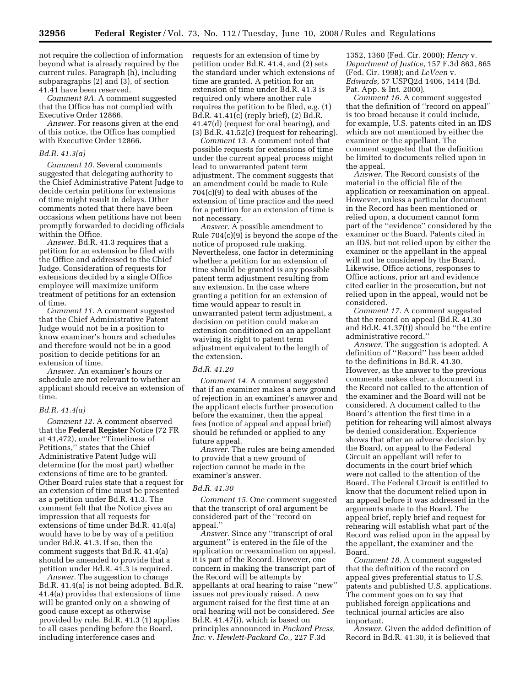not require the collection of information beyond what is already required by the current rules. Paragraph (h), including subparagraphs (2) and (3), of section 41.41 have been reserved.

*Comment 9A.* A comment suggested that the Office has not complied with Executive Order 12866.

*Answer.* For reasons given at the end of this notice, the Office has complied with Executive Order 12866.

#### *Bd.R. 41.3(a)*

*Comment 10.* Several comments suggested that delegating authority to the Chief Administrative Patent Judge to decide certain petitions for extensions of time might result in delays. Other comments noted that there have been occasions when petitions have not been promptly forwarded to deciding officials within the Office.

*Answer.* Bd.R. 41.3 requires that a petition for an extension be filed with the Office and addressed to the Chief Judge. Consideration of requests for extensions decided by a single Office employee will maximize uniform treatment of petitions for an extension of time.

*Comment 11.* A comment suggested that the Chief Administrative Patent Judge would not be in a position to know examiner's hours and schedules and therefore would not be in a good position to decide petitions for an extension of time.

*Answer.* An examiner's hours or schedule are not relevant to whether an applicant should receive an extension of time.

#### *Bd.R. 41.4(a)*

*Comment 12.* A comment observed that the **Federal Register** Notice (72 FR at 41,472), under ''Timeliness of Petitions,'' states that the Chief Administrative Patent Judge will determine (for the most part) whether extensions of time are to be granted. Other Board rules state that a request for an extension of time must be presented as a petition under Bd.R. 41.3. The comment felt that the Notice gives an impression that all requests for extensions of time under Bd.R. 41.4(a) would have to be by way of a petition under Bd.R. 41.3. If so, then the comment suggests that Bd.R. 41.4(a) should be amended to provide that a petition under Bd.R. 41.3 is required.

*Answer.* The suggestion to change Bd.R. 41.4(a) is not being adopted. Bd.R. 41.4(a) provides that extensions of time will be granted only on a showing of good cause except as otherwise provided by rule. Bd.R. 41.3 (1) applies to all cases pending before the Board, including interference cases and

requests for an extension of time by petition under Bd.R. 41.4, and (2) sets the standard under which extensions of time are granted. A petition for an extension of time under Bd.R. 41.3 is required only where another rule requires the petition to be filed, e.g. (1) Bd.R. 41.41(c) (reply brief), (2) Bd.R. 41.47(d) (request for oral hearing), and (3) Bd.R. 41.52(c) (request for rehearing).

*Comment 13.* A comment noted that possible requests for extensions of time under the current appeal process might lead to unwarranted patent term adjustment. The comment suggests that an amendment could be made to Rule 704(c)(9) to deal with abuses of the extension of time practice and the need for a petition for an extension of time is not necessary.

*Answer.* A possible amendment to Rule 704(c)(9) is beyond the scope of the notice of proposed rule making. Nevertheless, one factor in determining whether a petition for an extension of time should be granted is any possible patent term adjustment resulting from any extension. In the case where granting a petition for an extension of time would appear to result in unwarranted patent term adjustment, a decision on petition could make an extension conditioned on an appellant waiving its right to patent term adjustment equivalent to the length of the extension.

#### *Bd.R. 41.20*

*Comment 14.* A comment suggested that if an examiner makes a new ground of rejection in an examiner's answer and the applicant elects further prosecution before the examiner, then the appeal fees (notice of appeal and appeal brief) should be refunded or applied to any future appeal.

*Answer.* The rules are being amended to provide that a new ground of rejection cannot be made in the examiner's answer.

#### *Bd.R. 41.30*

*Comment 15.* One comment suggested that the transcript of oral argument be considered part of the ''record on appeal.''

*Answer.* Since any ''transcript of oral argument'' is entered in the file of the application or reexamination on appeal, it is part of the Record. However, one concern in making the transcript part of the Record will be attempts by appellants at oral hearing to raise ''new'' issues not previously raised. A new argument raised for the first time at an oral hearing will not be considered. *See*  Bd.R. 41.47(i), which is based on principles announced in *Packard Press, Inc.* v. *Hewlett-Packard Co.,* 227 F.3d

1352, 1360 (Fed. Cir. 2000); *Henry* v. *Department of Justice,* 157 F.3d 863, 865 (Fed. Cir. 1998); and *LeVeen* v. *Edwards,* 57 USPQ2d 1406, 1414 (Bd. Pat. App. & Int. 2000).

*Comment 16.* A comment suggested that the definition of ''record on appeal'' is too broad because it could include, for example, U.S. patents cited in an IDS which are not mentioned by either the examiner or the appellant. The comment suggested that the definition be limited to documents relied upon in the appeal.

*Answer.* The Record consists of the material in the official file of the application or reexamination on appeal. However, unless a particular document in the Record has been mentioned or relied upon, a document cannot form part of the ''evidence'' considered by the examiner or the Board. Patents cited in an IDS, but not relied upon by either the examiner or the appellant in the appeal will not be considered by the Board. Likewise, Office actions, responses to Office actions, prior art and evidence cited earlier in the prosecution, but not relied upon in the appeal, would not be considered.

*Comment 17.* A comment suggested that the record on appeal (Bd.R. 41.30 and Bd.R. 41.37(t)) should be ''the entire administrative record.''

*Answer.* The suggestion is adopted. A definition of ''Record'' has been added to the definitions in Bd.R. 41.30. However, as the answer to the previous comments makes clear, a document in the Record not called to the attention of the examiner and the Board will not be considered. A document called to the Board's attention the first time in a petition for rehearing will almost always be denied consideration. Experience shows that after an adverse decision by the Board, on appeal to the Federal Circuit an appellant will refer to documents in the court brief which were not called to the attention of the Board. The Federal Circuit is entitled to know that the document relied upon in an appeal before it was addressed in the arguments made to the Board. The appeal brief, reply brief and request for rehearing will establish what part of the Record was relied upon in the appeal by the appellant, the examiner and the Board.

*Comment 18.* A comment suggested that the definition of the record on appeal gives preferential status to U.S. patents and published U.S. applications. The comment goes on to say that published foreign applications and technical journal articles are also important.

*Answer.* Given the added definition of Record in Bd.R. 41.30, it is believed that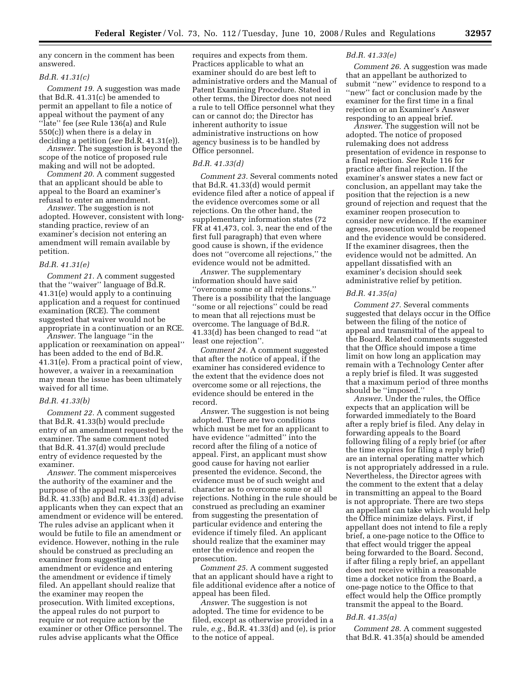any concern in the comment has been answered.

#### *Bd.R. 41.31(c)*

*Comment 19.* A suggestion was made that Bd.R. 41.31(c) be amended to permit an appellant to file a notice of appeal without the payment of any ''late'' fee (*see* Rule 136(a) and Rule 550(c)) when there is a delay in deciding a petition (*see* Bd.R. 41.31(e)).

*Answer.* The suggestion is beyond the scope of the notice of proposed rule making and will not be adopted.

*Comment 20.* A comment suggested that an applicant should be able to appeal to the Board an examiner's refusal to enter an amendment.

*Answer.* The suggestion is not adopted. However, consistent with longstanding practice, review of an examiner's decision not entering an amendment will remain available by petition.

#### *Bd.R. 41.31(e)*

*Comment 21.* A comment suggested that the ''waiver'' language of Bd.R. 41.31(e) would apply to a continuing application and a request for continued examination (RCE). The comment suggested that waiver would not be appropriate in a continuation or an RCE.

*Answer.* The language ''in the application or reexamination on appeal'' has been added to the end of Bd.R. 41.31(e). From a practical point of view, however, a waiver in a reexamination may mean the issue has been ultimately waived for all time.

#### *Bd.R. 41.33(b)*

*Comment 22.* A comment suggested that Bd.R. 41.33(b) would preclude entry of an amendment requested by the examiner. The same comment noted that Bd.R. 41.37(d) would preclude entry of evidence requested by the examiner.

*Answer.* The comment misperceives the authority of the examiner and the purpose of the appeal rules in general. Bd.R. 41.33(b) and Bd.R. 41.33(d) advise applicants when they can expect that an amendment or evidence will be entered. The rules advise an applicant when it would be futile to file an amendment or evidence. However, nothing in the rule should be construed as precluding an examiner from suggesting an amendment or evidence and entering the amendment or evidence if timely filed. An appellant should realize that the examiner may reopen the prosecution. With limited exceptions, the appeal rules do not purport to require or not require action by the examiner or other Office personnel. The rules advise applicants what the Office

requires and expects from them. Practices applicable to what an examiner should do are best left to administrative orders and the Manual of Patent Examining Procedure. Stated in other terms, the Director does not need a rule to tell Office personnel what they can or cannot do; the Director has inherent authority to issue administrative instructions on how agency business is to be handled by Office personnel.

#### *Bd.R. 41.33(d)*

*Comment 23.* Several comments noted that Bd.R. 41.33(d) would permit evidence filed after a notice of appeal if the evidence overcomes some or all rejections. On the other hand, the supplementary information states (72 FR at 41,473, col. 3, near the end of the first full paragraph) that even where good cause is shown, if the evidence does not ''overcome all rejections,'' the evidence would not be admitted.

*Answer.* The supplementary information should have said ''overcome some or all rejections.'' There is a possibility that the language ''some or all rejections'' could be read to mean that all rejections must be overcome. The language of Bd.R. 41.33(d) has been changed to read ''at least one rejection''.

*Comment 24.* A comment suggested that after the notice of appeal, if the examiner has considered evidence to the extent that the evidence does not overcome some or all rejections, the evidence should be entered in the record.

*Answer*. The suggestion is not being adopted. There are two conditions which must be met for an applicant to have evidence ''admitted'' into the record after the filing of a notice of appeal. First, an applicant must show good cause for having not earlier presented the evidence. Second, the evidence must be of such weight and character as to overcome some or all rejections. Nothing in the rule should be construed as precluding an examiner from suggesting the presentation of particular evidence and entering the evidence if timely filed. An applicant should realize that the examiner may enter the evidence and reopen the prosecution.

*Comment 25*. A comment suggested that an applicant should have a right to file additional evidence after a notice of appeal has been filed.

*Answer*. The suggestion is not adopted. The time for evidence to be filed, except as otherwise provided in a rule, *e.g.*, Bd.R. 41.33(d) and (e), is prior to the notice of appeal.

#### *Bd.R. 41.33(e)*

*Comment 26*. A suggestion was made that an appellant be authorized to submit ''new'' evidence to respond to a ''new'' fact or conclusion made by the examiner for the first time in a final rejection or an Examiner's Answer responding to an appeal brief.

*Answer*. The suggestion will not be adopted. The notice of proposed rulemaking does not address presentation of evidence in response to a final rejection. *See* Rule 116 for practice after final rejection. If the examiner's answer states a new fact or conclusion, an appellant may take the position that the rejection is a new ground of rejection and request that the examiner reopen prosecution to consider new evidence. If the examiner agrees, prosecution would be reopened and the evidence would be considered. If the examiner disagrees, then the evidence would not be admitted. An appellant dissatisfied with an examiner's decision should seek administrative relief by petition.

#### *Bd.R. 41.35(a)*

*Comment 27*. Several comments suggested that delays occur in the Office between the filing of the notice of appeal and transmittal of the appeal to the Board. Related comments suggested that the Office should impose a time limit on how long an application may remain with a Technology Center after a reply brief is filed. It was suggested that a maximum period of three months should be ''imposed.''

*Answer*. Under the rules, the Office expects that an application will be forwarded immediately to the Board after a reply brief is filed. Any delay in forwarding appeals to the Board following filing of a reply brief (or after the time expires for filing a reply brief) are an internal operating matter which is not appropriately addressed in a rule. Nevertheless, the Director agrees with the comment to the extent that a delay in transmitting an appeal to the Board is not appropriate. There are two steps an appellant can take which would help the Office minimize delays. First, if appellant does not intend to file a reply brief, a one-page notice to the Office to that effect would trigger the appeal being forwarded to the Board. Second, if after filing a reply brief, an appellant does not receive within a reasonable time a docket notice from the Board, a one-page notice to the Office to that effect would help the Office promptly transmit the appeal to the Board.

#### *Bd.R. 41.35(a)*

*Comment 28*. A comment suggested that Bd.R. 41.35(a) should be amended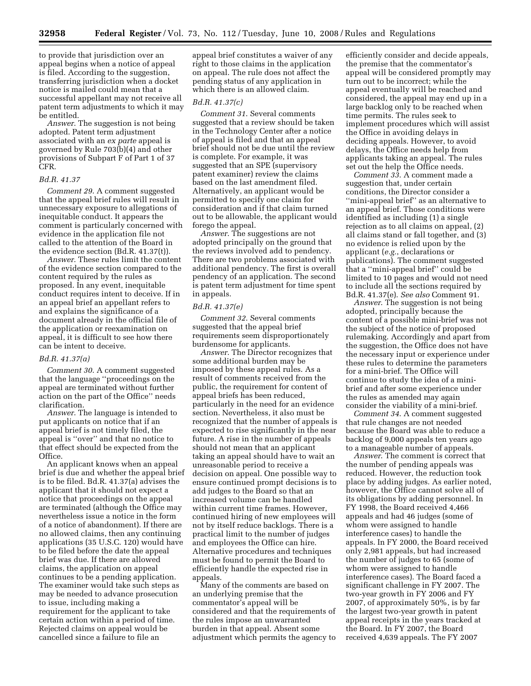to provide that jurisdiction over an appeal begins when a notice of appeal is filed. According to the suggestion, transferring jurisdiction when a docket notice is mailed could mean that a successful appellant may not receive all patent term adjustments to which it may be entitled.

*Answer*. The suggestion is not being adopted. Patent term adjustment associated with an *ex parte* appeal is governed by Rule 703(b)(4) and other provisions of Subpart F of Part 1 of 37 CFR.

#### *Bd.R. 41.37*

*Comment 29*. A comment suggested that the appeal brief rules will result in unnecessary exposure to allegations of inequitable conduct. It appears the comment is particularly concerned with evidence in the application file not called to the attention of the Board in the evidence section (Bd.R. 41.37(t)).

*Answer*. These rules limit the content of the evidence section compared to the content required by the rules as proposed. In any event, inequitable conduct requires intent to deceive. If in an appeal brief an appellant refers to and explains the significance of a document already in the official file of the application or reexamination on appeal, it is difficult to see how there can be intent to deceive.

#### *Bd.R. 41.37(a)*

*Comment 30*. A comment suggested that the language ''proceedings on the appeal are terminated without further action on the part of the Office'' needs clarification.

*Answer*. The language is intended to put applicants on notice that if an appeal brief is not timely filed, the appeal is ''over'' and that no notice to that effect should be expected from the Office.

An applicant knows when an appeal brief is due and whether the appeal brief is to be filed. Bd.R. 41.37(a) advises the applicant that it should not expect a notice that proceedings on the appeal are terminated (although the Office may nevertheless issue a notice in the form of a notice of abandonment). If there are no allowed claims, then any continuing applications (35 U.S.C. 120) would have to be filed before the date the appeal brief was due. If there are allowed claims, the application on appeal continues to be a pending application. The examiner would take such steps as may be needed to advance prosecution to issue, including making a requirement for the applicant to take certain action within a period of time. Rejected claims on appeal would be cancelled since a failure to file an

appeal brief constitutes a waiver of any right to those claims in the application on appeal. The rule does not affect the pending status of any application in which there is an allowed claim.

#### *Bd.R. 41.37(c)*

*Comment 31*. Several comments suggested that a review should be taken in the Technology Center after a notice of appeal is filed and that an appeal brief should not be due until the review is complete. For example, it was suggested that an SPE (supervisory patent examiner) review the claims based on the last amendment filed. Alternatively, an applicant would be permitted to specify one claim for consideration and if that claim turned out to be allowable, the applicant would forego the appeal.

*Answer*. The suggestions are not adopted principally on the ground that the reviews involved add to pendency. There are two problems associated with additional pendency. The first is overall pendency of an application. The second is patent term adjustment for time spent in appeals.

#### *Bd.R. 41.37(e)*

*Comment 32*. Several comments suggested that the appeal brief requirements seem disproportionately burdensome for applicants.

*Answer*. The Director recognizes that some additional burden may be imposed by these appeal rules. As a result of comments received from the public, the requirement for content of appeal briefs has been reduced, particularly in the need for an evidence section. Nevertheless, it also must be recognized that the number of appeals is expected to rise significantly in the near future. A rise in the number of appeals should not mean that an applicant taking an appeal should have to wait an unreasonable period to receive a decision on appeal. One possible way to ensure continued prompt decisions is to add judges to the Board so that an increased volume can be handled within current time frames. However, continued hiring of new employees will not by itself reduce backlogs. There is a practical limit to the number of judges and employees the Office can hire. Alternative procedures and techniques must be found to permit the Board to efficiently handle the expected rise in appeals.

Many of the comments are based on an underlying premise that the commentator's appeal will be considered and that the requirements of the rules impose an unwarranted burden in that appeal. Absent some adjustment which permits the agency to

efficiently consider and decide appeals, the premise that the commentator's appeal will be considered promptly may turn out to be incorrect; while the appeal eventually will be reached and considered, the appeal may end up in a large backlog only to be reached when time permits. The rules seek to implement procedures which will assist the Office in avoiding delays in deciding appeals. However, to avoid delays, the Office needs help from applicants taking an appeal. The rules set out the help the Office needs.

*Comment 33*. A comment made a suggestion that, under certain conditions, the Director consider a ''mini-appeal brief'' as an alternative to an appeal brief. Those conditions were identified as including (1) a single rejection as to all claims on appeal, (2) all claims stand or fall together, and (3) no evidence is relied upon by the applicant (*e.g.*, declarations or publications). The comment suggested that a ''mini-appeal brief'' could be limited to 10 pages and would not need to include all the sections required by Bd.R. 41.37(e). *See also* Comment 91.

*Answer*. The suggestion is not being adopted, principally because the content of a possible mini-brief was not the subject of the notice of proposed rulemaking. Accordingly and apart from the suggestion, the Office does not have the necessary input or experience under these rules to determine the parameters for a mini-brief. The Office will continue to study the idea of a minibrief and after some experience under the rules as amended may again consider the viability of a mini-brief.

*Comment 34*. A comment suggested that rule changes are not needed because the Board was able to reduce a backlog of 9,000 appeals ten years ago to a manageable number of appeals.

*Answer*. The comment is correct that the number of pending appeals was reduced. However, the reduction took place by adding judges. As earlier noted, however, the Office cannot solve all of its obligations by adding personnel. In FY 1998, the Board received 4,466 appeals and had 46 judges (some of whom were assigned to handle interference cases) to handle the appeals. In FY 2000, the Board received only 2,981 appeals, but had increased the number of judges to 65 (some of whom were assigned to handle interference cases). The Board faced a significant challenge in FY 2007. The two-year growth in FY 2006 and FY 2007, of approximately 50%, is by far the largest two-year growth in patent appeal receipts in the years tracked at the Board. In FY 2007, the Board received 4,639 appeals. The FY 2007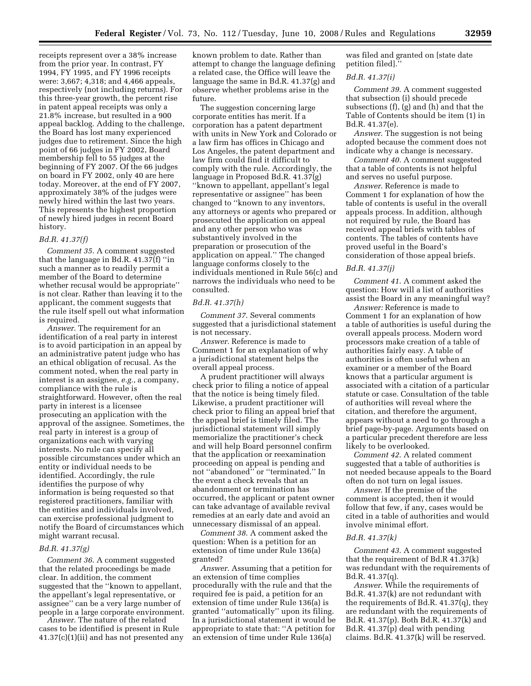receipts represent over a 38% increase from the prior year. In contrast, FY 1994, FY 1995, and FY 1996 receipts were: 3,667; 4,318; and 4,466 appeals, respectively (not including returns). For this three-year growth, the percent rise in patent appeal receipts was only a 21.8% increase, but resulted in a 900 appeal backlog. Adding to the challenge, the Board has lost many experienced judges due to retirement. Since the high point of 66 judges in FY 2002, Board membership fell to 55 judges at the beginning of FY 2007. Of the 66 judges on board in FY 2002, only 40 are here today. Moreover, at the end of FY 2007, approximately 38% of the judges were newly hired within the last two years. This represents the highest proportion of newly hired judges in recent Board history.

#### *Bd.R. 41.37(f)*

*Comment 35*. A comment suggested that the language in Bd.R. 41.37(f) ''in such a manner as to readily permit a member of the Board to determine whether recusal would be appropriate'' is not clear. Rather than leaving it to the applicant, the comment suggests that the rule itself spell out what information is required.

*Answer*. The requirement for an identification of a real party in interest is to avoid participation in an appeal by an administrative patent judge who has an ethical obligation of recusal. As the comment noted, when the real party in interest is an assignee, *e.g.*, a company, compliance with the rule is straightforward. However, often the real party in interest is a licensee prosecuting an application with the approval of the assignee. Sometimes, the real party in interest is a group of organizations each with varying interests. No rule can specify all possible circumstances under which an entity or individual needs to be identified. Accordingly, the rule identifies the purpose of why information is being requested so that registered practitioners, familiar with the entities and individuals involved, can exercise professional judgment to notify the Board of circumstances which might warrant recusal.

#### *Bd.R. 41.37(g)*

*Comment 36*. A comment suggested that the related proceedings be made clear. In addition, the comment suggested that the ''known to appellant, the appellant's legal representative, or assignee'' can be a very large number of people in a large corporate environment.

*Answer*. The nature of the related cases to be identified is present in Rule 41.37(c)(1)(ii) and has not presented any known problem to date. Rather than attempt to change the language defining a related case, the Office will leave the language the same in Bd.R. 41.37(g) and observe whether problems arise in the future.

The suggestion concerning large corporate entities has merit. If a corporation has a patent department with units in New York and Colorado or a law firm has offices in Chicago and Los Angeles, the patent department and law firm could find it difficult to comply with the rule. Accordingly, the language in Proposed Bd.R. 41.37(g) ''known to appellant, appellant's legal representative or assignee'' has been changed to ''known to any inventors, any attorneys or agents who prepared or prosecuted the application on appeal and any other person who was substantively involved in the preparation or prosecution of the application on appeal.'' The changed language conforms closely to the individuals mentioned in Rule 56(c) and narrows the individuals who need to be consulted.

#### *Bd.R. 41.37(h)*

*Comment 37*. Several comments suggested that a jurisdictional statement is not necessary.

*Answer*. Reference is made to Comment 1 for an explanation of why a jurisdictional statement helps the overall appeal process.

A prudent practitioner will always check prior to filing a notice of appeal that the notice is being timely filed. Likewise, a prudent practitioner will check prior to filing an appeal brief that the appeal brief is timely filed. The jurisdictional statement will simply memorialize the practitioner's check and will help Board personnel confirm that the application or reexamination proceeding on appeal is pending and not ''abandoned'' or ''terminated.'' In the event a check reveals that an abandonment or termination has occurred, the applicant or patent owner can take advantage of available revival remedies at an early date and avoid an unnecessary dismissal of an appeal.

*Comment 38*. A comment asked the question: When is a petition for an extension of time under Rule 136(a) granted?

*Answer*. Assuming that a petition for an extension of time complies procedurally with the rule and that the required fee is paid, a petition for an extension of time under Rule 136(a) is granted ''automatically'' upon its filing. In a jurisdictional statement it would be appropriate to state that: ''A petition for an extension of time under Rule 136(a)

was filed and granted on [state date petition filed].''

#### *Bd.R. 41.37(i)*

*Comment 39*. A comment suggested that subsection (i) should precede subsections (f), (g) and (h) and that the Table of Contents should be item (1) in Bd.R. 41.37(e).

*Answer*. The suggestion is not being adopted because the comment does not indicate why a change is necessary.

*Comment 40.* A comment suggested that a table of contents is not helpful and serves no useful purpose.

*Answer*. Reference is made to Comment 1 for explanation of how the table of contents is useful in the overall appeals process. In addition, although not required by rule, the Board has received appeal briefs with tables of contents. The tables of contents have proved useful in the Board's consideration of those appeal briefs.

#### *Bd.R. 41.37(j)*

*Comment 41*. A comment asked the question: How will a list of authorities assist the Board in any meaningful way?

*Answer:* Reference is made to Comment 1 for an explanation of how a table of authorities is useful during the overall appeals process. Modern word processors make creation of a table of authorities fairly easy. A table of authorities is often useful when an examiner or a member of the Board knows that a particular argument is associated with a citation of a particular statute or case. Consultation of the table of authorities will reveal where the citation, and therefore the argument, appears without a need to go through a brief page-by-page. Arguments based on a particular precedent therefore are less likely to be overlooked.

*Comment 42*. A related comment suggested that a table of authorities is not needed because appeals to the Board often do not turn on legal issues.

*Answer*. If the premise of the comment is accepted, then it would follow that few, if any, cases would be cited in a table of authorities and would involve minimal effort.

#### *Bd.R. 41.37(k)*

*Comment 43*. A comment suggested that the requirement of Bd.R 41.37(k) was redundant with the requirements of Bd.R. 41.37(q).

*Answer*. While the requirements of Bd.R. 41.37(k) are not redundant with the requirements of Bd.R. 41.37(q), they are redundant with the requirements of Bd.R. 41.37(p). Both Bd.R. 41.37(k) and Bd.R. 41.37(p) deal with pending claims. Bd.R. 41.37(k) will be reserved.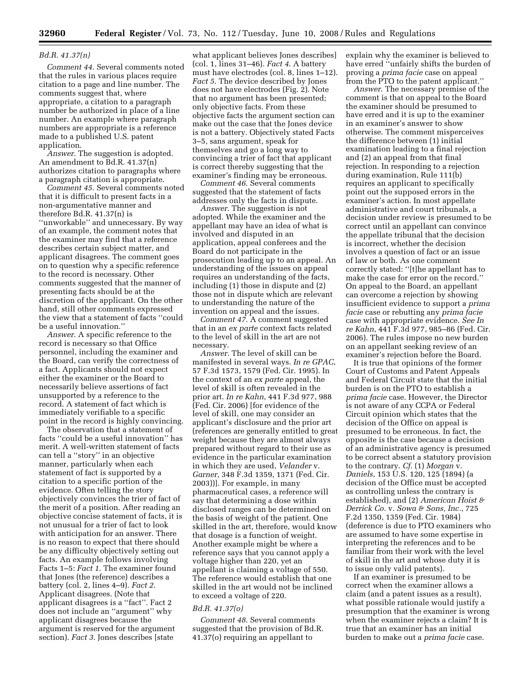#### *Bd.R. 41.37(n)*

*Comment 44*. Several comments noted that the rules in various places require citation to a page and line number. The comments suggest that, where appropriate, a citation to a paragraph number be authorized in place of a line number. An example where paragraph numbers are appropriate is a reference made to a published U.S. patent application.

*Answer*. The suggestion is adopted. An amendment to Bd.R. 41.37(n) authorizes citation to paragraphs where a paragraph citation is appropriate.

*Comment 45*. Several comments noted that it is difficult to present facts in a non-argumentative manner and therefore Bd.R. 41.37(n) is ''unworkable'' and unnecessary. By way of an example, the comment notes that the examiner may find that a reference describes certain subject matter, and applicant disagrees. The comment goes on to question why a specific reference to the record is necessary. Other comments suggested that the manner of presenting facts should be at the discretion of the applicant. On the other hand, still other comments expressed the view that a statement of facts ''could be a useful innovation.''

*Answer*. A specific reference to the record is necessary so that Office personnel, including the examiner and the Board, can verify the correctness of a fact. Applicants should not expect either the examiner or the Board to necessarily believe assertions of fact unsupported by a reference to the record. A statement of fact which is immediately verifiable to a specific point in the record is highly convincing.

The observation that a statement of facts ''could be a useful innovation'' has merit. A well-written statement of facts can tell a ''story'' in an objective manner, particularly when each statement of fact is supported by a citation to a specific portion of the evidence. Often telling the story objectively convinces the trier of fact of the merit of a position. After reading an objective concise statement of facts, it is not unusual for a trier of fact to look with anticipation for an answer. There is no reason to expect that there should be any difficulty objectively setting out facts. An example follows involving Facts 1–5: *Fact 1*. The examiner found that Jones (the reference) describes a battery (col. 2, lines 4–9). *Fact 2*. Applicant disagrees. (Note that applicant disagrees is a ''fact''. Fact 2 does not include an ''argument'' why applicant disagrees because the argument is reserved for the argument section). *Fact 3*. Jones describes [state

what applicant believes Jones describes] (col. 1, lines 31–46). *Fact 4*. A battery must have electrodes (col. 8, lines 1–12). *Fact 5*. The device described by Jones does not have electrodes (Fig. 2). Note that no argument has been presented; only objective facts. From these objective facts the argument section can make out the case that the Jones device is not a battery. Objectively stated Facts 3–5, sans argument, speak for themselves and go a long way to convincing a trier of fact that applicant is correct thereby suggesting that the examiner's finding may be erroneous.

*Comment 46*. Several comments suggested that the statement of facts addresses only the facts in dispute.

*Answer*. The suggestion is not adopted. While the examiner and the appellant may have an idea of what is involved and disputed in an application, appeal conferees and the Board do not participate in the prosecution leading up to an appeal. An understanding of the issues on appeal requires an understanding of the facts, including (1) those in dispute and (2) those not in dispute which are relevant to understanding the nature of the invention on appeal and the issues.

*Comment 47*. A comment suggested that in an *ex parte* context facts related to the level of skill in the art are not necessary.

*Answer*. The level of skill can be manifested in several ways. *In re GPAC*, 57 F.3d 1573, 1579 (Fed. Cir. 1995). In the context of an *ex parte* appeal, the level of skill is often revealed in the prior art. *In re Kahn*, 441 F.3d 977, 988 (Fed. Cir. 2006) [for evidence of the level of skill, one may consider an applicant's disclosure and the prior art (references are generally entitled to great weight because they are almost always prepared without regard to their use as evidence in the particular examination in which they are used, *Velander* v. *Garner*, 348 F.3d 1359, 1371 (Fed. Cir. 2003))]. For example, in many pharmaceutical cases, a reference will say that determining a dose within disclosed ranges can be determined on the basis of weight of the patient. One skilled in the art, therefore, would know that dosage is a function of weight. Another example might be where a reference says that you cannot apply a voltage higher than 220, yet an appellant is claiming a voltage of 550. The reference would establish that one skilled in the art would not be inclined to exceed a voltage of 220.

#### *Bd.R. 41.37(o)*

*Comment 48*. Several comments suggested that the provision of Bd.R. 41.37(o) requiring an appellant to

explain why the examiner is believed to have erred ''unfairly shifts the burden of proving a *prima facie* case on appeal from the PTO to the patent applicant.''

*Answer*. The necessary premise of the comment is that on appeal to the Board the examiner should be presumed to have erred and it is up to the examiner in an examiner's answer to show otherwise. The comment misperceives the difference between (1) initial examination leading to a final rejection and (2) an appeal from that final rejection. In responding to a rejection during examination, Rule 111(b) requires an applicant to specifically point out the supposed errors in the examiner's action. In most appellate administrative and court tribunals, a decision under review is presumed to be correct until an appellant can convince the appellate tribunal that the decision is incorrect, whether the decision involves a question of fact or an issue of law or both. As one comment correctly stated: ''[t]he appellant has to make the case for error on the record.'' On appeal to the Board, an appellant can overcome a rejection by showing insufficient evidence to support a *prima facie* case or rebutting any *prima facie*  case with appropriate evidence. *See In re Kahn*, 441 F.3d 977, 985–86 (Fed. Cir. 2006). The rules impose no new burden on an appellant seeking review of an examiner's rejection before the Board.

It is true that opinions of the former Court of Customs and Patent Appeals and Federal Circuit state that the initial burden is on the PTO to establish a *prima facie* case. However, the Director is not aware of any CCPA or Federal Circuit opinion which states that the decision of the Office on appeal is presumed to be erroneous. In fact, the opposite is the case because a decision of an administrative agency is presumed to be correct absent a statutory provision to the contrary. *Cf*. (1) *Morgan* v. *Daniels*, 153 U.S. 120, 125 (1894) (a decision of the Office must be accepted as controlling unless the contrary is established), and (2) *American Hoist & Derrick Co.* v. *Sowa & Sons, Inc.*, 725 F.2d 1350, 1359 (Fed. Cir. 1984) (deference is due to PTO examiners who are assumed to have some expertise in interpreting the references and to be familiar from their work with the level of skill in the art and whose duty it is to issue only valid patents).

If an examiner is presumed to be correct when the examiner allows a claim (and a patent issues as a result), what possible rationale would justify a presumption that the examiner is wrong when the examiner rejects a claim? It is true that an examiner has an initial burden to make out a *prima facie* case.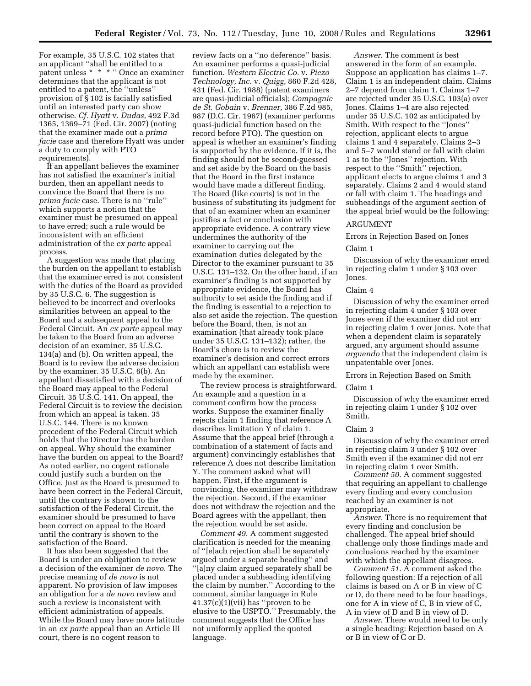For example, 35 U.S.C. 102 states that an applicant ''shall be entitled to a patent unless \* \* \* '' Once an examiner determines that the applicant is not entitled to a patent, the ''unless'' provision of § 102 is facially satisfied until an interested party can show otherwise. *Cf. Hyatt* v. *Dudas*, 492 F.3d 1365, 1369–71 (Fed. Cir. 2007) (noting that the examiner made out a *prima facie* case and therefore Hyatt was under a duty to comply with PTO requirements).

If an appellant believes the examiner has not satisfied the examiner's initial burden, then an appellant needs to convince the Board that there is no *prima facie* case. There is no ''rule'' which supports a notion that the examiner must be presumed on appeal to have erred; such a rule would be inconsistent with an efficient administration of the *ex parte* appeal process.

A suggestion was made that placing the burden on the appellant to establish that the examiner erred is not consistent with the duties of the Board as provided by 35 U.S.C. 6. The suggestion is believed to be incorrect and overlooks similarities between an appeal to the Board and a subsequent appeal to the Federal Circuit. An *ex parte* appeal may be taken to the Board from an adverse decision of an examiner. 35 U.S.C. 134(a) and (b). On written appeal, the Board is to review the adverse decision by the examiner. 35 U.S.C. 6(b). An appellant dissatisfied with a decision of the Board may appeal to the Federal Circuit. 35 U.S.C. 141. On appeal, the Federal Circuit is to review the decision from which an appeal is taken. 35 U.S.C. 144. There is no known precedent of the Federal Circuit which holds that the Director has the burden on appeal. Why should the examiner have the burden on appeal to the Board? As noted earlier, no cogent rationale could justify such a burden on the Office. Just as the Board is presumed to have been correct in the Federal Circuit, until the contrary is shown to the satisfaction of the Federal Circuit, the examiner should be presumed to have been correct on appeal to the Board until the contrary is shown to the satisfaction of the Board.

It has also been suggested that the Board is under an obligation to review a decision of the examiner *de novo*. The precise meaning of *de novo* is not apparent. No provision of law imposes an obligation for a *de novo* review and such a review is inconsistent with efficient administration of appeals. While the Board may have more latitude in an *ex parte* appeal than an Article III court, there is no cogent reason to

review facts on a ''no deference'' basis. An examiner performs a quasi-judicial function. *Western Electric Co.* v. *Piezo Technology, Inc.* v. *Quigg*, 860 F.2d 428, 431 (Fed. Cir. 1988) (patent examiners are quasi-judicial officials); *Compagnie de St. Gobain* v. *Brenner*, 386 F.2d 985, 987 (D.C. Cir. 1967) (examiner performs quasi-judicial function based on the record before PTO). The question on appeal is whether an examiner's finding is supported by the evidence. If it is, the finding should not be second-guessed and set aside by the Board on the basis that the Board in the first instance would have made a different finding. The Board (like courts) is not in the business of substituting its judgment for that of an examiner when an examiner justifies a fact or conclusion with appropriate evidence. A contrary view undermines the authority of the examiner to carrying out the examination duties delegated by the Director to the examiner pursuant to 35 U.S.C. 131–132. On the other hand, if an examiner's finding is not supported by appropriate evidence, the Board has authority to set aside the finding and if the finding is essential to a rejection to also set aside the rejection. The question before the Board, then, is not an examination (that already took place under 35 U.S.C. 131–132); rather, the Board's chore is to review the examiner's decision and correct errors which an appellant can establish were made by the examiner.

The review process is straightforward. An example and a question in a comment confirm how the process works. Suppose the examiner finally rejects claim 1 finding that reference A describes limitation Y of claim 1. Assume that the appeal brief (through a combination of a statement of facts and argument) convincingly establishes that reference A does not describe limitation Y. The comment asked what will happen. First, if the argument is convincing, the examiner may withdraw the rejection. Second, if the examiner does not withdraw the rejection and the Board agrees with the appellant, then the rejection would be set aside.

*Comment 49*. A comment suggested clarification is needed for the meaning of ''[e]ach rejection shall be separately argued under a separate heading'' and ''[a]ny claim argued separately shall be placed under a subheading identifying the claim by number.'' According to the comment, similar language in Rule  $41.37(c)(1)(vii)$  has "proven to be elusive to the USPTO.'' Presumably, the comment suggests that the Office has not uniformly applied the quoted language.

*Answer*. The comment is best answered in the form of an example. Suppose an application has claims 1–7. Claim 1 is an independent claim. Claims 2–7 depend from claim 1. Claims 1–7 are rejected under 35 U.S.C. 103(a) over Jones. Claims 1–4 are also rejected under 35 U.S.C. 102 as anticipated by Smith. With respect to the ''Jones'' rejection, applicant elects to argue claims 1 and 4 separately. Claims 2–3 and 5–7 would stand or fall with claim 1 as to the ''Jones'' rejection. With respect to the ''Smith'' rejection, applicant elects to argue claims 1 and 3 separately. Claims 2 and 4 would stand or fall with claim 1. The headings and subheadings of the argument section of the appeal brief would be the following:

#### ARGUMENT

Errors in Rejection Based on Jones

#### Claim 1

Discussion of why the examiner erred in rejecting claim 1 under § 103 over Jones.

#### Claim 4

Discussion of why the examiner erred in rejecting claim 4 under § 103 over Jones even if the examiner did not err in rejecting claim 1 over Jones. Note that when a dependent claim is separately argued, any argument should assume *arguendo* that the independent claim is unpatentable over Jones.

Errors in Rejection Based on Smith

#### Claim 1

Discussion of why the examiner erred in rejecting claim 1 under § 102 over Smith.

#### Claim 3

Discussion of why the examiner erred in rejecting claim 3 under § 102 over Smith even if the examiner did not err in rejecting claim 1 over Smith.

*Comment 50*. A comment suggested that requiring an appellant to challenge every finding and every conclusion reached by an examiner is not appropriate.

*Answer.* There is no requirement that every finding and conclusion be challenged. The appeal brief should challenge only those findings made and conclusions reached by the examiner with which the appellant disagrees.

*Comment 51*. A comment asked the following question: If a rejection of all claims is based on A or B in view of C or D, do there need to be four headings, one for A in view of C, B in view of C, A in view of D and B in view of D.

*Answer*. There would need to be only a single heading: Rejection based on A or B in view of C or D.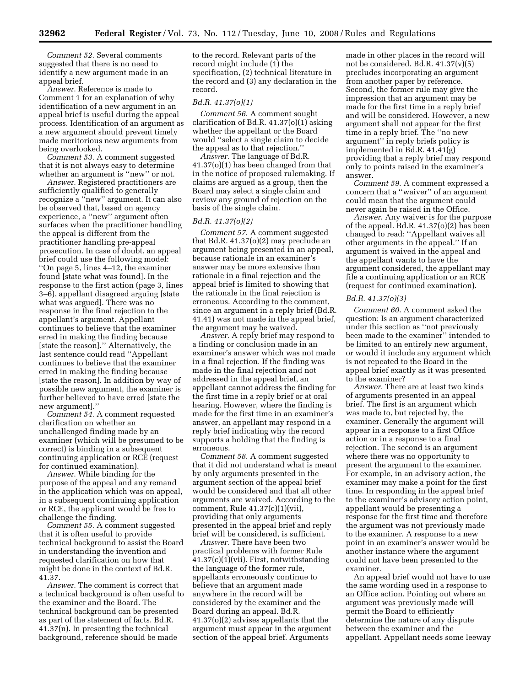*Comment 52*. Several comments suggested that there is no need to identify a new argument made in an appeal brief.

*Answer*. Reference is made to Comment 1 for an explanation of why identification of a new argument in an appeal brief is useful during the appeal process. Identification of an argument as a new argument should prevent timely made meritorious new arguments from being overlooked.

*Comment 53*. A comment suggested that it is not always easy to determine whether an argument is ''new'' or not.

*Answer*. Registered practitioners are sufficiently qualified to generally recognize a ''new'' argument. It can also be observed that, based on agency experience, a ''new'' argument often surfaces when the practitioner handling the appeal is different from the practitioner handling pre-appeal prosecution. In case of doubt, an appeal brief could use the following model: ''On page 5, lines 4–12, the examiner found [state what was found]. In the response to the first action (page 3, lines 3–6), appellant disagreed arguing [state what was argued]. There was no response in the final rejection to the appellant's argument. Appellant continues to believe that the examiner erred in making the finding because [state the reason].'' Alternatively, the last sentence could read ''Appellant continues to believe that the examiner erred in making the finding because [state the reason]. In addition by way of possible new argument, the examiner is further believed to have erred [state the new argument].''

*Comment 54*. A comment requested clarification on whether an unchallenged finding made by an examiner (which will be presumed to be correct) is binding in a subsequent continuing application or RCE (request for continued examination).

*Answer*. While binding for the purpose of the appeal and any remand in the application which was on appeal, in a subsequent continuing application or RCE, the applicant would be free to challenge the finding.

*Comment 55*. A comment suggested that it is often useful to provide technical background to assist the Board in understanding the invention and requested clarification on how that might be done in the context of Bd.R. 41.37.

*Answer*. The comment is correct that a technical background is often useful to the examiner and the Board. The technical background can be presented as part of the statement of facts. Bd.R. 41.37(n). In presenting the technical background, reference should be made

to the record. Relevant parts of the record might include (1) the specification, (2) technical literature in the record and (3) any declaration in the record.

#### *Bd.R. 41.37(o)(1)*

*Comment 56*. A comment sought clarification of Bd.R. 41.37(o)(1) asking whether the appellant or the Board would ''select a single claim to decide the appeal as to that rejection.''

*Answer*. The language of Bd.R. 41.37(o)(1) has been changed from that in the notice of proposed rulemaking. If claims are argued as a group, then the Board may select a single claim and review any ground of rejection on the basis of the single claim.

#### *Bd.R. 41.37(o)(2)*

*Comment 57*. A comment suggested that Bd.R. 41.37(o)(2) may preclude an argument being presented in an appeal, because rationale in an examiner's answer may be more extensive than rationale in a final rejection and the appeal brief is limited to showing that the rationale in the final rejection is erroneous. According to the comment, since an argument in a reply brief (Bd.R. 41.41) was not made in the appeal brief, the argument may be waived.

*Answer*. A reply brief may respond to a finding or conclusion made in an examiner's answer which was not made in a final rejection. If the finding was made in the final rejection and not addressed in the appeal brief, an appellant cannot address the finding for the first time in a reply brief or at oral hearing. However, where the finding is made for the first time in an examiner's answer, an appellant may respond in a reply brief indicating why the record supports a holding that the finding is erroneous.

*Comment 58*. A comment suggested that it did not understand what is meant by only arguments presented in the argument section of the appeal brief would be considered and that all other arguments are waived. According to the comment, Rule 41.37(c)(1)(vii), providing that only arguments presented in the appeal brief and reply brief will be considered, is sufficient.

*Answer*. There have been two practical problems with former Rule 41.37(c)(1)(vii). First, notwithstanding the language of the former rule, appellants erroneously continue to believe that an argument made anywhere in the record will be considered by the examiner and the Board during an appeal. Bd.R. 41.37(o)(2) advises appellants that the argument must appear in the argument section of the appeal brief. Arguments

made in other places in the record will not be considered. Bd.R. 41.37(v)(5) precludes incorporating an argument from another paper by reference. Second, the former rule may give the impression that an argument may be made for the first time in a reply brief and will be considered. However, a new argument shall not appear for the first time in a reply brief. The ''no new argument'' in reply briefs policy is implemented in Bd.R. 41.41(g) providing that a reply brief may respond only to points raised in the examiner's answer.

*Comment 59*. A comment expressed a concern that a ''waiver'' of an argument could mean that the argument could never again be raised in the Office.

*Answer*. Any waiver is for the purpose of the appeal. Bd.R. 41.37(o)(2) has been changed to read: ''Appellant waives all other arguments in the appeal.'' If an argument is waived in the appeal and the appellant wants to have the argument considered, the appellant may file a continuing application or an RCE (request for continued examination).

#### *Bd.R. 41.37(o)(3)*

*Comment 60*. A comment asked the question: Is an argument characterized under this section as ''not previously been made to the examiner'' intended to be limited to an entirely new argument, or would it include any argument which is not repeated to the Board in the appeal brief exactly as it was presented to the examiner?

*Answer.* There are at least two kinds of arguments presented in an appeal brief. The first is an argument which was made to, but rejected by, the examiner. Generally the argument will appear in a response to a first Office action or in a response to a final rejection. The second is an argument where there was no opportunity to present the argument to the examiner. For example, in an advisory action, the examiner may make a point for the first time. In responding in the appeal brief to the examiner's advisory action point, appellant would be presenting a response for the first time and therefore the argument was not previously made to the examiner. A response to a new point in an examiner's answer would be another instance where the argument could not have been presented to the examiner.

An appeal brief would not have to use the same wording used in a response to an Office action. Pointing out where an argument was previously made will permit the Board to efficiently determine the nature of any dispute between the examiner and the appellant. Appellant needs some leeway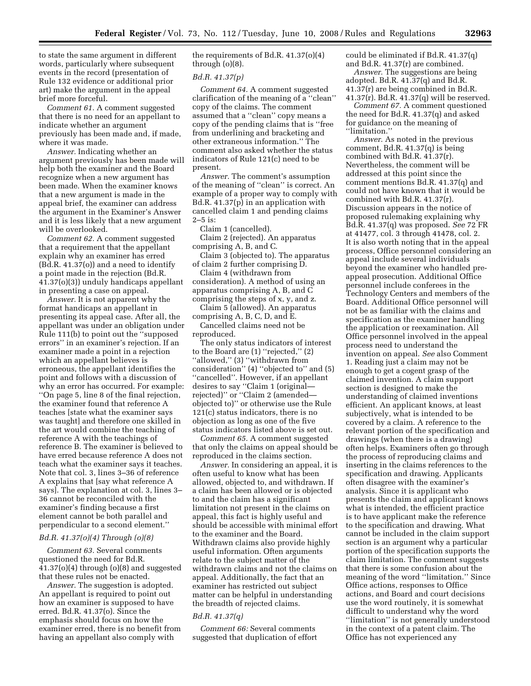to state the same argument in different words, particularly where subsequent events in the record (presentation of Rule 132 evidence or additional prior art) make the argument in the appeal brief more forceful.

*Comment 61.* A comment suggested that there is no need for an appellant to indicate whether an argument previously has been made and, if made, where it was made.

*Answer.* Indicating whether an argument previously has been made will help both the examiner and the Board recognize when a new argument has been made. When the examiner knows that a new argument is made in the appeal brief, the examiner can address the argument in the Examiner's Answer and it is less likely that a new argument will be overlooked.

*Comment 62.* A comment suggested that a requirement that the appellant explain why an examiner has erred (Bd.R. 41.37(o)) and a need to identify a point made in the rejection (Bd.R. 41.37(o)(3)) unduly handicaps appellant in presenting a case on appeal.

*Answer.* It is not apparent why the format handicaps an appellant in presenting its appeal case. After all, the appellant was under an obligation under Rule 111(b) to point out the ''supposed errors'' in an examiner's rejection. If an examiner made a point in a rejection which an appellant believes is erroneous, the appellant identifies the point and follows with a discussion of why an error has occurred. For example: ''On page 5, line 8 of the final rejection, the examiner found that reference A teaches [state what the examiner says was taught] and therefore one skilled in the art would combine the teaching of reference A with the teachings of reference B. The examiner is believed to have erred because reference A does not teach what the examiner says it teaches. Note that col. 3, lines 3–36 of reference A explains that [say what reference A says]. The explanation at col. 3, lines 3– 36 cannot be reconciled with the examiner's finding because a first element cannot be both parallel and perpendicular to a second element.''

#### *Bd.R. 41.37(o)(4) Through (o)(8)*

*Comment 63.* Several comments questioned the need for Bd.R. 41.37(o)(4) through (o)(8) and suggested that these rules not be enacted.

*Answer.* The suggestion is adopted. An appellant is required to point out how an examiner is supposed to have erred. Bd.R. 41.37(o). Since the emphasis should focus on how the examiner erred, there is no benefit from having an appellant also comply with

the requirements of Bd.R. 41.37(o)(4) through (o)(8).

#### *Bd.R. 41.37(p)*

*Comment 64.* A comment suggested clarification of the meaning of a ''clean'' copy of the claims. The comment assumed that a ''clean'' copy means a copy of the pending claims that is ''free from underlining and bracketing and other extraneous information.'' The comment also asked whether the status indicators of Rule 121(c) need to be present.

*Answer.* The comment's assumption of the meaning of ''clean'' is correct. An example of a proper way to comply with Bd.R. 41.37(p) in an application with cancelled claim 1 and pending claims 2–5 is:

Claim 1 (cancelled).

Claim 2 (rejected). An apparatus comprising A, B, and C.

Claim 3 (objected to). The apparatus of claim 2 further comprising D.

Claim 4 (withdrawn from consideration). A method of using an apparatus comprising A, B, and C comprising the steps of x, y, and z.

Claim 5 (allowed). An apparatus comprising A, B, C, D, and E.

Cancelled claims need not be reproduced.

The only status indicators of interest to the Board are (1) ''rejected,'' (2) ''allowed,'' (3) ''withdrawn from consideration'' (4) ''objected to'' and (5) ''cancelled''. However, if an appellant desires to say ''Claim 1 (original rejected)'' or ''Claim 2 (amended objected to)'' or otherwise use the Rule 121(c) status indicators, there is no objection as long as one of the five status indicators listed above is set out.

*Comment 65.* A comment suggested that only the claims on appeal should be reproduced in the claims section.

*Answer.* In considering an appeal, it is often useful to know what has been allowed, objected to, and withdrawn. If a claim has been allowed or is objected to and the claim has a significant limitation not present in the claims on appeal, this fact is highly useful and should be accessible with minimal effort to the examiner and the Board. Withdrawn claims also provide highly useful information. Often arguments relate to the subject matter of the withdrawn claims and not the claims on appeal. Additionally, the fact that an examiner has restricted out subject matter can be helpful in understanding the breadth of rejected claims.

#### *Bd.R. 41.37(q)*

*Comment 66:* Several comments suggested that duplication of effort could be eliminated if Bd.R. 41.37(q) and Bd.R. 41.37(r) are combined.

*Answer.* The suggestions are being adopted. Bd.R. 41.37(q) and Bd.R. 41.37(r) are being combined in Bd.R. 41.37(r). Bd.R. 41.37(q) will be reserved.

*Comment 67.* A comment questioned the need for Bd.R. 41.37(q) and asked for guidance on the meaning of ''limitation.''

*Answer.* As noted in the previous comment, Bd.R. 41.37(q) is being combined with Bd.R. 41.37(r). Nevertheless, the comment will be addressed at this point since the comment mentions Bd.R. 41.37(q) and could not have known that it would be combined with Bd.R. 41.37(r). Discussion appears in the notice of proposed rulemaking explaining why Bd.R. 41.37(q) was proposed. *See* 72 FR at 41477, col. 3 through 41478, col. 2. It is also worth noting that in the appeal process, Office personnel considering an appeal include several individuals beyond the examiner who handled preappeal prosecution. Additional Office personnel include conferees in the Technology Centers and members of the Board. Additional Office personnel will not be as familiar with the claims and specification as the examiner handling the application or reexamination. All Office personnel involved in the appeal process need to understand the invention on appeal. *See* also Comment 1. Reading just a claim may not be enough to get a cogent grasp of the claimed invention. A claim support section is designed to make the understanding of claimed inventions efficient. An applicant knows, at least subjectively, what is intended to be covered by a claim. A reference to the relevant portion of the specification and drawings (when there is a drawing) often helps. Examiners often go through the process of reproducing claims and inserting in the claims references to the specification and drawing. Applicants often disagree with the examiner's analysis. Since it is applicant who presents the claim and applicant knows what is intended, the efficient practice is to have applicant make the reference to the specification and drawing. What cannot be included in the claim support section is an argument why a particular portion of the specification supports the claim limitation. The comment suggests that there is some confusion about the meaning of the word ''limitation.'' Since Office actions, responses to Office actions, and Board and court decisions use the word routinely, it is somewhat difficult to understand why the word "limitation" is not generally understood in the context of a patent claim. The Office has not experienced any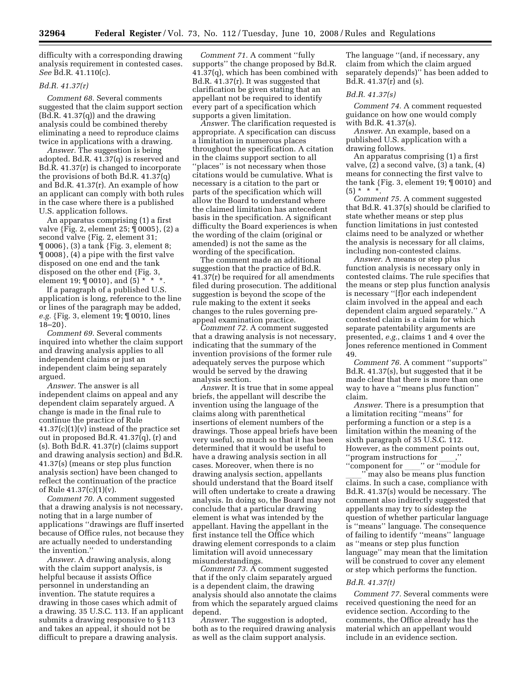difficulty with a corresponding drawing analysis requirement in contested cases. *See* Bd.R. 41.110(c).

#### *Bd.R. 41.37(r)*

*Comment 68.* Several comments suggested that the claim support section (Bd.R. 41.37(q)) and the drawing analysis could be combined thereby eliminating a need to reproduce claims twice in applications with a drawing.

*Answer.* The suggestion is being adopted. Bd.R. 41.37(q) is reserved and Bd.R. 41.37(r) is changed to incorporate the provisions of both Bd.R. 41.37(q) and Bd.R. 41.37(r). An example of how an applicant can comply with both rules in the case where there is a published U.S. application follows.

An apparatus comprising (1) a first valve {Fig. 2, element 25; ¶ 0005}, (2) a second valve {Fig. 2, element 31; ¶ 0006}, (3) a tank {Fig. 3, element 8; ¶ 0008}, (4) a pipe with the first valve disposed on one end and the tank disposed on the other end {Fig. 3, element 19;  $[0010]$ , and  $(5) * * *$ .

If a paragraph of a published U.S. application is long, reference to the line or lines of the paragraph may be added, *e.g.* {Fig. 3, element 19; ¶ 0010, lines 18–20}.

*Comment 69.* Several comments inquired into whether the claim support and drawing analysis applies to all independent claims or just an independent claim being separately argued.

*Answer.* The answer is all independent claims on appeal and any dependent claim separately argued. A change is made in the final rule to continue the practice of Rule 41.37(c)(1)(v) instead of the practice set out in proposed Bd.R. 41.37(q), (r) and (s). Both Bd.R. 41.37(r) (claims support and drawing analysis section) and Bd.R. 41.37(s) (means or step plus function analysis section) have been changed to reflect the continuation of the practice of Rule 41.37(c)(1)(v).

*Comment 70.* A comment suggested that a drawing analysis is not necessary, noting that in a large number of applications ''drawings are fluff inserted because of Office rules, not because they are actually needed to understanding the invention.''

*Answer.* A drawing analysis, along with the claim support analysis, is helpful because it assists Office personnel in understanding an invention. The statute requires a drawing in those cases which admit of a drawing. 35 U.S.C. 113. If an applicant submits a drawing responsive to § 113 and takes an appeal, it should not be difficult to prepare a drawing analysis.

*Comment 71.* A comment ''fully supports'' the change proposed by Bd.R. 41.37(q), which has been combined with Bd.R. 41.37(r). It was suggested that clarification be given stating that an appellant not be required to identify every part of a specification which supports a given limitation.

*Answer.* The clarification requested is appropriate. A specification can discuss a limitation in numerous places throughout the specification. A citation in the claims support section to all ''places'' is not necessary when those citations would be cumulative. What is necessary is a citation to the part or parts of the specification which will allow the Board to understand where the claimed limitation has antecedent basis in the specification. A significant difficulty the Board experiences is when the wording of the claim (original or amended) is not the same as the wording of the specification.

The comment made an additional suggestion that the practice of Bd.R. 41.37(r) be required for all amendments filed during prosecution. The additional suggestion is beyond the scope of the rule making to the extent it seeks changes to the rules governing preappeal examination practice.

*Comment 72.* A comment suggested that a drawing analysis is not necessary, indicating that the summary of the invention provisions of the former rule adequately serves the purpose which would be served by the drawing analysis section.

*Answer.* It is true that in some appeal briefs, the appellant will describe the invention using the language of the claims along with parenthetical insertions of element numbers of the drawings. Those appeal briefs have been very useful, so much so that it has been determined that it would be useful to have a drawing analysis section in all cases. Moreover, when there is no drawing analysis section, appellants should understand that the Board itself will often undertake to create a drawing analysis. In doing so, the Board may not conclude that a particular drawing element is what was intended by the appellant. Having the appellant in the first instance tell the Office which drawing element corresponds to a claim limitation will avoid unnecessary misunderstandings.

*Comment 73.* A comment suggested that if the only claim separately argued is a dependent claim, the drawing analysis should also annotate the claims from which the separately argued claims depend.

*Answer.* The suggestion is adopted, both as to the required drawing analysis as well as the claim support analysis.

The language ''(and, if necessary, any claim from which the claim argued separately depends)'' has been added to Bd.R. 41.37(r) and (s).

#### *Bd.R. 41.37(s)*

*Comment 74.* A comment requested guidance on how one would comply with Bd.R. 41.37(s).

*Answer.* An example, based on a published U.S. application with a drawing follows.

An apparatus comprising (1) a first valve, (2) a second valve, (3) a tank, (4) means for connecting the first valve to the tank  $\{Fig. 3, element 19; \P{0010}\}$  and  $(5) * * *$ 

*Comment 75.* A comment suggested that Bd.R. 41.37(s) should be clarified to state whether means or step plus function limitations in just contested claims need to be analyzed or whether the analysis is necessary for all claims, including non-contested claims.

*Answer.* A means or step plus function analysis is necessary only in contested claims. The rule specifies that the means or step plus function analysis is necessary ''[f]or each independent claim involved in the appeal and each dependent claim argued separately.'' A contested claim is a claim for which separate patentability arguments are presented, *e.g.*, claims 1 and 4 over the Jones reference mentioned in Comment 49.

*Comment 76.* A comment ''supports'' Bd.R. 41.37(s), but suggested that it be made clear that there is more than one way to have a ''means plus function'' claim.

*Answer.* There is a presumption that a limitation reciting ''means'' for performing a function or a step is a limitation within the meaning of the sixth paragraph of 35 U.S.C. 112. However, as the comment points out, "program instructions for  $\frac{\ }{\ }$ ,"  $\ldots$ " ("module for

"component for <u>very</u>" or "module for "<br>" may also be means plus function" with may also be means plus function...<br>Claims. In such a case, compliance with claims. In such a case, compliance with Bd.R. 41.37(s) would be necessary. The comment also indirectly suggested that appellants may try to sidestep the question of whether particular language is ''means'' language. The consequence of failing to identify ''means'' language as ''means or step plus function language'' may mean that the limitation will be construed to cover any element or step which performs the function.

#### *Bd.R. 41.37(t)*

*Comment 77.* Several comments were received questioning the need for an evidence section. According to the comments, the Office already has the material which an appellant would include in an evidence section.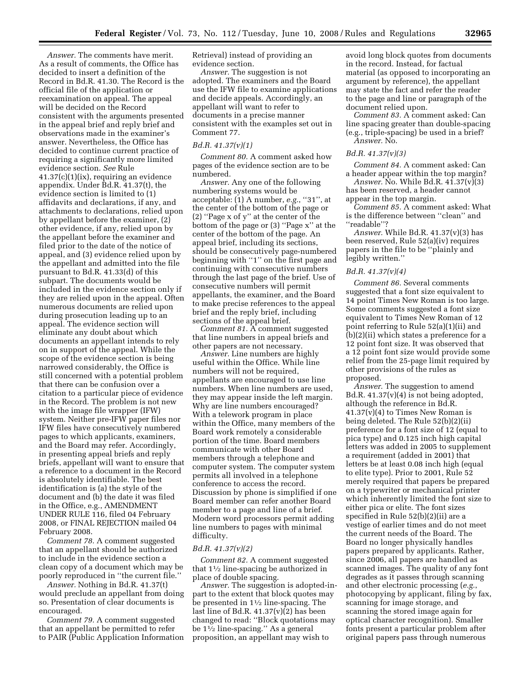*Answer.* The comments have merit. As a result of comments, the Office has decided to insert a definition of the Record in Bd.R. 41.30. The Record is the official file of the application or reexamination on appeal. The appeal will be decided on the Record consistent with the arguments presented in the appeal brief and reply brief and observations made in the examiner's answer. Nevertheless, the Office has decided to continue current practice of requiring a significantly more limited evidence section. *See* Rule 41.37(c)(1)(ix), requiring an evidence appendix. Under Bd.R. 41.37(t), the evidence section is limited to (1) affidavits and declarations, if any, and attachments to declarations, relied upon by appellant before the examiner, (2) other evidence, if any, relied upon by the appellant before the examiner and filed prior to the date of the notice of appeal, and (3) evidence relied upon by the appellant and admitted into the file pursuant to Bd.R. 41.33(d) of this subpart. The documents would be included in the evidence section only if they are relied upon in the appeal. Often numerous documents are relied upon during prosecution leading up to an appeal. The evidence section will eliminate any doubt about which documents an appellant intends to rely on in support of the appeal. While the scope of the evidence section is being narrowed considerably, the Office is still concerned with a potential problem that there can be confusion over a citation to a particular piece of evidence in the Record. The problem is not new with the image file wrapper (IFW) system. Neither pre-IFW paper files nor IFW files have consecutively numbered pages to which applicants, examiners, and the Board may refer. Accordingly, in presenting appeal briefs and reply briefs, appellant will want to ensure that a reference to a document in the Record is absolutely identifiable. The best identification is (a) the style of the document and (b) the date it was filed in the Office, e.g., AMENDMENT UNDER RULE 116, filed 04 February 2008, or FINAL REJECTION mailed 04 February 2008.

*Comment 78.* A comment suggested that an appellant should be authorized to include in the evidence section a clean copy of a document which may be poorly reproduced in ''the current file.''

*Answer.* Nothing in Bd.R. 41.37(t) would preclude an appellant from doing so. Presentation of clear documents is encouraged.

*Comment 79.* A comment suggested that an appellant be permitted to refer to PAIR (Public Application Information Retrieval) instead of providing an evidence section.

*Answer.* The suggestion is not adopted. The examiners and the Board use the IFW file to examine applications and decide appeals. Accordingly, an appellant will want to refer to documents in a precise manner consistent with the examples set out in Comment 77.

#### *Bd.R. 41.37(v)(1)*

*Comment 80.* A comment asked how pages of the evidence section are to be numbered.

*Answer.* Any one of the following numbering systems would be acceptable: (1) A number, *e.g.*, ''31'', at the center of the bottom of the page or (2) ''Page x of y'' at the center of the bottom of the page or (3) ''Page x'' at the center of the bottom of the page. An appeal brief, including its sections, should be consecutively page-numbered beginning with ''1'' on the first page and continuing with consecutive numbers through the last page of the brief. Use of consecutive numbers will permit appellants, the examiner, and the Board to make precise references to the appeal brief and the reply brief, including sections of the appeal brief.

*Comment 81.* A comment suggested that line numbers in appeal briefs and other papers are not necessary.

*Answer.* Line numbers are highly useful within the Office. While line numbers will not be required, appellants are encouraged to use line numbers. When line numbers are used, they may appear inside the left margin. Why are line numbers encouraged? With a telework program in place within the Office, many members of the Board work remotely a considerable portion of the time. Board members communicate with other Board members through a telephone and computer system. The computer system permits all involved in a telephone conference to access the record. Discussion by phone is simplified if one Board member can refer another Board member to a page and line of a brief. Modern word processors permit adding line numbers to pages with minimal difficulty.

#### *Bd.R. 41.37(v)(2)*

*Comment 82.* A comment suggested that 11⁄2 line-spacing be authorized in place of double spacing.

*Answer.* The suggestion is adopted-inpart to the extent that block quotes may be presented in 11⁄2 line-spacing. The last line of Bd.R. 41.37(v)(2) has been changed to read: ''Block quotations may be 11⁄2 line-spacing.'' As a general proposition, an appellant may wish to

avoid long block quotes from documents in the record. Instead, for factual material (as opposed to incorporating an argument by reference), the appellant may state the fact and refer the reader to the page and line or paragraph of the document relied upon.

*Comment 83.* A comment asked: Can line spacing greater than double-spacing (e.g., triple-spacing) be used in a brief? *Answer.* No.

#### *Bd.R. 41.37(v)(3)*

*Comment 84.* A comment asked: Can a header appear within the top margin?

*Answer.* No. While Bd.R. 41.37(v)(3) has been reserved, a header cannot appear in the top margin.

*Comment 85.* A comment asked: What is the difference between ''clean'' and ''readable''?

*Answer.* While Bd.R. 41.37(v)(3) has been reserved, Rule 52(a)(iv) requires papers in the file to be ''plainly and legibly written.''

#### *Bd.R. 41.37(v)(4)*

*Comment 86.* Several comments suggested that a font size equivalent to 14 point Times New Roman is too large. Some comments suggested a font size equivalent to Times New Roman of 12 point referring to Rule 52(a)(1)(ii) and (b)(2)(ii) which states a preference for a 12 point font size. It was observed that a 12 point font size would provide some relief from the 25-page limit required by other provisions of the rules as proposed.

*Answer.* The suggestion to amend Bd.R.  $41.37(v)(4)$  is not being adopted, although the reference in Bd.R.  $41.37(v)(4)$  to Times New Roman is being deleted. The Rule 52(b)(2)(ii) preference for a font size of 12 (equal to pica type) and 0.125 inch high capital letters was added in 2005 to supplement a requirement (added in 2001) that letters be at least 0.08 inch high (equal to elite type). Prior to 2001, Rule 52 merely required that papers be prepared on a typewriter or mechanical printer which inherently limited the font size to either pica or elite. The font sizes specified in Rule 52(b)(2)(ii) are a vestige of earlier times and do not meet the current needs of the Board. The Board no longer physically handles papers prepared by applicants. Rather, since 2006, all papers are handled as scanned images. The quality of any font degrades as it passes through scanning and other electronic processing (*e.g.*, photocopying by applicant, filing by fax, scanning for image storage, and scanning the stored image again for optical character recognition). Smaller fonts present a particular problem after original papers pass through numerous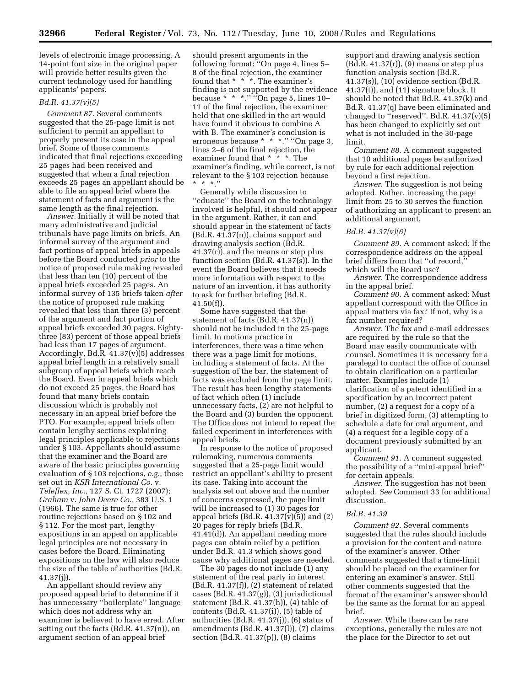levels of electronic image processing. A 14-point font size in the original paper will provide better results given the current technology used for handling applicants' papers.

#### *Bd.R. 41.37(v)(5)*

*Comment 87.* Several comments suggested that the 25-page limit is not sufficient to permit an appellant to properly present its case in the appeal brief. Some of those comments indicated that final rejections exceeding 25 pages had been received and suggested that when a final rejection exceeds 25 pages an appellant should be able to file an appeal brief where the statement of facts and argument is the same length as the final rejection.

*Answer.* Initially it will be noted that many administrative and judicial tribunals have page limits on briefs. An informal survey of the argument and fact portions of appeal briefs in appeals before the Board conducted *prior* to the notice of proposed rule making revealed that less than ten (10) percent of the appeal briefs exceeded 25 pages. An informal survey of 135 briefs taken *after*  the notice of proposed rule making revealed that less than three (3) percent of the argument and fact portion of appeal briefs exceeded 30 pages. Eightythree (83) percent of those appeal briefs had less than 17 pages of argument. Accordingly, Bd.R. 41.37(v)(5) addresses appeal brief length in a relatively small subgroup of appeal briefs which reach the Board. Even in appeal briefs which do not exceed 25 pages, the Board has found that many briefs contain discussion which is probably not necessary in an appeal brief before the PTO. For example, appeal briefs often contain lengthy sections explaining legal principles applicable to rejections under § 103. Appellants should assume that the examiner and the Board are aware of the basic principles governing evaluation of § 103 rejections, *e.g.*, those set out in *KSR International Co.* v. *Teleflex, Inc.,* 127 S. Ct. 1727 (2007); *Graham* v. *John Deere Co.,* 383 U.S. 1 (1966). The same is true for other routine rejections based on § 102 and § 112. For the most part, lengthy expositions in an appeal on applicable legal principles are not necessary in cases before the Board. Eliminating expositions on the law will also reduce the size of the table of authorities (Bd.R. 41.37(j)).

An appellant should review any proposed appeal brief to determine if it has unnecessary ''boilerplate'' language which does not address why an examiner is believed to have erred. After setting out the facts (Bd.R. 41.37(n)), an argument section of an appeal brief

should present arguments in the following format: ''On page 4, lines 5– 8 of the final rejection, the examiner found that \* \* \*. The examiner's finding is not supported by the evidence because  $* * *$ ." "On page 5, lines  $10-$ 11 of the final rejection, the examiner held that one skilled in the art would have found it obvious to combine A with B. The examiner's conclusion is erroneous because \* \* \*.'' ''On page 3, lines 2–6 of the final rejection, the examiner found that \* \* \*. The examiner's finding, while correct, is not relevant to the § 103 rejection because \* \* \*.''

Generally while discussion to ''educate'' the Board on the technology involved is helpful, it should not appear in the argument. Rather, it can and should appear in the statement of facts (Bd.R. 41.37(n)), claims support and drawing analysis section (Bd.R. 41.37(r)), and the means or step plus function section (Bd.R. 41.37(s)). In the event the Board believes that it needs more information with respect to the nature of an invention, it has authority to ask for further briefing (Bd.R. 41.50(f)).

Some have suggested that the statement of facts (Bd.R. 41.37(n)) should not be included in the 25-page limit. In motions practice in interferences, there was a time when there was a page limit for motions, including a statement of facts. At the suggestion of the bar, the statement of facts was excluded from the page limit. The result has been lengthy statements of fact which often (1) include unnecessary facts, (2) are not helpful to the Board and (3) burden the opponent. The Office does not intend to repeat the failed experiment in interferences with appeal briefs.

In response to the notice of proposed rulemaking, numerous comments suggested that a 25-page limit would restrict an appellant's ability to present its case. Taking into account the analysis set out above and the number of concerns expressed, the page limit will be increased to (1) 30 pages for appeal briefs (Bd.R.  $41.37(v)(5)$ ) and  $(2)$ 20 pages for reply briefs (Bd.R. 41.41(d)). An appellant needing more pages can obtain relief by a petition under Bd.R. 41.3 which shows good cause why additional pages are needed.

The 30 pages do not include (1) any statement of the real party in interest (Bd.R. 41.37(f)), (2) statement of related cases (Bd.R. 41.37(g)), (3) jurisdictional statement (Bd.R. 41.37(h)), (4) table of contents (Bd.R. 41.37(i)), (5) table of authorities (Bd.R. 41.37(j)), (6) status of amendments (Bd.R. 41.37(l)), (7) claims section (Bd.R. 41.37(p)), (8) claims

support and drawing analysis section (Bd.R. 41.37(r)), (9) means or step plus function analysis section (Bd.R. 41.37(s)), (10) evidence section (Bd.R. 41.37(t)), and (11) signature block. It should be noted that Bd.R. 41.37(k) and Bd.R. 41.37(q) have been eliminated and changed to "reserved". Bd.R.  $41.37(v)(5)$ has been changed to explicitly set out what is not included in the 30-page limit.

*Comment 88.* A comment suggested that 10 additional pages be authorized by rule for each additional rejection beyond a first rejection.

*Answer.* The suggestion is not being adopted. Rather, increasing the page limit from 25 to 30 serves the function of authorizing an applicant to present an additional argument.

#### *Bd.R. 41.37(v)(6)*

*Comment 89.* A comment asked: If the correspondence address on the appeal brief differs from that "of record," which will the Board use?

*Answer.* The correspondence address in the appeal brief.

*Comment 90.* A comment asked: Must appellant correspond with the Office in appeal matters via fax? If not, why is a fax number required?

*Answer.* The fax and e-mail addresses are required by the rule so that the Board may easily communicate with counsel. Sometimes it is necessary for a paralegal to contact the office of counsel to obtain clarification on a particular matter. Examples include (1) clarification of a patent identified in a specification by an incorrect patent number, (2) a request for a copy of a brief in digitized form, (3) attempting to schedule a date for oral argument, and (4) a request for a legible copy of a document previously submitted by an applicant.

*Comment 91.* A comment suggested the possibility of a ''mini-appeal brief'' for certain appeals.

*Answer.* The suggestion has not been adopted. *See* Comment 33 for additional discussion.

#### *Bd.R. 41.39*

*Comment 92.* Several comments suggested that the rules should include a provision for the content and nature of the examiner's answer. Other comments suggested that a time-limit should be placed on the examiner for entering an examiner's answer. Still other comments suggested that the format of the examiner's answer should be the same as the format for an appeal brief.

*Answer.* While there can be rare exceptions, generally the rules are not the place for the Director to set out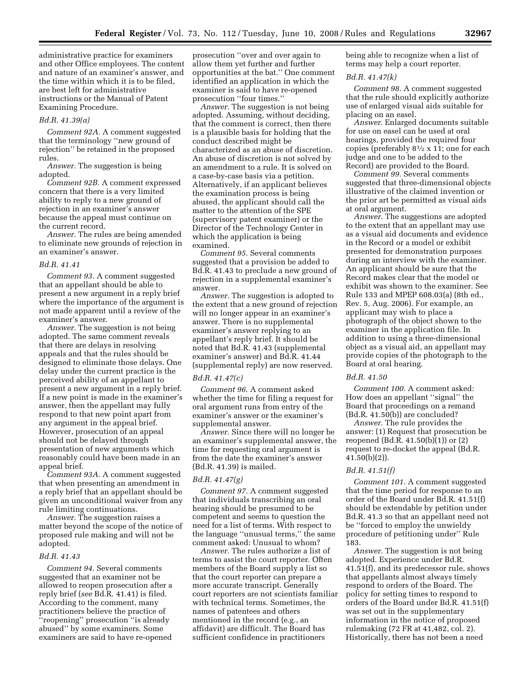administrative practice for examiners and other Office employees. The content and nature of an examiner's answer, and the time within which it is to be filed, are best left for administrative instructions or the Manual of Patent Examining Procedure.

#### *Bd.R. 41.39(a)*

*Comment 92A.* A comment suggested that the terminology ''new ground of rejection'' be retained in the proposed rules.

*Answer.* The suggestion is being adopted.

*Comment 92B.* A comment expressed concern that there is a very limited ability to reply to a new ground of rejection in an examiner's answer because the appeal must continue on the current record.

*Answer.* The rules are being amended to eliminate new grounds of rejection in an examiner's answer.

#### *Bd.R. 41.41*

*Comment 93.* A comment suggested that an appellant should be able to present a new argument in a reply brief where the importance of the argument is not made apparent until a review of the examiner's answer.

*Answer.* The suggestion is not being adopted. The same comment reveals that there are delays in resolving appeals and that the rules should be designed to eliminate those delays. One delay under the current practice is the perceived ability of an appellant to present a new argument in a reply brief. If a new point is made in the examiner's answer, then the appellant may fully respond to that new point apart from any argument in the appeal brief. However, prosecution of an appeal should not be delayed through presentation of new arguments which reasonably could have been made in an appeal brief.

*Comment 93A.* A comment suggested that when presenting an amendment in a reply brief that an appellant should be given an unconditional waiver from any rule limiting continuations.

*Answer.* The suggestion raises a matter beyond the scope of the notice of proposed rule making and will not be adopted.

#### *Bd.R. 41.43*

*Comment 94.* Several comments suggested that an examiner not be allowed to reopen prosecution after a reply brief (*see* Bd.R. 41.41) is filed. According to the comment, many practitioners believe the practice of ''reopening'' prosecution ''is already abused'' by some examiners. Some examiners are said to have re-opened

prosecution ''over and over again to allow them yet further and further opportunities at the bat.'' One comment identified an application in which the examiner is said to have re-opened prosecution ''four times.''

*Answer.* The suggestion is not being adopted. Assuming, without deciding, that the comment is correct, then there is a plausible basis for holding that the conduct described might be characterized as an abuse of discretion. An abuse of discretion is not solved by an amendment to a rule. It is solved on a case-by-case basis via a petition. Alternatively, if an applicant believes the examination process is being abused, the applicant should call the matter to the attention of the SPE (supervisory patent examiner) or the Director of the Technology Center in which the application is being examined.

*Comment 95.* Several comments suggested that a provision be added to Bd.R. 41.43 to preclude a new ground of rejection in a supplemental examiner's answer.

*Answer.* The suggestion is adopted to the extent that a new ground of rejection will no longer appear in an examiner's answer. There is no supplemental examiner's answer replying to an appellant's reply brief. It should be noted that Bd.R. 41.43 (supplemental examiner's answer) and Bd.R. 41.44 (supplemental reply) are now reserved.

#### *Bd.R. 41.47(c)*

*Comment 96*. A comment asked whether the time for filing a request for oral argument runs from entry of the examiner's answer or the examiner's supplemental answer.

*Answer.* Since there will no longer be an examiner's supplemental answer, the time for requesting oral argument is from the date the examiner's answer (Bd.R. 41.39) is mailed.

#### *Bd.R. 41.47(g)*

*Comment 97.* A comment suggested that individuals transcribing an oral hearing should be presumed to be competent and seems to question the need for a list of terms. With respect to the language ''unusual terms,'' the same comment asked: Unusual to whom?

*Answer.* The rules authorize a list of terms to assist the court reporter. Often members of the Board supply a list so that the court reporter can prepare a more accurate transcript. Generally court reporters are not scientists familiar with technical terms. Sometimes, the names of patentees and others mentioned in the record (e.g., an affidavit) are difficult. The Board has sufficient confidence in practitioners

being able to recognize when a list of terms may help a court reporter.

#### *Bd.R. 41.47(k)*

*Comment 98.* A comment suggested that the rule should explicitly authorize use of enlarged visual aids suitable for placing on an easel.

*Answer.* Enlarged documents suitable for use on easel can be used at oral hearings, provided the required four copies (preferably  $8\frac{1}{2} \times 11$ ; one for each judge and one to be added to the Record) are provided to the Board.

*Comment 99.* Several comments suggested that three-dimensional objects illustrative of the claimed invention or the prior art be permitted as visual aids at oral argument.

*Answer.* The suggestions are adopted to the extent that an appellant may use as a visual aid documents and evidence in the Record or a model or exhibit presented for demonstration purposes during an interview with the examiner. An applicant should be sure that the Record makes clear that the model or exhibit was shown to the examiner. See Rule 133 and MPEP 608.03(a) (8th ed., Rev. 5, Aug. 2006). For example, an applicant may wish to place a photograph of the object shown to the examiner in the application file. In addition to using a three-dimensional object as a visual aid, an appellant may provide copies of the photograph to the Board at oral hearing.

#### *Bd.R. 41.50*

*Comment 100.* A comment asked: How does an appellant ''signal'' the Board that proceedings on a remand (Bd.R. 41.50(b)) are concluded?

*Answer.* The rule provides the answer: (1) Request that prosecution be reopened (Bd.R. 41.50(b)(1)) or (2) request to re-docket the appeal (Bd.R. 41.50(b)(2)).

#### *Bd.R. 41.51(f)*

*Comment 101.* A comment suggested that the time period for response to an order of the Board under Bd.R. 41.51(f) should be extendable by petition under Bd.R. 41.3 so that an appellant need not be ''forced to employ the unwieldy procedure of petitioning under'' Rule 183.

*Answer.* The suggestion is not being adopted. Experience under Bd.R. 41.51(f), and its predecessor rule, shows that appellants almost always timely respond to orders of the Board. The policy for setting times to respond to orders of the Board under Bd.R. 41.51(f) was set out in the supplementary information in the notice of proposed rulemaking (72 FR at 41,482, col. 2). Historically, there has not been a need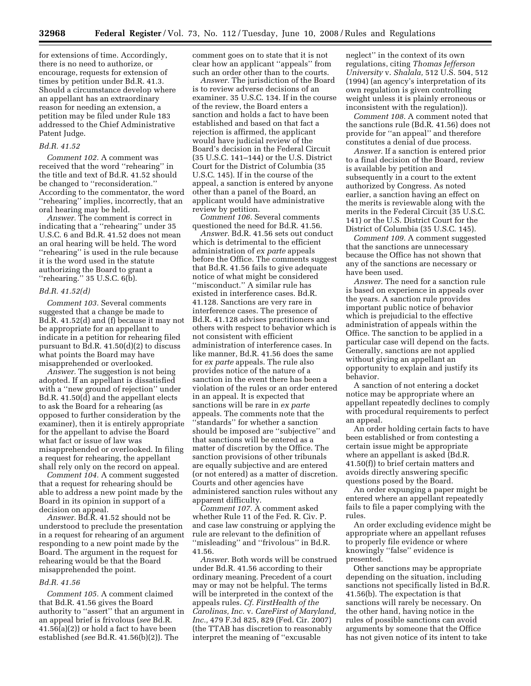for extensions of time. Accordingly, there is no need to authorize, or encourage, requests for extension of times by petition under Bd.R. 41.3. Should a circumstance develop where an appellant has an extraordinary reason for needing an extension, a petition may be filed under Rule 183 addressed to the Chief Administrative Patent Judge.

#### *Bd.R. 41.52*

*Comment 102.* A comment was received that the word ''rehearing'' in the title and text of Bd.R. 41.52 should be changed to ''reconsideration.'' According to the commentator, the word ''rehearing'' implies, incorrectly, that an oral hearing may be held.

*Answer.* The comment is correct in indicating that a ''rehearing'' under 35 U.S.C. 6 and Bd.R. 41.52 does not mean an oral hearing will be held. The word ''rehearing'' is used in the rule because it is the word used in the statute authorizing the Board to grant a ''rehearing.'' 35 U.S.C. 6(b).

#### *Bd.R. 41.52(d)*

*Comment 103.* Several comments suggested that a change be made to Bd.R. 41.52(d) and (f) because it may not be appropriate for an appellant to indicate in a petition for rehearing filed pursuant to Bd.R. 41.50(d)(2) to discuss what points the Board may have misapprehended or overlooked.

*Answer.* The suggestion is not being adopted. If an appellant is dissatisfied with a ''new ground of rejection'' under Bd.R. 41.50(d) and the appellant elects to ask the Board for a rehearing (as opposed to further consideration by the examiner), then it is entirely appropriate for the appellant to advise the Board what fact or issue of law was misapprehended or overlooked. In filing a request for rehearing, the appellant shall rely only on the record on appeal.

*Comment 104.* A comment suggested that a request for rehearing should be able to address a new point made by the Board in its opinion in support of a decision on appeal.

*Answer.* Bd.R. 41.52 should not be understood to preclude the presentation in a request for rehearing of an argument responding to a new point made by the Board. The argument in the request for rehearing would be that the Board misapprehended the point.

#### *Bd.R. 41.56*

*Comment 105.* A comment claimed that Bd.R. 41.56 gives the Board authority to ''assert'' that an argument in an appeal brief is frivolous (*see* Bd.R. 41.56(a)(2)) or hold a fact to have been established (*see* Bd.R. 41.56(b)(2)). The

comment goes on to state that it is not clear how an applicant ''appeals'' from such an order other than to the courts.

*Answer.* The jurisdiction of the Board is to review adverse decisions of an examiner. 35 U.S.C. 134. If in the course of the review, the Board enters a sanction and holds a fact to have been established and based on that fact a rejection is affirmed, the applicant would have judicial review of the Board's decision in the Federal Circuit (35 U.S.C. 141–144) or the U.S. District Court for the District of Columbia (35 U.S.C. 145). If in the course of the appeal, a sanction is entered by anyone other than a panel of the Board, an applicant would have administrative review by petition.

*Comment 106.* Several comments questioned the need for Bd.R. 41.56.

*Answer.* Bd.R. 41.56 sets out conduct which is detrimental to the efficient administration of *ex parte* appeals before the Office. The comments suggest that Bd.R. 41.56 fails to give adequate notice of what might be considered ''misconduct.'' A similar rule has existed in interference cases. Bd.R. 41.128. Sanctions are very rare in interference cases. The presence of Bd.R. 41.128 advises practitioners and others with respect to behavior which is not consistent with efficient administration of interference cases. In like manner, Bd.R. 41.56 does the same for *ex parte* appeals. The rule also provides notice of the nature of a sanction in the event there has been a violation of the rules or an order entered in an appeal. It is expected that sanctions will be rare in *ex parte*  appeals. The comments note that the ''standards'' for whether a sanction should be imposed are ''subjective'' and that sanctions will be entered as a matter of discretion by the Office. The sanction provisions of other tribunals are equally subjective and are entered (or not entered) as a matter of discretion. Courts and other agencies have administered sanction rules without any apparent difficulty.

*Comment 107.* A comment asked whether Rule 11 of the Fed. R. Civ. P. and case law construing or applying the rule are relevant to the definition of ''misleading'' and ''frivolous'' in Bd.R. 41.56.

*Answer.* Both words will be construed under Bd.R. 41.56 according to their ordinary meaning. Precedent of a court may or may not be helpful. The terms will be interpreted in the context of the appeals rules. *Cf. FirstHealth of the Carolinas, Inc.* v. *CareFirst of Maryland, Inc.,* 479 F.3d 825, 829 (Fed. Cir. 2007) (the TTAB has discretion to reasonably interpret the meaning of ''excusable

neglect'' in the context of its own regulations, citing *Thomas Jefferson University* v. *Shalala,* 512 U.S. 504, 512 (1994) (an agency's interpretation of its own regulation is given controlling weight unless it is plainly erroneous or inconsistent with the regulation)).

*Comment 108.* A comment noted that the sanctions rule (Bd.R. 41.56) does not provide for ''an appeal'' and therefore constitutes a denial of due process.

*Answer.* If a sanction is entered prior to a final decision of the Board, review is available by petition and subsequently in a court to the extent authorized by Congress. As noted earlier, a sanction having an effect on the merits is reviewable along with the merits in the Federal Circuit (35 U.S.C. 141) or the U.S. District Court for the District of Columbia (35 U.S.C. 145).

*Comment 109.* A comment suggested that the sanctions are unnecessary because the Office has not shown that any of the sanctions are necessary or have been used.

*Answer.* The need for a sanction rule is based on experience in appeals over the years. A sanction rule provides important public notice of behavior which is prejudicial to the effective administration of appeals within the Office. The sanction to be applied in a particular case will depend on the facts. Generally, sanctions are not applied without giving an appellant an opportunity to explain and justify its behavior.

A sanction of not entering a docket notice may be appropriate where an appellant repeatedly declines to comply with procedural requirements to perfect an appeal.

An order holding certain facts to have been established or from contesting a certain issue might be appropriate where an appellant is asked (Bd.R. 41.50(f)) to brief certain matters and avoids directly answering specific questions posed by the Board.

An order expunging a paper might be entered where an appellant repeatedly fails to file a paper complying with the rules.

An order excluding evidence might be appropriate where an appellant refuses to properly file evidence or where knowingly ''false'' evidence is presented.

Other sanctions may be appropriate depending on the situation, including sanctions not specifically listed in Bd.R. 41.56(b). The expectation is that sanctions will rarely be necessary. On the other hand, having notice in the rules of possible sanctions can avoid arguments by someone that the Office has not given notice of its intent to take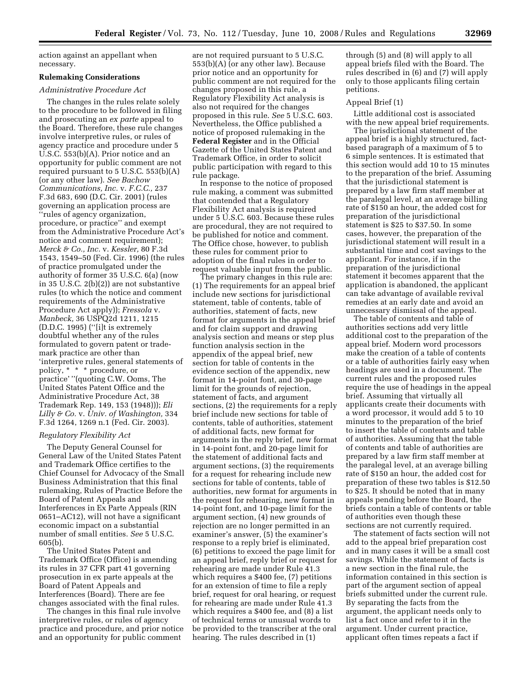action against an appellant when necessary.

#### **Rulemaking Considerations**

#### *Administrative Procedure Act*

The changes in the rules relate solely to the procedure to be followed in filing and prosecuting an *ex parte* appeal to the Board. Therefore, these rule changes involve interpretive rules, or rules of agency practice and procedure under 5 U.S.C. 553(b)(A). Prior notice and an opportunity for public comment are not required pursuant to 5 U.S.C. 553(b)(A) (or any other law). *See Bachow Communications, Inc.* v. *F.C.C.,* 237 F.3d 683, 690 (D.C. Cir. 2001) (rules governing an application process are ''rules of agency organization, procedure, or practice'' and exempt from the Administrative Procedure Act's notice and comment requirement); *Merck & Co., Inc.* v. *Kessler,* 80 F.3d 1543, 1549–50 (Fed. Cir. 1996) (the rules of practice promulgated under the authority of former 35 U.S.C. 6(a) (now in 35 U.S.C. 2(b)(2)) are not substantive rules (to which the notice and comment requirements of the Administrative Procedure Act apply)); *Fressola* v. *Manbeck,* 36 USPQ2d 1211, 1215 (D.D.C. 1995) (''[i]t is extremely doubtful whether any of the rules formulated to govern patent or trademark practice are other than 'interpretive rules, general statements of policy, \* \* \* procedure, or practice' ''(quoting C.W. Ooms, The United States Patent Office and the Administrative Procedure Act, 38 Trademark Rep. 149, 153 (1948))); *Eli Lilly & Co.* v. *Univ. of Washington,* 334 F.3d 1264, 1269 n.1 (Fed. Cir. 2003).

#### *Regulatory Flexibility Act*

The Deputy General Counsel for General Law of the United States Patent and Trademark Office certifies to the Chief Counsel for Advocacy of the Small Business Administration that this final rulemaking, Rules of Practice Before the Board of Patent Appeals and Interferences in Ex Parte Appeals (RIN 0651–AC12), will not have a significant economic impact on a substantial number of small entities. *See* 5 U.S.C. 605(b).

The United States Patent and Trademark Office (Office) is amending its rules in 37 CFR part 41 governing prosecution in ex parte appeals at the Board of Patent Appeals and Interferences (Board). There are fee changes associated with the final rules.

The changes in this final rule involve interpretive rules, or rules of agency practice and procedure, and prior notice and an opportunity for public comment

are not required pursuant to 5 U.S.C. 553(b)(A) (or any other law). Because prior notice and an opportunity for public comment are not required for the changes proposed in this rule, a Regulatory Flexibility Act analysis is also not required for the changes proposed in this rule. *See* 5 U.S.C. 603. Nevertheless, the Office published a notice of proposed rulemaking in the **Federal Register** and in the Official Gazette of the United States Patent and Trademark Office, in order to solicit public participation with regard to this rule package.

In response to the notice of proposed rule making, a comment was submitted that contended that a Regulatory Flexibility Act analysis is required under 5 U.S.C. 603. Because these rules are procedural, they are not required to be published for notice and comment. The Office chose, however, to publish these rules for comment prior to adoption of the final rules in order to request valuable input from the public.

The primary changes in this rule are: (1) The requirements for an appeal brief include new sections for jurisdictional statement, table of contents, table of authorities, statement of facts, new format for arguments in the appeal brief and for claim support and drawing analysis section and means or step plus function analysis section in the appendix of the appeal brief, new section for table of contents in the evidence section of the appendix, new format in 14-point font, and 30-page limit for the grounds of rejection, statement of facts, and argument sections, (2) the requirements for a reply brief include new sections for table of contents, table of authorities, statement of additional facts, new format for arguments in the reply brief, new format in 14-point font, and 20-page limit for the statement of additional facts and argument sections, (3) the requirements for a request for rehearing include new sections for table of contents, table of authorities, new format for arguments in the request for rehearing, new format in 14-point font, and 10-page limit for the argument section, (4) new grounds of rejection are no longer permitted in an examiner's answer, (5) the examiner's response to a reply brief is eliminated, (6) petitions to exceed the page limit for an appeal brief, reply brief or request for rehearing are made under Rule 41.3 which requires a \$400 fee, (7) petitions for an extension of time to file a reply brief, request for oral hearing, or request for rehearing are made under Rule 41.3 which requires a \$400 fee, and (8) a list of technical terms or unusual words to be provided to the transcriber at the oral hearing. The rules described in (1)

through (5) and (8) will apply to all appeal briefs filed with the Board. The rules described in (6) and (7) will apply only to those applicants filing certain petitions.

#### Appeal Brief (1)

Little additional cost is associated with the new appeal brief requirements.

The jurisdictional statement of the appeal brief is a highly structured, factbased paragraph of a maximum of 5 to 6 simple sentences. It is estimated that this section would add 10 to 15 minutes to the preparation of the brief. Assuming that the jurisdictional statement is prepared by a law firm staff member at the paralegal level, at an average billing rate of \$150 an hour, the added cost for preparation of the jurisdictional statement is \$25 to \$37.50. In some cases, however, the preparation of the jurisdictional statement will result in a substantial time and cost savings to the applicant. For instance, if in the preparation of the jurisdictional statement it becomes apparent that the application is abandoned, the applicant can take advantage of available revival remedies at an early date and avoid an unnecessary dismissal of the appeal.

The table of contents and table of authorities sections add very little additional cost to the preparation of the appeal brief. Modern word processors make the creation of a table of contents or a table of authorities fairly easy when headings are used in a document. The current rules and the proposed rules require the use of headings in the appeal brief. Assuming that virtually all applicants create their documents with a word processor, it would add 5 to 10 minutes to the preparation of the brief to insert the table of contents and table of authorities. Assuming that the table of contents and table of authorities are prepared by a law firm staff member at the paralegal level, at an average billing rate of \$150 an hour, the added cost for preparation of these two tables is \$12.50 to \$25. It should be noted that in many appeals pending before the Board, the briefs contain a table of contents or table of authorities even though these sections are not currently required.

The statement of facts section will not add to the appeal brief preparation cost and in many cases it will be a small cost savings. While the statement of facts is a new section in the final rule, the information contained in this section is part of the argument section of appeal briefs submitted under the current rule. By separating the facts from the argument, the applicant needs only to list a fact once and refer to it in the argument. Under current practice, applicant often times repeats a fact if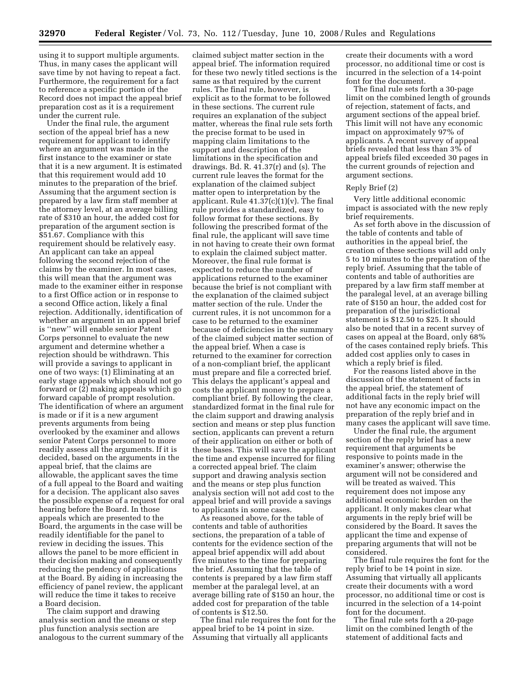using it to support multiple arguments. Thus, in many cases the applicant will save time by not having to repeat a fact. Furthermore, the requirement for a fact to reference a specific portion of the Record does not impact the appeal brief preparation cost as it is a requirement under the current rule.

Under the final rule, the argument section of the appeal brief has a new requirement for applicant to identify where an argument was made in the first instance to the examiner or state that it is a new argument. It is estimated that this requirement would add 10 minutes to the preparation of the brief. Assuming that the argument section is prepared by a law firm staff member at the attorney level, at an average billing rate of \$310 an hour, the added cost for preparation of the argument section is \$51.67. Compliance with this requirement should be relatively easy. An applicant can take an appeal following the second rejection of the claims by the examiner. In most cases, this will mean that the argument was made to the examiner either in response to a first Office action or in response to a second Office action, likely a final rejection. Additionally, identification of whether an argument in an appeal brief is ''new'' will enable senior Patent Corps personnel to evaluate the new argument and determine whether a rejection should be withdrawn. This will provide a savings to applicant in one of two ways: (1) Eliminating at an early stage appeals which should not go forward or (2) making appeals which go forward capable of prompt resolution. The identification of where an argument is made or if it is a new argument prevents arguments from being overlooked by the examiner and allows senior Patent Corps personnel to more readily assess all the arguments. If it is decided, based on the arguments in the appeal brief, that the claims are allowable, the applicant saves the time of a full appeal to the Board and waiting for a decision. The applicant also saves the possible expense of a request for oral hearing before the Board. In those appeals which are presented to the Board, the arguments in the case will be readily identifiable for the panel to review in deciding the issues. This allows the panel to be more efficient in their decision making and consequently reducing the pendency of applications at the Board. By aiding in increasing the efficiency of panel review, the applicant will reduce the time it takes to receive a Board decision.

The claim support and drawing analysis section and the means or step plus function analysis section are analogous to the current summary of the

claimed subject matter section in the appeal brief. The information required for these two newly titled sections is the same as that required by the current rules. The final rule, however, is explicit as to the format to be followed in these sections. The current rule requires an explanation of the subject matter, whereas the final rule sets forth the precise format to be used in mapping claim limitations to the support and description of the limitations in the specification and drawings. Bd. R.  $41.37(r)$  and (s). The current rule leaves the format for the explanation of the claimed subject matter open to interpretation by the applicant. Rule  $41.37(c)(1)(v)$ . The final rule provides a standardized, easy to follow format for these sections. By following the prescribed format of the final rule, the applicant will save time in not having to create their own format to explain the claimed subject matter. Moreover, the final rule format is expected to reduce the number of applications returned to the examiner because the brief is not compliant with the explanation of the claimed subject matter section of the rule. Under the current rules, it is not uncommon for a case to be returned to the examiner because of deficiencies in the summary of the claimed subject matter section of the appeal brief. When a case is returned to the examiner for correction of a non-compliant brief, the applicant must prepare and file a corrected brief. This delays the applicant's appeal and costs the applicant money to prepare a compliant brief. By following the clear, standardized format in the final rule for the claim support and drawing analysis section and means or step plus function section, applicants can prevent a return of their application on either or both of these bases. This will save the applicant the time and expense incurred for filing a corrected appeal brief. The claim support and drawing analysis section and the means or step plus function analysis section will not add cost to the appeal brief and will provide a savings to applicants in some cases.

As reasoned above, for the table of contents and table of authorities sections, the preparation of a table of contents for the evidence section of the appeal brief appendix will add about five minutes to the time for preparing the brief. Assuming that the table of contents is prepared by a law firm staff member at the paralegal level, at an average billing rate of \$150 an hour, the added cost for preparation of the table of contents is \$12.50.

The final rule requires the font for the appeal brief to be 14 point in size. Assuming that virtually all applicants

create their documents with a word processor, no additional time or cost is incurred in the selection of a 14-point font for the document.

The final rule sets forth a 30-page limit on the combined length of grounds of rejection, statement of facts, and argument sections of the appeal brief. This limit will not have any economic impact on approximately 97% of applicants. A recent survey of appeal briefs revealed that less than 3% of appeal briefs filed exceeded 30 pages in the current grounds of rejection and argument sections.

#### Reply Brief (2)

Very little additional economic impact is associated with the new reply brief requirements.

As set forth above in the discussion of the table of contents and table of authorities in the appeal brief, the creation of these sections will add only 5 to 10 minutes to the preparation of the reply brief. Assuming that the table of contents and table of authorities are prepared by a law firm staff member at the paralegal level, at an average billing rate of \$150 an hour, the added cost for preparation of the jurisdictional statement is \$12.50 to \$25. It should also be noted that in a recent survey of cases on appeal at the Board, only 68% of the cases contained reply briefs. This added cost applies only to cases in which a reply brief is filed.

For the reasons listed above in the discussion of the statement of facts in the appeal brief, the statement of additional facts in the reply brief will not have any economic impact on the preparation of the reply brief and in many cases the applicant will save time.

Under the final rule, the argument section of the reply brief has a new requirement that arguments be responsive to points made in the examiner's answer; otherwise the argument will not be considered and will be treated as waived. This requirement does not impose any additional economic burden on the applicant. It only makes clear what arguments in the reply brief will be considered by the Board. It saves the applicant the time and expense of preparing arguments that will not be considered.

The final rule requires the font for the reply brief to be 14 point in size. Assuming that virtually all applicants create their documents with a word processor, no additional time or cost is incurred in the selection of a 14-point font for the document.

The final rule sets forth a 20-page limit on the combined length of the statement of additional facts and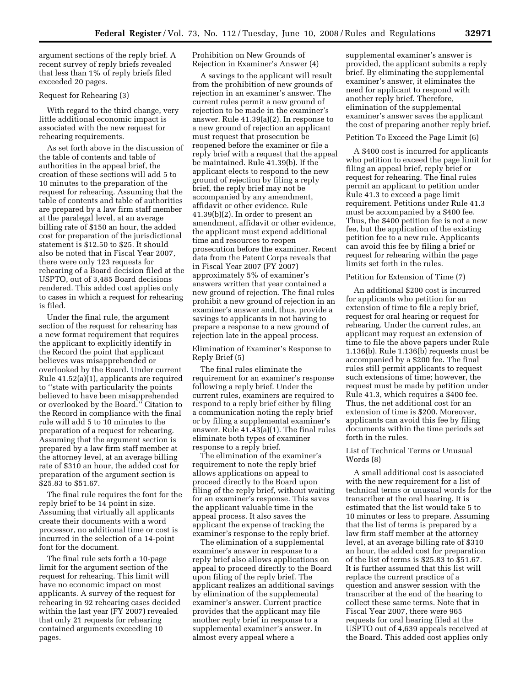argument sections of the reply brief. A recent survey of reply briefs revealed that less than 1% of reply briefs filed exceeded 20 pages.

#### Request for Rehearing (3)

With regard to the third change, very little additional economic impact is associated with the new request for rehearing requirements.

As set forth above in the discussion of the table of contents and table of authorities in the appeal brief, the creation of these sections will add 5 to 10 minutes to the preparation of the request for rehearing. Assuming that the table of contents and table of authorities are prepared by a law firm staff member at the paralegal level, at an average billing rate of \$150 an hour, the added cost for preparation of the jurisdictional statement is \$12.50 to \$25. It should also be noted that in Fiscal Year 2007, there were only 123 requests for rehearing of a Board decision filed at the USPTO, out of 3,485 Board decisions rendered. This added cost applies only to cases in which a request for rehearing is filed.

Under the final rule, the argument section of the request for rehearing has a new format requirement that requires the applicant to explicitly identify in the Record the point that applicant believes was misapprehended or overlooked by the Board. Under current Rule 41.52(a)(1), applicants are required to ''state with particularity the points believed to have been misapprehended or overlooked by the Board.'' Citation to the Record in compliance with the final rule will add 5 to 10 minutes to the preparation of a request for rehearing. Assuming that the argument section is prepared by a law firm staff member at the attorney level, at an average billing rate of \$310 an hour, the added cost for preparation of the argument section is \$25.83 to \$51.67.

The final rule requires the font for the reply brief to be 14 point in size. Assuming that virtually all applicants create their documents with a word processor, no additional time or cost is incurred in the selection of a 14-point font for the document.

The final rule sets forth a 10-page limit for the argument section of the request for rehearing. This limit will have no economic impact on most applicants. A survey of the request for rehearing in 92 rehearing cases decided within the last year (FY 2007) revealed that only 21 requests for rehearing contained arguments exceeding 10 pages.

Prohibition on New Grounds of Rejection in Examiner's Answer (4)

A savings to the applicant will result from the prohibition of new grounds of rejection in an examiner's answer. The current rules permit a new ground of rejection to be made in the examiner's answer. Rule 41.39(a)(2). In response to a new ground of rejection an applicant must request that prosecution be reopened before the examiner or file a reply brief with a request that the appeal be maintained. Rule 41.39(b). If the applicant elects to respond to the new ground of rejection by filing a reply brief, the reply brief may not be accompanied by any amendment, affidavit or other evidence. Rule 41.39(b)(2). In order to present an amendment, affidavit or other evidence, the applicant must expend additional time and resources to reopen prosecution before the examiner. Recent data from the Patent Corps reveals that in Fiscal Year 2007 (FY 2007) approximately 5% of examiner's answers written that year contained a new ground of rejection. The final rules prohibit a new ground of rejection in an examiner's answer and, thus, provide a savings to applicants in not having to prepare a response to a new ground of rejection late in the appeal process.

Elimination of Examiner's Response to Reply Brief (5)

The final rules eliminate the requirement for an examiner's response following a reply brief. Under the current rules, examiners are required to respond to a reply brief either by filing a communication noting the reply brief or by filing a supplemental examiner's answer. Rule 41.43(a)(1). The final rules eliminate both types of examiner response to a reply brief.

The elimination of the examiner's requirement to note the reply brief allows applications on appeal to proceed directly to the Board upon filing of the reply brief, without waiting for an examiner's response. This saves the applicant valuable time in the appeal process. It also saves the applicant the expense of tracking the examiner's response to the reply brief.

The elimination of a supplemental examiner's answer in response to a reply brief also allows applications on appeal to proceed directly to the Board upon filing of the reply brief. The applicant realizes an additional savings by elimination of the supplemental examiner's answer. Current practice provides that the applicant may file another reply brief in response to a supplemental examiner's answer. In almost every appeal where a

supplemental examiner's answer is provided, the applicant submits a reply brief. By eliminating the supplemental examiner's answer, it eliminates the need for applicant to respond with another reply brief. Therefore, elimination of the supplemental examiner's answer saves the applicant the cost of preparing another reply brief.

#### Petition To Exceed the Page Limit (6)

A \$400 cost is incurred for applicants who petition to exceed the page limit for filing an appeal brief, reply brief or request for rehearing. The final rules permit an applicant to petition under Rule 41.3 to exceed a page limit requirement. Petitions under Rule 41.3 must be accompanied by a \$400 fee. Thus, the \$400 petition fee is not a new fee, but the application of the existing petition fee to a new rule. Applicants can avoid this fee by filing a brief or request for rehearing within the page limits set forth in the rules.

#### Petition for Extension of Time (7)

An additional \$200 cost is incurred for applicants who petition for an extension of time to file a reply brief, request for oral hearing or request for rehearing. Under the current rules, an applicant may request an extension of time to file the above papers under Rule 1.136(b). Rule 1.136(b) requests must be accompanied by a \$200 fee. The final rules still permit applicants to request such extensions of time; however, the request must be made by petition under Rule 41.3, which requires a \$400 fee. Thus, the net additional cost for an extension of time is \$200. Moreover, applicants can avoid this fee by filing documents within the time periods set forth in the rules.

#### List of Technical Terms or Unusual Words (8)

A small additional cost is associated with the new requirement for a list of technical terms or unusual words for the transcriber at the oral hearing. It is estimated that the list would take 5 to 10 minutes or less to prepare. Assuming that the list of terms is prepared by a law firm staff member at the attorney level, at an average billing rate of \$310 an hour, the added cost for preparation of the list of terms is \$25.83 to \$51.67. It is further assumed that this list will replace the current practice of a question and answer session with the transcriber at the end of the hearing to collect these same terms. Note that in Fiscal Year 2007, there were 965 requests for oral hearing filed at the USPTO out of 4,639 appeals received at the Board. This added cost applies only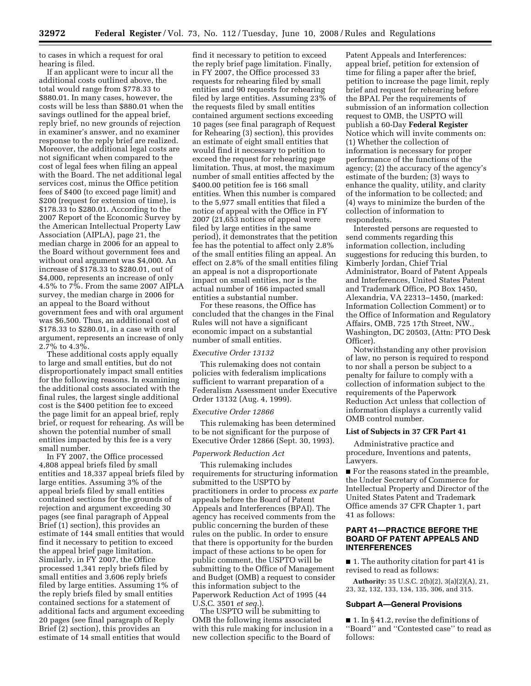to cases in which a request for oral hearing is filed.

If an applicant were to incur all the additional costs outlined above, the total would range from \$778.33 to \$880.01. In many cases, however, the costs will be less than \$880.01 when the savings outlined for the appeal brief, reply brief, no new grounds of rejection in examiner's answer, and no examiner response to the reply brief are realized. Moreover, the additional legal costs are not significant when compared to the cost of legal fees when filing an appeal with the Board. The net additional legal services cost, minus the Office petition fees of \$400 (to exceed page limit) and \$200 (request for extension of time), is \$178.33 to \$280.01. According to the 2007 Report of the Economic Survey by the American Intellectual Property Law Association (AIPLA), page 21, the median charge in 2006 for an appeal to the Board without government fees and without oral argument was \$4,000. An increase of \$178.33 to \$280.01, out of \$4,000, represents an increase of only 4.5% to 7%. From the same 2007 AIPLA survey, the median charge in 2006 for an appeal to the Board without government fees and with oral argument was \$6,500. Thus, an additional cost of \$178.33 to \$280.01, in a case with oral argument, represents an increase of only 2.7% to 4.3%.

These additional costs apply equally to large and small entities, but do not disproportionately impact small entities for the following reasons. In examining the additional costs associated with the final rules, the largest single additional cost is the \$400 petition fee to exceed the page limit for an appeal brief, reply brief, or request for rehearing. As will be shown the potential number of small entities impacted by this fee is a very small number.

In FY 2007, the Office processed 4,808 appeal briefs filed by small entities and 18,337 appeal briefs filed by large entities. Assuming 3% of the appeal briefs filed by small entities contained sections for the grounds of rejection and argument exceeding 30 pages (see final paragraph of Appeal Brief (1) section), this provides an estimate of 144 small entities that would find it necessary to petition to exceed the appeal brief page limitation. Similarly, in FY 2007, the Office processed 1,341 reply briefs filed by small entities and 3,606 reply briefs filed by large entities. Assuming 1% of the reply briefs filed by small entities contained sections for a statement of additional facts and argument exceeding 20 pages (see final paragraph of Reply Brief (2) section), this provides an estimate of 14 small entities that would

find it necessary to petition to exceed the reply brief page limitation. Finally, in FY 2007, the Office processed 33 requests for rehearing filed by small entities and 90 requests for rehearing filed by large entities. Assuming 23% of the requests filed by small entities contained argument sections exceeding 10 pages (see final paragraph of Request for Rehearing (3) section), this provides an estimate of eight small entities that would find it necessary to petition to exceed the request for rehearing page limitation. Thus, at most, the maximum number of small entities affected by the \$400.00 petition fee is 166 small entities. When this number is compared to the 5,977 small entities that filed a notice of appeal with the Office in FY 2007 (21,653 notices of appeal were filed by large entities in the same period), it demonstrates that the petition fee has the potential to affect only 2.8% of the small entities filing an appeal. An effect on 2.8% of the small entities filing an appeal is not a disproportionate impact on small entities, nor is the actual number of 166 impacted small entities a substantial number.

For these reasons, the Office has concluded that the changes in the Final Rules will not have a significant economic impact on a substantial number of small entities.

#### *Executive Order 13132*

This rulemaking does not contain policies with federalism implications sufficient to warrant preparation of a Federalism Assessment under Executive Order 13132 (Aug. 4, 1999).

#### *Executive Order 12866*

This rulemaking has been determined to be not significant for the purpose of Executive Order 12866 (Sept. 30, 1993).

#### *Paperwork Reduction Act*

This rulemaking includes requirements for structuring information submitted to the USPTO by practitioners in order to process *ex parte*  appeals before the Board of Patent Appeals and Interferences (BPAI). The agency has received comments from the public concerning the burden of these rules on the public. In order to ensure that there is opportunity for the burden impact of these actions to be open for public comment, the USPTO will be submitting to the Office of Management and Budget (OMB) a request to consider this information subject to the Paperwork Reduction Act of 1995 (44 U.S.C. 3501 *et seq.*).

The USPTO will be submitting to OMB the following items associated with this rule making for inclusion in a new collection specific to the Board of

Patent Appeals and Interferences: appeal brief, petition for extension of time for filing a paper after the brief, petition to increase the page limit, reply brief and request for rehearing before the BPAI. Per the requirements of submission of an information collection request to OMB, the USPTO will publish a 60-Day **Federal Register**  Notice which will invite comments on: (1) Whether the collection of information is necessary for proper performance of the functions of the agency; (2) the accuracy of the agency's estimate of the burden; (3) ways to enhance the quality, utility, and clarity of the information to be collected; and (4) ways to minimize the burden of the collection of information to respondents.

Interested persons are requested to send comments regarding this information collection, including suggestions for reducing this burden, to Kimberly Jordan, Chief Trial Administrator, Board of Patent Appeals and Interferences, United States Patent and Trademark Office, PO Box 1450, Alexandria, VA 22313–1450, (marked: Information Collection Comment) or to the Office of Information and Regulatory Affairs, OMB, 725 17th Street, NW., Washington, DC 20503, (Attn: PTO Desk Officer).

Notwithstanding any other provision of law, no person is required to respond to nor shall a person be subject to a penalty for failure to comply with a collection of information subject to the requirements of the Paperwork Reduction Act unless that collection of information displays a currently valid OMB control number.

#### **List of Subjects in 37 CFR Part 41**

Administrative practice and procedure, Inventions and patents, Lawyers.

■ For the reasons stated in the preamble, the Under Secretary of Commerce for Intellectual Property and Director of the United States Patent and Trademark Office amends 37 CFR Chapter 1, part 41 as follows:

#### **PART 41—PRACTICE BEFORE THE BOARD OF PATENT APPEALS AND INTERFERENCES**

■ 1. The authority citation for part 41 is revised to read as follows:

**Authority:** 35 U.S.C. 2(b)(2), 3(a)(2)(A), 21, 23, 32, 132, 133, 134, 135, 306, and 315.

#### **Subpart A—General Provisions**

■ 1. In § 41.2, revise the definitions of ''Board'' and ''Contested case'' to read as follows: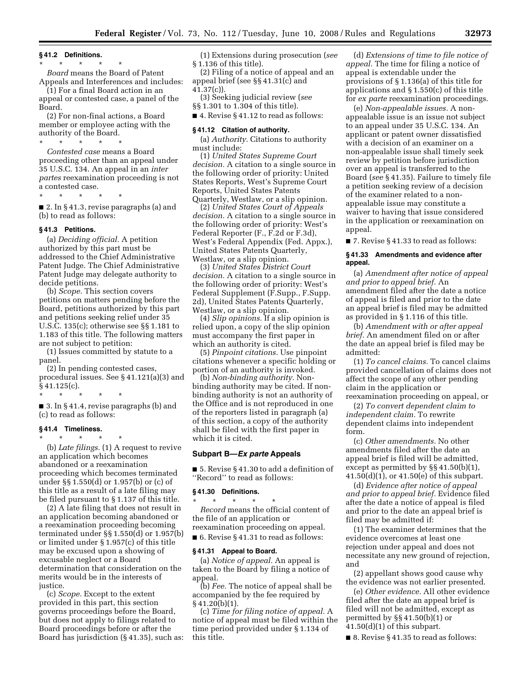#### **§ 41.2 Definitions.**

\* \* \* \* \*

*Board* means the Board of Patent Appeals and Interferences and includes:

(1) For a final Board action in an appeal or contested case, a panel of the Board.

(2) For non-final actions, a Board member or employee acting with the authority of the Board.

\* \* \* \* \* *Contested case* means a Board proceeding other than an appeal under 35 U.S.C. 134. An appeal in an *inter partes* reexamination proceeding is not a contested case.

 $*$  \* ■ 2. In § 41.3, revise paragraphs (a) and

**§ 41.3 Petitions.** 

(b) to read as follows:

(a) *Deciding official.* A petition authorized by this part must be addressed to the Chief Administrative Patent Judge. The Chief Administrative Patent Judge may delegate authority to decide petitions.

(b) *Scope.* This section covers petitions on matters pending before the Board, petitions authorized by this part and petitions seeking relief under 35 U.S.C. 135(c); otherwise see §§ 1.181 to 1.183 of this title. The following matters are not subject to petition:

(1) Issues committed by statute to a panel.

(2) In pending contested cases, procedural issues. See § 41.121(a)(3) and

§ 41.125(c). \* \* \* \* \*

■ 3. In § 41.4, revise paragraphs (b) and (c) to read as follows:

#### **§ 41.4 Timeliness.**   $*$  \*

(b) *Late filings.* (1) A request to revive an application which becomes abandoned or a reexamination proceeding which becomes terminated under §§ 1.550(d) or 1.957(b) or (c) of this title as a result of a late filing may be filed pursuant to § 1.137 of this title.

(2) A late filing that does not result in an application becoming abandoned or a reexamination proceeding becoming terminated under §§ 1.550(d) or 1.957(b) or limited under § 1.957(c) of this title may be excused upon a showing of excusable neglect or a Board determination that consideration on the merits would be in the interests of justice.

(c) *Scope.* Except to the extent provided in this part, this section governs proceedings before the Board, but does not apply to filings related to Board proceedings before or after the Board has jurisdiction (§ 41.35), such as:

(1) Extensions during prosecution (*see*  § 1.136 of this title).

(2) Filing of a notice of appeal and an appeal brief (see §§ 41.31(c) and 41.37(c)).

(3) Seeking judicial review (*see*  §§ 1.301 to 1.304 of this title).

■ 4. Revise § 41.12 to read as follows:

#### **§ 41.12 Citation of authority.**

(a) *Authority.* Citations to authority must include:

(1) *United States Supreme Court decision.* A citation to a single source in the following order of priority: United States Reports, West's Supreme Court Reports, United States Patents Quarterly, Westlaw, or a slip opinion.

(2) *United States Court of Appeals decision.* A citation to a single source in the following order of priority: West's Federal Reporter (F., F.2d or F.3d), West's Federal Appendix (Fed. Appx.), United States Patents Quarterly, Westlaw, or a slip opinion.

(3) *United States District Court decision.* A citation to a single source in the following order of priority: West's Federal Supplement (F.Supp., F.Supp. 2d), United States Patents Quarterly, Westlaw, or a slip opinion.

(4) *Slip opinions.* If a slip opinion is relied upon, a copy of the slip opinion must accompany the first paper in which an authority is cited.

(5) *Pinpoint citations.* Use pinpoint citations whenever a specific holding or portion of an authority is invoked.

(b) *Non-binding authority.* Nonbinding authority may be cited. If nonbinding authority is not an authority of the Office and is not reproduced in one of the reporters listed in paragraph (a) of this section, a copy of the authority shall be filed with the first paper in which it is cited.

#### **Subpart B—***Ex parte* **Appeals**

■ 5. Revise § 41.30 to add a definition of ''Record'' to read as follows:

#### **§ 41.30 Definitions.**

\* \* \* \* \* *Record* means the official content of the file of an application or reexamination proceeding on appeal. ■ 6. Revise § 41.31 to read as follows:

#### **§ 41.31 Appeal to Board.**

(a) *Notice of appeal.* An appeal is taken to the Board by filing a notice of appeal.

(b) *Fee.* The notice of appeal shall be accompanied by the fee required by  $§$  41.20(b)(1).

(c) *Time for filing notice of appeal.* A notice of appeal must be filed within the time period provided under § 1.134 of this title.

(d) *Extensions of time to file notice of appeal.* The time for filing a notice of appeal is extendable under the provisions of § 1.136(a) of this title for applications and § 1.550(c) of this title for *ex parte* reexamination proceedings.

(e) *Non-appealable issues.* A nonappealable issue is an issue not subject to an appeal under 35 U.S.C. 134. An applicant or patent owner dissatisfied with a decision of an examiner on a non-appealable issue shall timely seek review by petition before jurisdiction over an appeal is transferred to the Board (*see* § 41.35). Failure to timely file a petition seeking review of a decision of the examiner related to a nonappealable issue may constitute a waiver to having that issue considered in the application or reexamination on appeal.

■ 7. Revise § 41.33 to read as follows:

#### **§ 41.33 Amendments and evidence after appeal.**

(a) *Amendment after notice of appeal and prior to appeal brief.* An amendment filed after the date a notice of appeal is filed and prior to the date an appeal brief is filed may be admitted as provided in § 1.116 of this title.

(b) *Amendment with or after appeal brief.* An amendment filed on or after the date an appeal brief is filed may be admitted:

(1) *To cancel claims.* To cancel claims provided cancellation of claims does not affect the scope of any other pending claim in the application or reexamination proceeding on appeal, or

(2) *To convert dependent claim to independent claim.* To rewrite dependent claims into independent form.

(c) *Other amendments.* No other amendments filed after the date an appeal brief is filed will be admitted, except as permitted by §§ 41.50(b)(1), 41.50(d)(1), or 41.50(e) of this subpart.

(d) *Evidence after notice of appeal and prior to appeal brief.* Evidence filed after the date a notice of appeal is filed and prior to the date an appeal brief is filed may be admitted if:

(1) The examiner determines that the evidence overcomes at least one rejection under appeal and does not necessitate any new ground of rejection, and

(2) appellant shows good cause why the evidence was not earlier presented.

(e) *Other evidence.* All other evidence filed after the date an appeal brief is filed will not be admitted, except as permitted by §§ 41.50(b)(1) or  $41.50(d)(1)$  of this subpart.

■ 8. Revise § 41.35 to read as follows: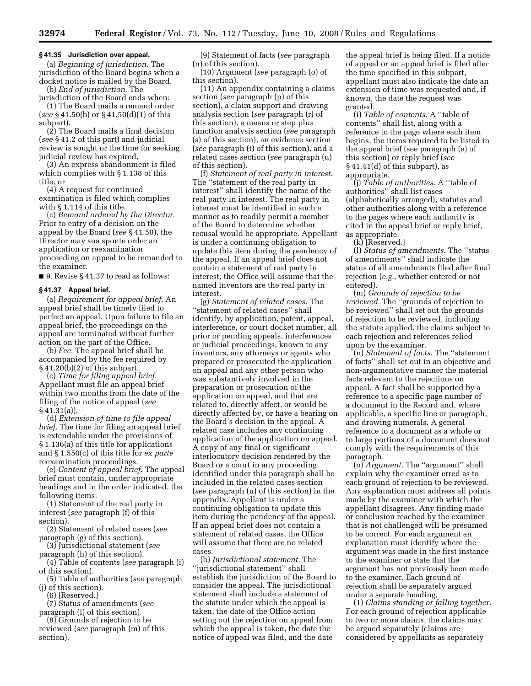#### **§ 41.35 Jurisdiction over appeal.**

(a) *Beginning of jurisdiction.* The jurisdiction of the Board begins when a docket notice is mailed by the Board.

(b) *End of jurisdiction.* The jurisdiction of the Board ends when:

(1) The Board mails a remand order (*see* § 41.50(b) or § 41.50(d)(1) of this subpart),

(2) The Board mails a final decision (*see* § 41.2 of this part) and judicial review is sought or the time for seeking judicial review has expired,

(3) An express abandonment is filed which complies with § 1.138 of this title, or

(4) A request for continued examination is filed which complies with § 1.114 of this title.

(c) *Remand ordered by the Director.*  Prior to entry of a decision on the appeal by the Board (*see* § 41.50), the Director may sua sponte order an application or reexamination proceeding on appeal to be remanded to the examiner.

■ 9. Revise § 41.37 to read as follows:

#### **§ 41.37 Appeal brief.**

(a) *Requirement for appeal brief.* An appeal brief shall be timely filed to perfect an appeal. Upon failure to file an appeal brief, the proceedings on the appeal are terminated without further action on the part of the Office.

(b) *Fee.* The appeal brief shall be accompanied by the fee required by § 41.20(b)(2) of this subpart.

(c) *Time for filing appeal brief.*  Appellant must file an appeal brief within two months from the date of the filing of the notice of appeal (*see*  § 41.31(a)).

(d) *Extension of time to file appeal brief.* The time for filing an appeal brief is extendable under the provisions of § 1.136(a) of this title for applications and § 1.550(c) of this title for *ex parte*  reexamination proceedings.

(e) *Content of appeal brief.* The appeal brief must contain, under appropriate headings and in the order indicated, the following items:

(1) Statement of the real party in interest (*see* paragraph (f) of this section).

(2) Statement of related cases (*see*  paragraph (g) of this section).

(3) Jurisdictional statement (*see*  paragraph (h) of this section).

(4) Table of contents (*see* paragraph (i) of this section).

(5) Table of authorities (*see* paragraph (j) of this section).

(6) [Reserved.]

(7) Status of amendments (*see*  paragraph (l) of this section).

(8) Grounds of rejection to be reviewed (*see* paragraph (m) of this section).

(9) Statement of facts (*see* paragraph (n) of this section).

(10) Argument (*see* paragraph (o) of this section).

(11) An appendix containing a claims section (*see* paragraph (p) of this section), a claim support and drawing analysis section (*see* paragraph (r) of this section), a means or step plus function analysis section (*see* paragraph (s) of this section), an evidence section (*see* paragraph (t) of this section), and a related cases section (*see* paragraph (u) of this section).

(f) *Statement of real party in interest.*  The ''statement of the real party in interest'' shall identify the name of the real party in interest. The real party in interest must be identified in such a manner as to readily permit a member of the Board to determine whether recusal would be appropriate. Appellant is under a continuing obligation to update this item during the pendency of the appeal. If an appeal brief does not contain a statement of real party in interest, the Office will assume that the named inventors are the real party in interest.

(g) *Statement of related cases.* The ''statement of related cases'' shall identify, by application, patent, appeal, interference, or court docket number, all prior or pending appeals, interferences or judicial proceedings, known to any inventors, any attorneys or agents who prepared or prosecuted the application on appeal and any other person who was substantively involved in the preparation or prosecution of the application on appeal, and that are related to, directly affect, or would be directly affected by, or have a bearing on the Board's decision in the appeal. A related case includes any continuing application of the application on appeal. A copy of any final or significant interlocutory decision rendered by the Board or a court in any proceeding identified under this paragraph shall be included in the related cases section (*see* paragraph (u) of this section) in the appendix. Appellant is under a continuing obligation to update this item during the pendency of the appeal. If an appeal brief does not contain a statement of related cases, the Office will assume that there are no related cases.

(h) *Jurisdictional statement.* The ''jurisdictional statement'' shall establish the jurisdiction of the Board to consider the appeal. The jurisdictional statement shall include a statement of the statute under which the appeal is taken, the date of the Office action setting out the rejection on appeal from which the appeal is taken, the date the notice of appeal was filed, and the date

the appeal brief is being filed. If a notice of appeal or an appeal brief is filed after the time specified in this subpart, appellant must also indicate the date an extension of time was requested and, if known, the date the request was granted.

(i) *Table of contents.* A ''table of contents'' shall list, along with a reference to the page where each item begins, the items required to be listed in the appeal brief (see paragraph (e) of this section) or reply brief (*see*  § 41.41(d) of this subpart), as appropriate.

(j) *Table of authorities.* A ''table of authorities'' shall list cases (alphabetically arranged), statutes and other authorities along with a reference to the pages where each authority is cited in the appeal brief or reply brief, as appropriate.

(k) [Reserved.]

(l) *Status of amendments.* The ''status of amendments'' shall indicate the status of all amendments filed after final rejection (*e.g.*, whether entered or not entered).

(m) *Grounds of rejection to be reviewed.* The ''grounds of rejection to be reviewed'' shall set out the grounds of rejection to be reviewed, including the statute applied, the claims subject to each rejection and references relied upon by the examiner.

(n) *Statement of facts.* The ''statement of facts'' shall set out in an objective and non-argumentative manner the material facts relevant to the rejections on appeal. A fact shall be supported by a reference to a specific page number of a document in the Record and, where applicable, a specific line or paragraph, and drawing numerals. A general reference to a document as a whole or to large portions of a document does not comply with the requirements of this paragraph.

(o) *Argument.* The ''argument'' shall explain why the examiner erred as to each ground of rejection to be reviewed. Any explanation must address all points made by the examiner with which the appellant disagrees. Any finding made or conclusion reached by the examiner that is not challenged will be presumed to be correct. For each argument an explanation must identify where the argument was made in the first instance to the examiner or state that the argument has not previously been made to the examiner. Each ground of rejection shall be separately argued under a separate heading.

(1) *Claims standing or falling together.*  For each ground of rejection applicable to two or more claims, the claims may be argued separately (claims are considered by appellants as separately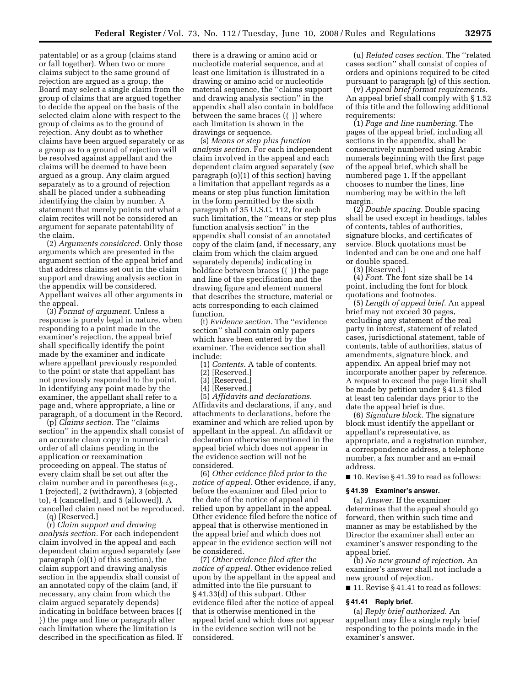patentable) or as a group (claims stand or fall together). When two or more claims subject to the same ground of rejection are argued as a group, the Board may select a single claim from the group of claims that are argued together to decide the appeal on the basis of the selected claim alone with respect to the group of claims as to the ground of rejection. Any doubt as to whether claims have been argued separately or as a group as to a ground of rejection will be resolved against appellant and the claims will be deemed to have been argued as a group. Any claim argued separately as to a ground of rejection shall be placed under a subheading identifying the claim by number. A statement that merely points out what a claim recites will not be considered an argument for separate patentability of the claim.

(2) *Arguments considered.* Only those arguments which are presented in the argument section of the appeal brief and that address claims set out in the claim support and drawing analysis section in the appendix will be considered. Appellant waives all other arguments in the appeal.

(3) *Format of argument.* Unless a response is purely legal in nature, when responding to a point made in the examiner's rejection, the appeal brief shall specifically identify the point made by the examiner and indicate where appellant previously responded to the point or state that appellant has not previously responded to the point. In identifying any point made by the examiner, the appellant shall refer to a page and, where appropriate, a line or paragraph, of a document in the Record.

(p) *Claims section.* The ''claims section'' in the appendix shall consist of an accurate clean copy in numerical order of all claims pending in the application or reexamination proceeding on appeal. The status of every claim shall be set out after the claim number and in parentheses (e.g., 1 (rejected), 2 (withdrawn), 3 (objected to), 4 (cancelled), and 5 (allowed)). A cancelled claim need not be reproduced.

(q) [Reserved.]

(r) *Claim support and drawing analysis section.* For each independent claim involved in the appeal and each dependent claim argued separately (*see*  paragraph (o)(1) of this section), the claim support and drawing analysis section in the appendix shall consist of an annotated copy of the claim (and, if necessary, any claim from which the claim argued separately depends) indicating in boldface between braces ({ }) the page and line or paragraph after each limitation where the limitation is described in the specification as filed. If

there is a drawing or amino acid or nucleotide material sequence, and at least one limitation is illustrated in a drawing or amino acid or nucleotide material sequence, the ''claims support and drawing analysis section'' in the appendix shall also contain in boldface between the same braces ({ }) where each limitation is shown in the drawings or sequence.

(s) *Means or step plus function analysis section.* For each independent claim involved in the appeal and each dependent claim argued separately (*see*  paragraph (o)(1) of this section) having a limitation that appellant regards as a means or step plus function limitation in the form permitted by the sixth paragraph of 35 U.S.C. 112, for each such limitation, the ''means or step plus function analysis section'' in the appendix shall consist of an annotated copy of the claim (and, if necessary, any claim from which the claim argued separately depends) indicating in boldface between braces ({ }) the page and line of the specification and the drawing figure and element numeral that describes the structure, material or acts corresponding to each claimed function.

(t) *Evidence section.* The ''evidence section'' shall contain only papers which have been entered by the examiner. The evidence section shall include:

(1) *Contents.* A table of contents.

- (2) [Reserved.]
- (3) [Reserved.]
- (4) [Reserved.]

(5) *Affidavits and declarations.*  Affidavits and declarations, if any, and attachments to declarations, before the examiner and which are relied upon by appellant in the appeal. An affidavit or declaration otherwise mentioned in the appeal brief which does not appear in the evidence section will not be considered.

(6) *Other evidence filed prior to the notice of appeal.* Other evidence, if any, before the examiner and filed prior to the date of the notice of appeal and relied upon by appellant in the appeal. Other evidence filed before the notice of appeal that is otherwise mentioned in the appeal brief and which does not appear in the evidence section will not be considered.

(7) *Other evidence filed after the notice of appeal.* Other evidence relied upon by the appellant in the appeal and admitted into the file pursuant to § 41.33(d) of this subpart. Other evidence filed after the notice of appeal that is otherwise mentioned in the appeal brief and which does not appear in the evidence section will not be considered.

(u) *Related cases section.* The ''related cases section'' shall consist of copies of orders and opinions required to be cited pursuant to paragraph (g) of this section.

(v) *Appeal brief format requirements.*  An appeal brief shall comply with § 1.52 of this title and the following additional requirements:

(1) *Page and line numbering.* The pages of the appeal brief, including all sections in the appendix, shall be consecutively numbered using Arabic numerals beginning with the first page of the appeal brief, which shall be numbered page 1. If the appellant chooses to number the lines, line numbering may be within the left margin.

(2) *Double spacing.* Double spacing shall be used except in headings, tables of contents, tables of authorities, signature blocks, and certificates of service. Block quotations must be indented and can be one and one half or double spaced.

(3) [Reserved.]

(4) *Font.* The font size shall be 14 point, including the font for block quotations and footnotes.

(5) *Length of appeal brief.* An appeal brief may not exceed 30 pages, excluding any statement of the real party in interest, statement of related cases, jurisdictional statement, table of contents, table of authorities, status of amendments, signature block, and appendix. An appeal brief may not incorporate another paper by reference. A request to exceed the page limit shall be made by petition under § 41.3 filed at least ten calendar days prior to the date the appeal brief is due.

(6) *Signature block.* The signature block must identify the appellant or appellant's representative, as appropriate, and a registration number, a correspondence address, a telephone number, a fax number and an e-mail address.

 $\blacksquare$  10. Revise § 41.39 to read as follows:

#### **§ 41.39 Examiner's answer.**

(a) *Answer*. If the examiner determines that the appeal should go forward, then within such time and manner as may be established by the Director the examiner shall enter an examiner's answer responding to the appeal brief.

(b) *No new ground of rejection*. An examiner's answer shall not include a new ground of rejection.

■ 11. Revise § 41.41 to read as follows:

#### **§ 41.41 Reply brief.**

(a) *Reply brief authorized*. An appellant may file a single reply brief responding to the points made in the examiner's answer.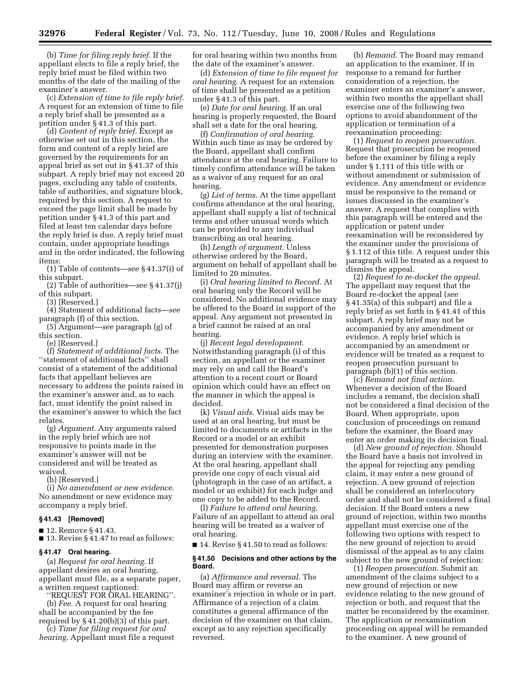(b) *Time for filing reply brief*. If the appellant elects to file a reply brief, the reply brief must be filed within two months of the date of the mailing of the examiner's answer.

(c) *Extension of time to file reply brief*. A request for an extension of time to file a reply brief shall be presented as a petition under § 41.3 of this part.

(d) *Content of reply brief*. Except as otherwise set out in this section, the form and content of a reply brief are governed by the requirements for an appeal brief as set out in § 41.37 of this subpart. A reply brief may not exceed 20 pages, excluding any table of contents, table of authorities, and signature block, required by this section. A request to exceed the page limit shall be made by petition under § 41.3 of this part and filed at least ten calendar days before the reply brief is due. A reply brief must contain, under appropriate headings and in the order indicated, the following items:

(1) Table of contents—*see* § 41.37(i) of this subpart.

(2) Table of authorities—*see* § 41.37(j) of this subpart.

(3) [Reserved.]

(4) Statement of additional facts—*see*  paragraph (f) of this section.

(5) Argument—*see* paragraph (g) of this section.

(e) [Reserved.]

(f) *Statement of additional facts*. The ''statement of additional facts'' shall consist of a statement of the additional facts that appellant believes are necessary to address the points raised in the examiner's answer and, as to each fact, must identify the point raised in the examiner's answer to which the fact relates.

(g) *Argument*. Any arguments raised in the reply brief which are not responsive to points made in the examiner's answer will not be considered and will be treated as waived.

(h) [Reserved.]

(i) *No amendment or new evidence*. No amendment or new evidence may accompany a reply brief.

#### **§ 41.43 [Removed]**

■ 12. Remove § 41.43.

■ 13. Revise § 41.47 to read as follows:

#### **§ 41.47 Oral hearing.**

(a) *Request for oral hearing*. If appellant desires an oral hearing, appellant must file, as a separate paper, a written request captioned:

''REQUEST FOR ORAL HEARING''. (b) *Fee*. A request for oral hearing shall be accompanied by the fee required by § 41.20(b)(3) of this part.

(c) *Time for filing request for oral hearing*. Appellant must file a request for oral hearing within two months from the date of the examiner's answer.

(d) *Extension of time to file request for oral hearing*. A request for an extension of time shall be presented as a petition under § 41.3 of this part.

(e) *Date for oral hearing*. If an oral hearing is properly requested, the Board shall set a date for the oral hearing.

(f) *Confirmation of oral hearing*. Within such time as may be ordered by the Board, appellant shall confirm attendance at the oral hearing. Failure to timely confirm attendance will be taken as a waiver of any request for an oral hearing.

(g) *List of terms*. At the time appellant confirms attendance at the oral hearing, appellant shall supply a list of technical terms and other unusual words which can be provided to any individual transcribing an oral hearing.

(h) *Length of argument*. Unless otherwise ordered by the Board, argument on behalf of appellant shall be limited to 20 minutes.

(i) *Oral hearing limited to Record*. At oral hearing only the Record will be considered. No additional evidence may be offered to the Board in support of the appeal. Any argument not presented in a brief cannot be raised at an oral hearing.

(j) *Recent legal development*. Notwithstanding paragraph (i) of this section, an appellant or the examiner may rely on and call the Board's attention to a recent court or Board opinion which could have an effect on the manner in which the appeal is decided.

(k) *Visual aids*. Visual aids may be used at an oral hearing, but must be limited to documents or artifacts in the Record or a model or an exhibit presented for demonstration purposes during an interview with the examiner. At the oral hearing, appellant shall provide one copy of each visual aid (photograph in the case of an artifact, a model or an exhibit) for each judge and one copy to be added to the Record.

(l) *Failure to attend oral hearing*. Failure of an appellant to attend an oral hearing will be treated as a waiver of oral hearing.

■ 14. Revise § 41.50 to read as follows:

#### **§ 41.50 Decisions and other actions by the Board.**

(a) *Affirmance and reversal*. The Board may affirm or reverse an examiner's rejection in whole or in part. Affirmance of a rejection of a claim constitutes a general affirmance of the decision of the examiner on that claim, except as to any rejection specifically reversed.

(b) *Remand*. The Board may remand an application to the examiner. If in response to a remand for further consideration of a rejection, the examiner enters an examiner's answer, within two months the appellant shall exercise one of the following two options to avoid abandonment of the application or termination of a reexamination proceeding:

(1) *Request to reopen prosecution*. Request that prosecution be reopened before the examiner by filing a reply under § 1.111 of this title with or without amendment or submission of evidence. Any amendment or evidence must be responsive to the remand or issues discussed in the examiner's answer. A request that complies with this paragraph will be entered and the application or patent under reexamination will be reconsidered by the examiner under the provisions of § 1.112 of this title. A request under this paragraph will be treated as a request to dismiss the appeal.

(2) *Request to re-docket the appeal*. The appellant may request that the Board re-docket the appeal (*see*  § 41.35(a) of this subpart) and file a reply brief as set forth in § 41.41 of this subpart. A reply brief may not be accompanied by any amendment or evidence. A reply brief which is accompanied by an amendment or evidence will be treated as a request to reopen prosecution pursuant to paragraph (b)(1) of this section.

(c) *Remand not final action*. Whenever a decision of the Board includes a remand, the decision shall not be considered a final decision of the Board. When appropriate, upon conclusion of proceedings on remand before the examiner, the Board may enter an order making its decision final.

(d) *New ground of rejection*. Should the Board have a basis not involved in the appeal for rejecting any pending claim, it may enter a new ground of rejection. A new ground of rejection shall be considered an interlocutory order and shall not be considered a final decision. If the Board enters a new ground of rejection, within two months appellant must exercise one of the following two options with respect to the new ground of rejection to avoid dismissal of the appeal as to any claim subject to the new ground of rejection:

(1) *Reopen prosecution*. Submit an amendment of the claims subject to a new ground of rejection or new evidence relating to the new ground of rejection or both, and request that the matter be reconsidered by the examiner. The application or reexamination proceeding on appeal will be remanded to the examiner. A new ground of